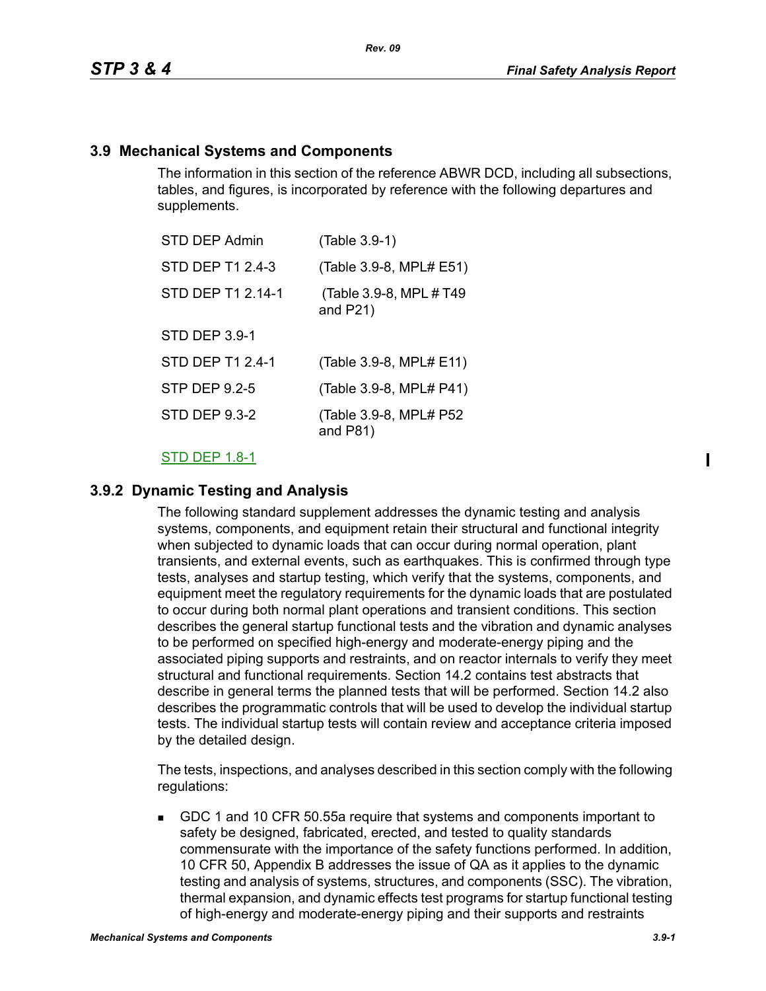#### **3.9 Mechanical Systems and Components**

The information in this section of the reference ABWR DCD, including all subsections, tables, and figures, is incorporated by reference with the following departures and supplements.

| STD DEP Admin        | (Table 3.9-1)                           |
|----------------------|-----------------------------------------|
| STD DEP T1 2.4-3     | (Table 3.9-8, MPL# E51)                 |
| STD DEP T1 2.14-1    | (Table 3.9-8, MPL # T49)<br>and $P21$ ) |
| <b>STD DEP 3.9-1</b> |                                         |
| STD DEP T1 2.4-1     | (Table 3.9-8, MPL# E11)                 |
| <b>STP DEP 9.2-5</b> | (Table 3.9-8, MPL# P41)                 |
| <b>STD DEP 9.3-2</b> | (Table 3.9-8, MPL# P52<br>and $P81$ )   |

#### STD DEP 1.8-1

#### **3.9.2 Dynamic Testing and Analysis**

The following standard supplement addresses the dynamic testing and analysis systems, components, and equipment retain their structural and functional integrity when subjected to dynamic loads that can occur during normal operation, plant transients, and external events, such as earthquakes. This is confirmed through type tests, analyses and startup testing, which verify that the systems, components, and equipment meet the regulatory requirements for the dynamic loads that are postulated to occur during both normal plant operations and transient conditions. This section describes the general startup functional tests and the vibration and dynamic analyses to be performed on specified high-energy and moderate-energy piping and the associated piping supports and restraints, and on reactor internals to verify they meet structural and functional requirements. Section 14.2 contains test abstracts that describe in general terms the planned tests that will be performed. Section 14.2 also describes the programmatic controls that will be used to develop the individual startup tests. The individual startup tests will contain review and acceptance criteria imposed by the detailed design.

The tests, inspections, and analyses described in this section comply with the following regulations:

 GDC 1 and 10 CFR 50.55a require that systems and components important to safety be designed, fabricated, erected, and tested to quality standards commensurate with the importance of the safety functions performed. In addition, 10 CFR 50, Appendix B addresses the issue of QA as it applies to the dynamic testing and analysis of systems, structures, and components (SSC). The vibration, thermal expansion, and dynamic effects test programs for startup functional testing of high-energy and moderate-energy piping and their supports and restraints

I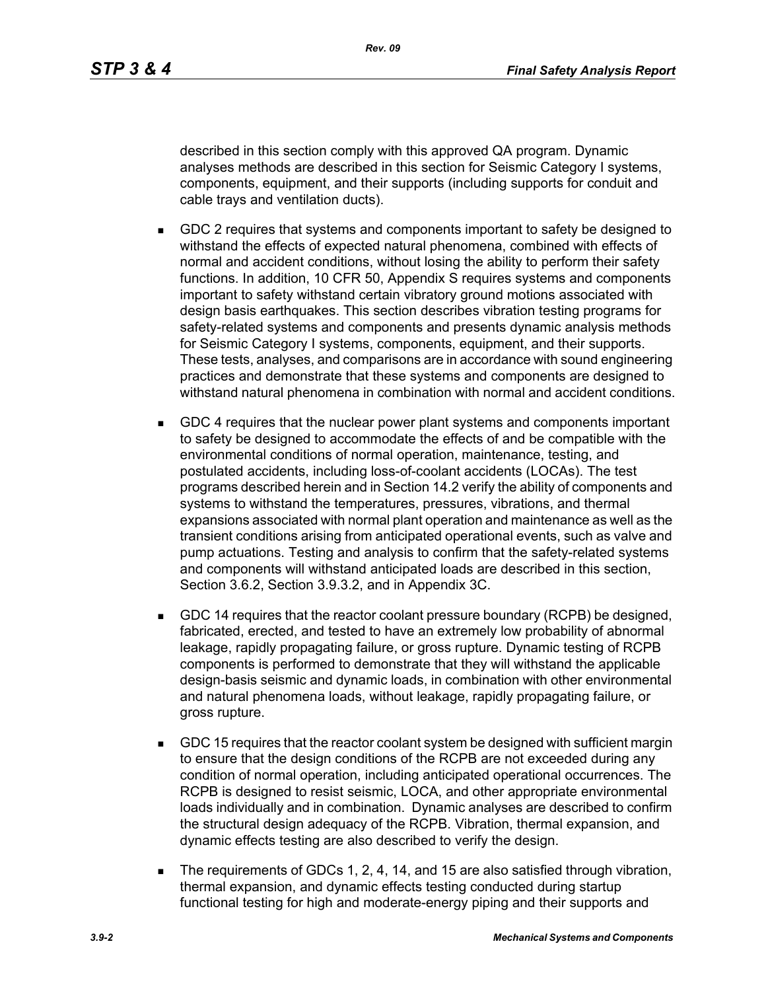described in this section comply with this approved QA program. Dynamic analyses methods are described in this section for Seismic Category I systems, components, equipment, and their supports (including supports for conduit and cable trays and ventilation ducts).

- GDC 2 requires that systems and components important to safety be designed to withstand the effects of expected natural phenomena, combined with effects of normal and accident conditions, without losing the ability to perform their safety functions. In addition, 10 CFR 50, Appendix S requires systems and components important to safety withstand certain vibratory ground motions associated with design basis earthquakes. This section describes vibration testing programs for safety-related systems and components and presents dynamic analysis methods for Seismic Category I systems, components, equipment, and their supports. These tests, analyses, and comparisons are in accordance with sound engineering practices and demonstrate that these systems and components are designed to withstand natural phenomena in combination with normal and accident conditions.
- GDC 4 requires that the nuclear power plant systems and components important to safety be designed to accommodate the effects of and be compatible with the environmental conditions of normal operation, maintenance, testing, and postulated accidents, including loss-of-coolant accidents (LOCAs). The test programs described herein and in Section 14.2 verify the ability of components and systems to withstand the temperatures, pressures, vibrations, and thermal expansions associated with normal plant operation and maintenance as well as the transient conditions arising from anticipated operational events, such as valve and pump actuations. Testing and analysis to confirm that the safety-related systems and components will withstand anticipated loads are described in this section, Section 3.6.2, Section 3.9.3.2, and in Appendix 3C.
- GDC 14 requires that the reactor coolant pressure boundary (RCPB) be designed, fabricated, erected, and tested to have an extremely low probability of abnormal leakage, rapidly propagating failure, or gross rupture. Dynamic testing of RCPB components is performed to demonstrate that they will withstand the applicable design-basis seismic and dynamic loads, in combination with other environmental and natural phenomena loads, without leakage, rapidly propagating failure, or gross rupture.
- GDC 15 requires that the reactor coolant system be designed with sufficient margin to ensure that the design conditions of the RCPB are not exceeded during any condition of normal operation, including anticipated operational occurrences. The RCPB is designed to resist seismic, LOCA, and other appropriate environmental loads individually and in combination. Dynamic analyses are described to confirm the structural design adequacy of the RCPB. Vibration, thermal expansion, and dynamic effects testing are also described to verify the design.
- The requirements of GDCs 1, 2, 4, 14, and 15 are also satisfied through vibration, thermal expansion, and dynamic effects testing conducted during startup functional testing for high and moderate-energy piping and their supports and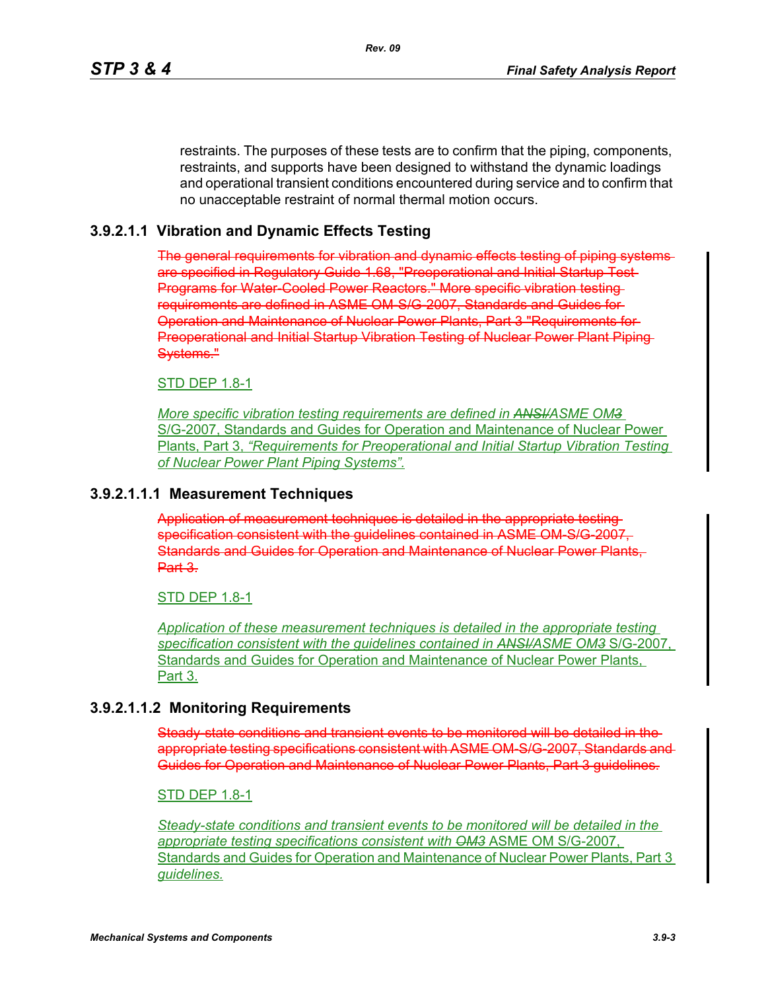restraints. The purposes of these tests are to confirm that the piping, components, restraints, and supports have been designed to withstand the dynamic loadings and operational transient conditions encountered during service and to confirm that no unacceptable restraint of normal thermal motion occurs.

#### **3.9.2.1.1 Vibration and Dynamic Effects Testing**

The general requirements for vibration and dynamic effects testing of piping systems are specified in Regulatory Guide 1.68, "Preoperational and Initial Startup Test Programs for Water-Cooled Power Reactors." More specific vibration testingrequirements are defined in ASME OM-S/G-2007, Standards and Guides for Operation and Maintenance of Nuclear Power Plants, Part 3 "Requirements for Preoperational and Initial Startup Vibration Testing of Nuclear Power Plant Piping Systems."

#### STD DEP 1.8-1

*More specific vibration testing requirements are defined in ANSI/ASME OM3* S/G-2007, Standards and Guides for Operation and Maintenance of Nuclear Power Plants, Part 3, *"Requirements for Preoperational and Initial Startup Vibration Testing of Nuclear Power Plant Piping Systems".*

#### **3.9.2.1.1.1 Measurement Techniques**

Application of measurement techniques is detailed in the appropriate testing specification consistent with the guidelines contained in ASME OM S/G-2007, Standards and Guides for Operation and Maintenance of Nuclear Power Plants, Part 3.

#### STD DEP 1.8-1

*Application of these measurement techniques is detailed in the appropriate testing specification consistent with the guidelines contained in ANSI/ASME OM3* S/G-2007, Standards and Guides for Operation and Maintenance of Nuclear Power Plants, Part 3.

#### **3.9.2.1.1.2 Monitoring Requirements**

Steady state conditions and transient events to be monitored will be detailed in the appropriate testing specifications consistent with ASME OM-S/G-2007, Standards and Guides for Operation and Maintenance of Nuclear Power Plants, Part 3 guidelines.

#### STD DEP 1.8-1

*Steady-state conditions and transient events to be monitored will be detailed in the appropriate testing specifications consistent with OM3* ASME OM S/G-2007, Standards and Guides for Operation and Maintenance of Nuclear Power Plants, Part 3 *guidelines.*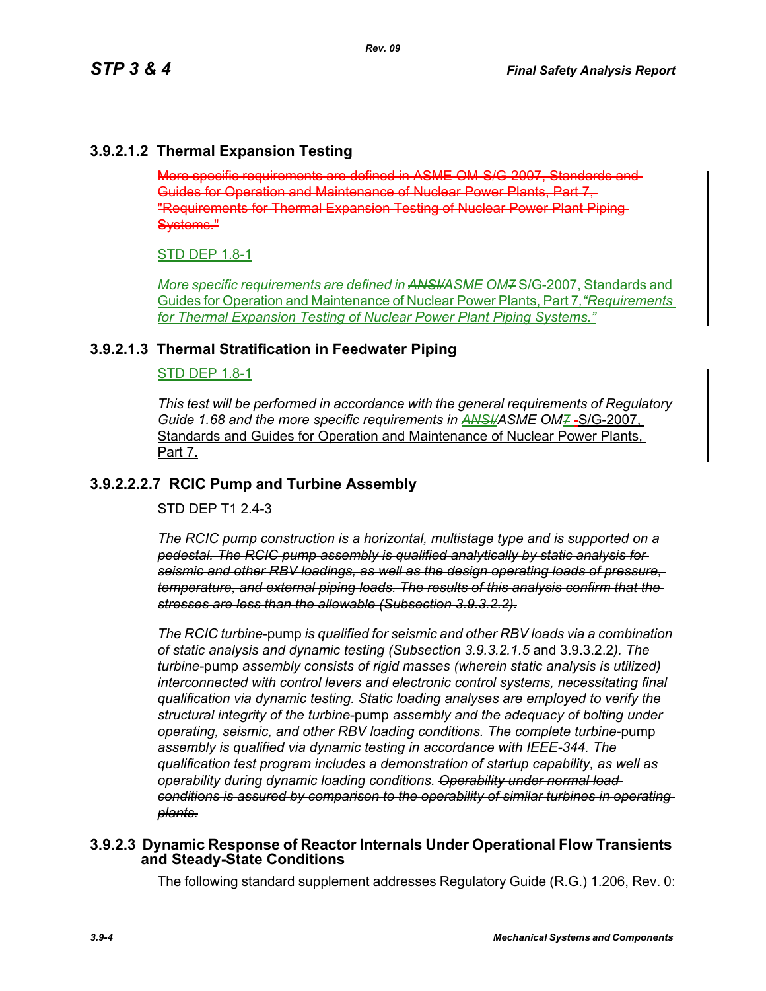# **3.9.2.1.2 Thermal Expansion Testing**

More specific requirements are defined in ASME OM-S/G-2007, Standards and Guides for Operation and Maintenance of Nuclear Power Plants, Part 7, "Requirements for Thermal Expansion Testing of Nuclear Power Plant Piping Systems."

#### STD DEP 1.8-1

*More specific requirements are defined in ANSI/ASME OM7* S/G-2007, Standards and Guides for Operation and Maintenance of Nuclear Power Plants, Part 7*,"Requirements for Thermal Expansion Testing of Nuclear Power Plant Piping Systems."*

#### **3.9.2.1.3 Thermal Stratification in Feedwater Piping**

#### STD DEP 1.8-1

*This test will be performed in accordance with the general requirements of Regulatory*  Guide 1.68 and the more specific requirements in **ANSI/ASME OM7-S/G-2007**, Standards and Guides for Operation and Maintenance of Nuclear Power Plants. Part 7.

#### **3.9.2.2.2.7 RCIC Pump and Turbine Assembly**

STD DEP T1 2.4-3

*The RCIC pump construction is a horizontal, multistage type and is supported on a pedestal. The RCIC pump assembly is qualified analytically by static analysis for seismic and other RBV loadings, as well as the design operating loads of pressure, temperature, and external piping loads. The results of this analysis confirm that the stresses are less than the allowable (Subsection 3.9.3.2.2).*

*The RCIC turbine*-pump *is qualified for seismic and other RBV loads via a combination of static analysis and dynamic testing (Subsection 3.9.3.2.1.5* and 3.9.3.2.2*). The turbine*-pump *assembly consists of rigid masses (wherein static analysis is utilized) interconnected with control levers and electronic control systems, necessitating final qualification via dynamic testing. Static loading analyses are employed to verify the structural integrity of the turbine*-pump *assembly and the adequacy of bolting under operating, seismic, and other RBV loading conditions. The complete turbine*-pump *assembly is qualified via dynamic testing in accordance with IEEE-344. The qualification test program includes a demonstration of startup capability, as well as operability during dynamic loading conditions. Operability under normal load conditions is assured by comparison to the operability of similar turbines in operating plants.*

#### **3.9.2.3 Dynamic Response of Reactor Internals Under Operational Flow Transients and Steady-State Conditions**

The following standard supplement addresses Regulatory Guide (R.G.) 1.206, Rev. 0: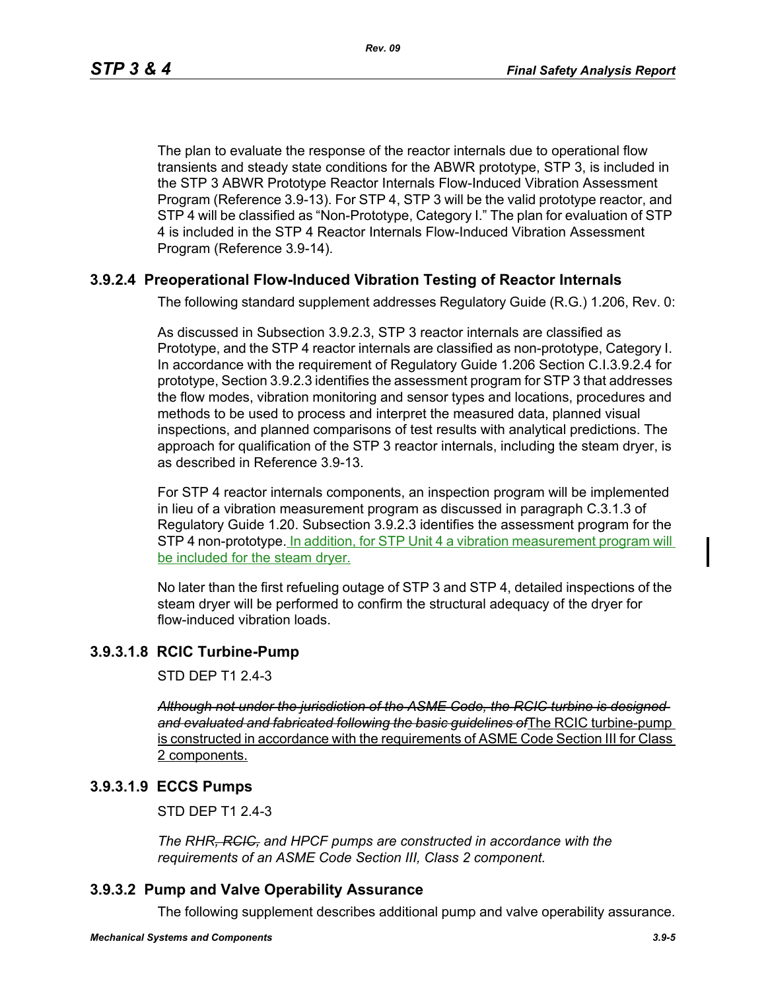*Rev. 09*

The plan to evaluate the response of the reactor internals due to operational flow transients and steady state conditions for the ABWR prototype, STP 3, is included in the STP 3 ABWR Prototype Reactor Internals Flow-Induced Vibration Assessment Program (Reference 3.9-13). For STP 4, STP 3 will be the valid prototype reactor, and STP 4 will be classified as "Non-Prototype, Category I." The plan for evaluation of STP 4 is included in the STP 4 Reactor Internals Flow-Induced Vibration Assessment Program (Reference 3.9-14).

# **3.9.2.4 Preoperational Flow-Induced Vibration Testing of Reactor Internals**

The following standard supplement addresses Regulatory Guide (R.G.) 1.206, Rev. 0:

As discussed in Subsection 3.9.2.3, STP 3 reactor internals are classified as Prototype, and the STP 4 reactor internals are classified as non-prototype, Category I. In accordance with the requirement of Regulatory Guide 1.206 Section C.I.3.9.2.4 for prototype, Section 3.9.2.3 identifies the assessment program for STP 3 that addresses the flow modes, vibration monitoring and sensor types and locations, procedures and methods to be used to process and interpret the measured data, planned visual inspections, and planned comparisons of test results with analytical predictions. The approach for qualification of the STP 3 reactor internals, including the steam dryer, is as described in Reference 3.9-13.

For STP 4 reactor internals components, an inspection program will be implemented in lieu of a vibration measurement program as discussed in paragraph C.3.1.3 of Regulatory Guide 1.20. Subsection 3.9.2.3 identifies the assessment program for the STP 4 non-prototype. In addition, for STP Unit 4 a vibration measurement program will be included for the steam dryer.

No later than the first refueling outage of STP 3 and STP 4, detailed inspections of the steam dryer will be performed to confirm the structural adequacy of the dryer for flow-induced vibration loads.

# **3.9.3.1.8 RCIC Turbine-Pump**

STD DEP T1 2.4-3

*Although not under the jurisdiction of the ASME Code, the RCIC turbine is designed and evaluated and fabricated following the basic guidelines of*The RCIC turbine-pump is constructed in accordance with the requirements of ASME Code Section III for Class 2 components.

# **3.9.3.1.9 ECCS Pumps**

STD DEP T1 2.4-3

*The RHR, RCIC, and HPCF pumps are constructed in accordance with the requirements of an ASME Code Section III, Class 2 component.*

# **3.9.3.2 Pump and Valve Operability Assurance**

The following supplement describes additional pump and valve operability assurance.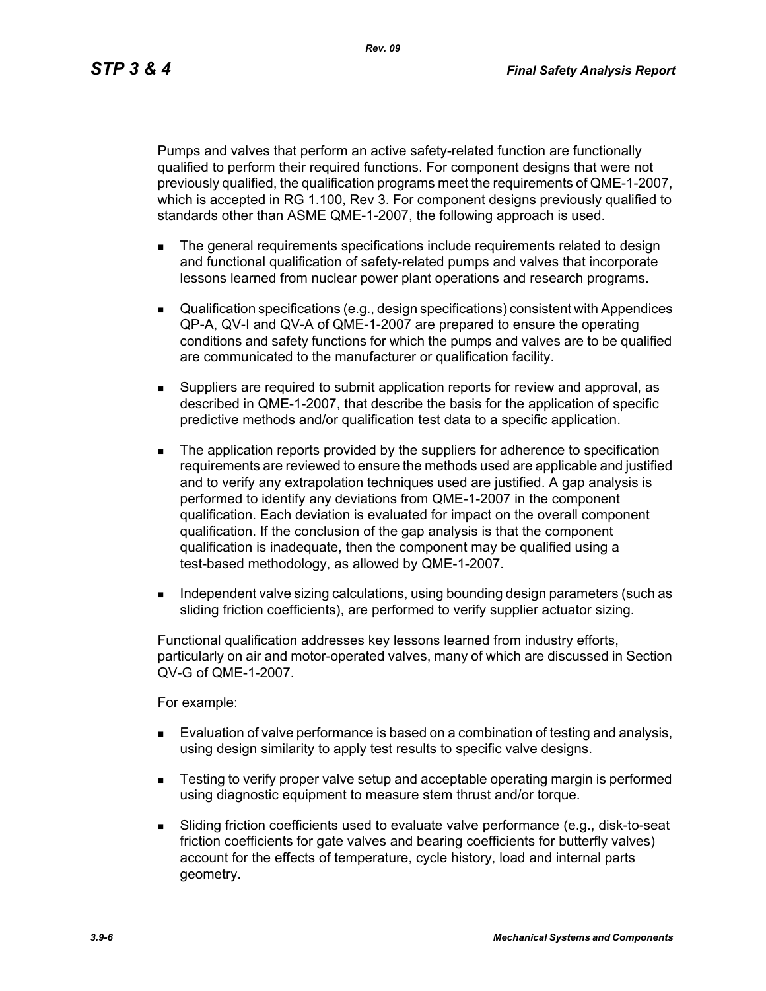*Rev. 09*

Pumps and valves that perform an active safety-related function are functionally qualified to perform their required functions. For component designs that were not previously qualified, the qualification programs meet the requirements of QME-1-2007, which is accepted in RG 1.100, Rev 3. For component designs previously qualified to standards other than ASME QME-1-2007, the following approach is used.

- **The general requirements specifications include requirements related to design** and functional qualification of safety-related pumps and valves that incorporate lessons learned from nuclear power plant operations and research programs.
- Qualification specifications (e.g., design specifications) consistent with Appendices QP-A, QV-I and QV-A of QME-1-2007 are prepared to ensure the operating conditions and safety functions for which the pumps and valves are to be qualified are communicated to the manufacturer or qualification facility.
- Suppliers are required to submit application reports for review and approval, as described in QME-1-2007, that describe the basis for the application of specific predictive methods and/or qualification test data to a specific application.
- The application reports provided by the suppliers for adherence to specification requirements are reviewed to ensure the methods used are applicable and justified and to verify any extrapolation techniques used are justified. A gap analysis is performed to identify any deviations from QME-1-2007 in the component qualification. Each deviation is evaluated for impact on the overall component qualification. If the conclusion of the gap analysis is that the component qualification is inadequate, then the component may be qualified using a test-based methodology, as allowed by QME-1-2007.
- Independent valve sizing calculations, using bounding design parameters (such as sliding friction coefficients), are performed to verify supplier actuator sizing.

Functional qualification addresses key lessons learned from industry efforts, particularly on air and motor-operated valves, many of which are discussed in Section QV-G of QME-1-2007.

For example:

- **Evaluation of valve performance is based on a combination of testing and analysis,** using design similarity to apply test results to specific valve designs.
- **EXECT** Testing to verify proper valve setup and acceptable operating margin is performed using diagnostic equipment to measure stem thrust and/or torque.
- Sliding friction coefficients used to evaluate valve performance (e.g., disk-to-seat friction coefficients for gate valves and bearing coefficients for butterfly valves) account for the effects of temperature, cycle history, load and internal parts geometry.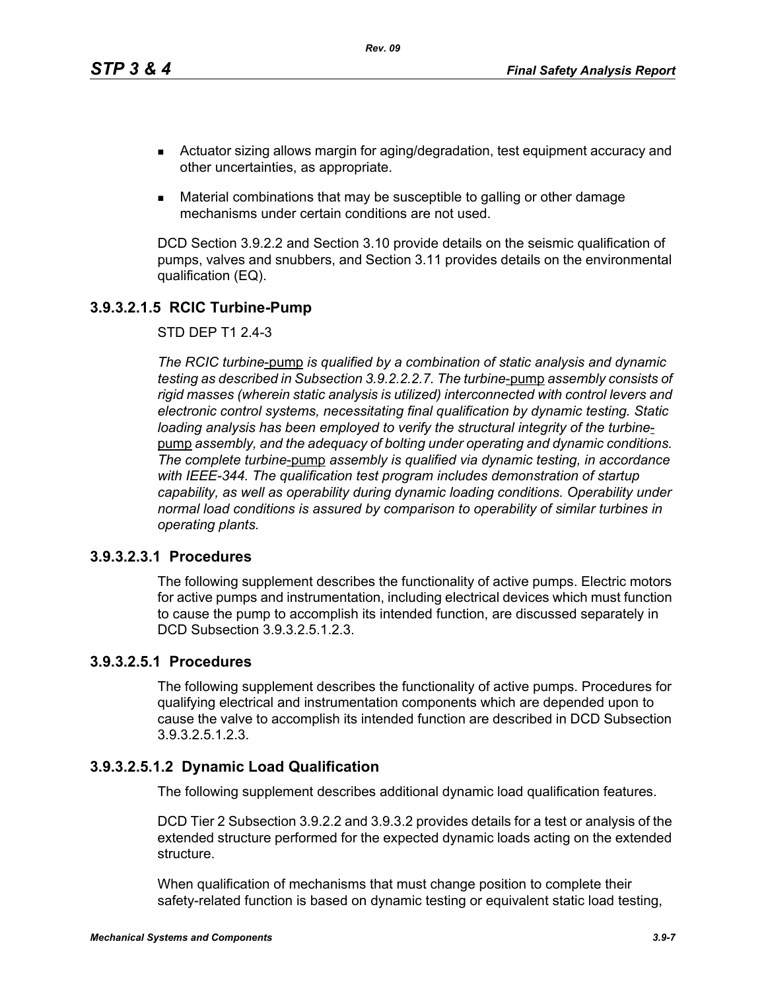- Actuator sizing allows margin for aging/degradation, test equipment accuracy and other uncertainties, as appropriate.
- Material combinations that may be susceptible to galling or other damage mechanisms under certain conditions are not used.

DCD Section 3.9.2.2 and Section 3.10 provide details on the seismic qualification of pumps, valves and snubbers, and Section 3.11 provides details on the environmental qualification (EQ).

# **3.9.3.2.1.5 RCIC Turbine-Pump**

STD DEP T1 2.4-3

*The RCIC turbine*-pump *is qualified by a combination of static analysis and dynamic testing as described in Subsection 3.9.2.2.2.7. The turbine*-pump *assembly consists of rigid masses (wherein static analysis is utilized) interconnected with control levers and electronic control systems, necessitating final qualification by dynamic testing. Static loading analysis has been employed to verify the structural integrity of the turbine*pump *assembly, and the adequacy of bolting under operating and dynamic conditions. The complete turbine*-pump *assembly is qualified via dynamic testing, in accordance with IEEE-344. The qualification test program includes demonstration of startup capability, as well as operability during dynamic loading conditions. Operability under normal load conditions is assured by comparison to operability of similar turbines in operating plants.*

#### **3.9.3.2.3.1 Procedures**

The following supplement describes the functionality of active pumps. Electric motors for active pumps and instrumentation, including electrical devices which must function to cause the pump to accomplish its intended function, are discussed separately in DCD Subsection 3.9.3.2.5.1.2.3.

# **3.9.3.2.5.1 Procedures**

The following supplement describes the functionality of active pumps. Procedures for qualifying electrical and instrumentation components which are depended upon to cause the valve to accomplish its intended function are described in DCD Subsection 3.9.3.2.5.1.2.3.

# **3.9.3.2.5.1.2 Dynamic Load Qualification**

The following supplement describes additional dynamic load qualification features.

DCD Tier 2 Subsection 3.9.2.2 and 3.9.3.2 provides details for a test or analysis of the extended structure performed for the expected dynamic loads acting on the extended structure.

When qualification of mechanisms that must change position to complete their safety-related function is based on dynamic testing or equivalent static load testing,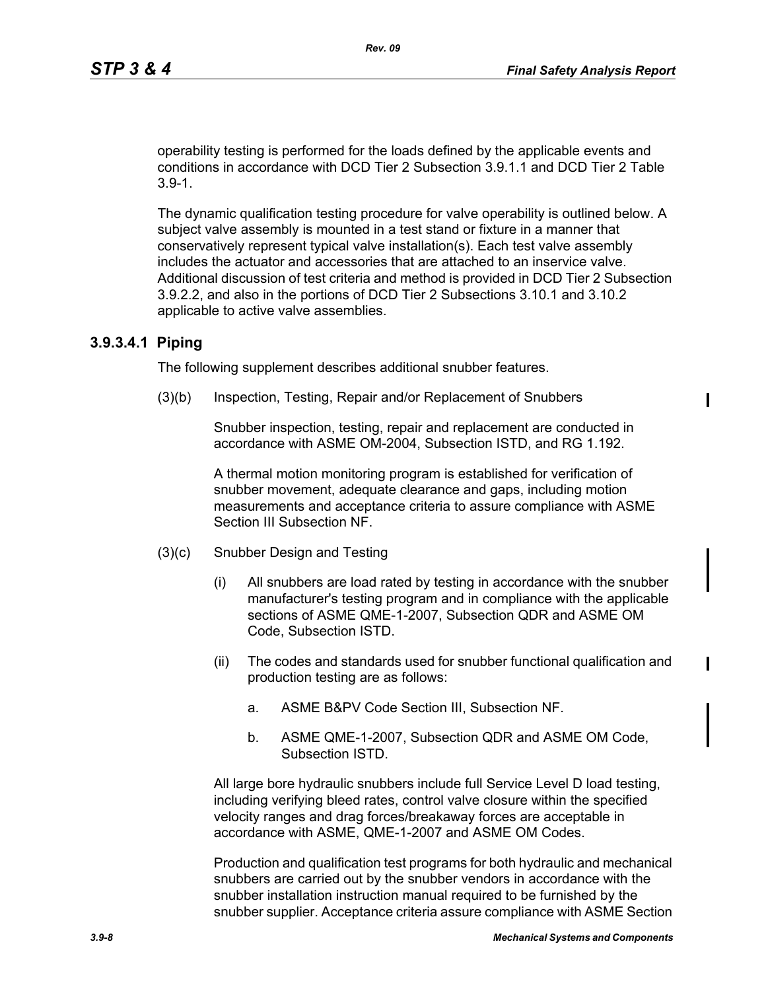operability testing is performed for the loads defined by the applicable events and conditions in accordance with DCD Tier 2 Subsection 3.9.1.1 and DCD Tier 2 Table 3.9-1.

The dynamic qualification testing procedure for valve operability is outlined below. A subject valve assembly is mounted in a test stand or fixture in a manner that conservatively represent typical valve installation(s). Each test valve assembly includes the actuator and accessories that are attached to an inservice valve. Additional discussion of test criteria and method is provided in DCD Tier 2 Subsection 3.9.2.2, and also in the portions of DCD Tier 2 Subsections 3.10.1 and 3.10.2 applicable to active valve assemblies.

#### **3.9.3.4.1 Piping**

The following supplement describes additional snubber features.

(3)(b) Inspection, Testing, Repair and/or Replacement of Snubbers

Snubber inspection, testing, repair and replacement are conducted in accordance with ASME OM-2004, Subsection ISTD, and RG 1.192.

A thermal motion monitoring program is established for verification of snubber movement, adequate clearance and gaps, including motion measurements and acceptance criteria to assure compliance with ASME Section III Subsection NF.

- (3)(c) Snubber Design and Testing
	- (i) All snubbers are load rated by testing in accordance with the snubber manufacturer's testing program and in compliance with the applicable sections of ASME QME-1-2007, Subsection QDR and ASME OM Code, Subsection ISTD.
	- (ii) The codes and standards used for snubber functional qualification and production testing are as follows:
		- a. ASME B&PV Code Section III, Subsection NF.
		- b. ASME QME-1-2007, Subsection QDR and ASME OM Code, Subsection ISTD.

All large bore hydraulic snubbers include full Service Level D load testing, including verifying bleed rates, control valve closure within the specified velocity ranges and drag forces/breakaway forces are acceptable in accordance with ASME, QME-1-2007 and ASME OM Codes.

Production and qualification test programs for both hydraulic and mechanical snubbers are carried out by the snubber vendors in accordance with the snubber installation instruction manual required to be furnished by the snubber supplier. Acceptance criteria assure compliance with ASME Section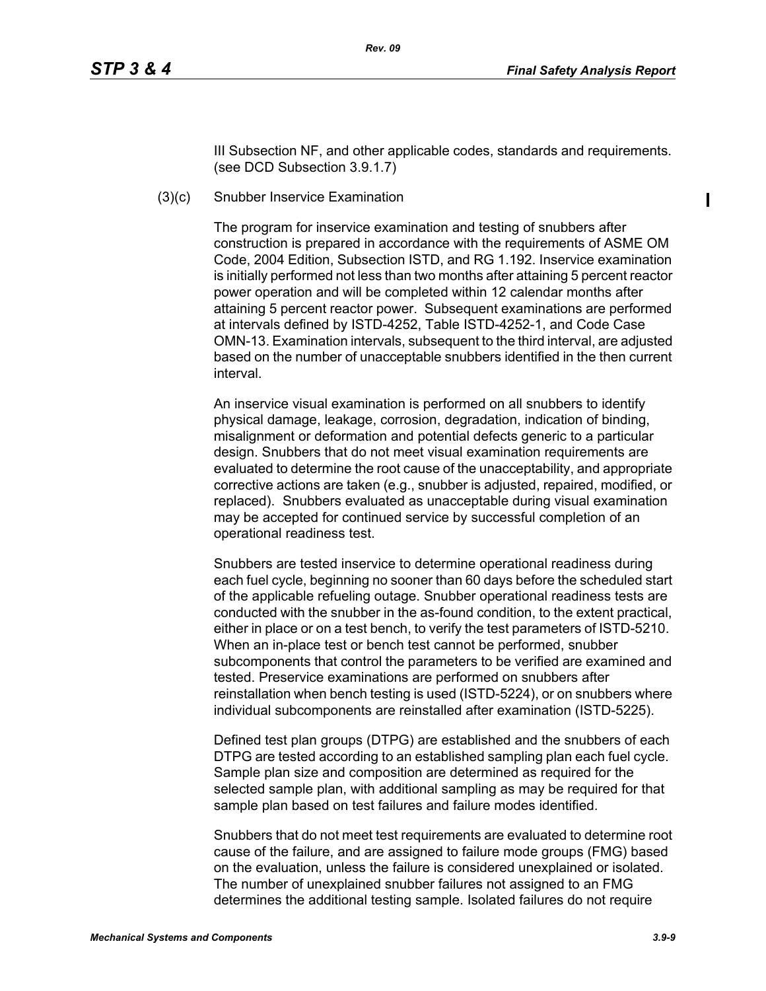III Subsection NF, and other applicable codes, standards and requirements. (see DCD Subsection 3.9.1.7)

#### (3)(c) Snubber Inservice Examination

The program for inservice examination and testing of snubbers after construction is prepared in accordance with the requirements of ASME OM Code, 2004 Edition, Subsection ISTD, and RG 1.192. Inservice examination is initially performed not less than two months after attaining 5 percent reactor power operation and will be completed within 12 calendar months after attaining 5 percent reactor power. Subsequent examinations are performed at intervals defined by ISTD-4252, Table ISTD-4252-1, and Code Case OMN-13. Examination intervals, subsequent to the third interval, are adjusted based on the number of unacceptable snubbers identified in the then current interval.

An inservice visual examination is performed on all snubbers to identify physical damage, leakage, corrosion, degradation, indication of binding, misalignment or deformation and potential defects generic to a particular design. Snubbers that do not meet visual examination requirements are evaluated to determine the root cause of the unacceptability, and appropriate corrective actions are taken (e.g., snubber is adjusted, repaired, modified, or replaced). Snubbers evaluated as unacceptable during visual examination may be accepted for continued service by successful completion of an operational readiness test.

Snubbers are tested inservice to determine operational readiness during each fuel cycle, beginning no sooner than 60 days before the scheduled start of the applicable refueling outage. Snubber operational readiness tests are conducted with the snubber in the as-found condition, to the extent practical, either in place or on a test bench, to verify the test parameters of ISTD-5210. When an in-place test or bench test cannot be performed, snubber subcomponents that control the parameters to be verified are examined and tested. Preservice examinations are performed on snubbers after reinstallation when bench testing is used (ISTD-5224), or on snubbers where individual subcomponents are reinstalled after examination (ISTD-5225).

Defined test plan groups (DTPG) are established and the snubbers of each DTPG are tested according to an established sampling plan each fuel cycle. Sample plan size and composition are determined as required for the selected sample plan, with additional sampling as may be required for that sample plan based on test failures and failure modes identified.

Snubbers that do not meet test requirements are evaluated to determine root cause of the failure, and are assigned to failure mode groups (FMG) based on the evaluation, unless the failure is considered unexplained or isolated. The number of unexplained snubber failures not assigned to an FMG determines the additional testing sample. Isolated failures do not require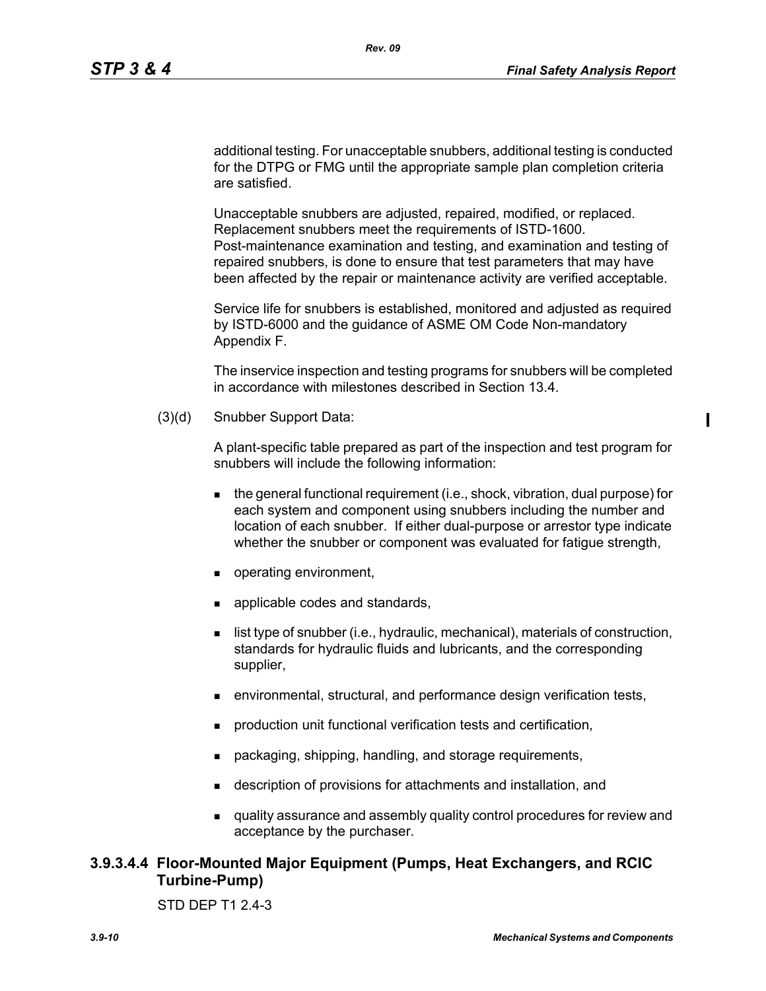ı

additional testing. For unacceptable snubbers, additional testing is conducted for the DTPG or FMG until the appropriate sample plan completion criteria are satisfied.

*Rev. 09* 

Unacceptable snubbers are adjusted, repaired, modified, or replaced. Replacement snubbers meet the requirements of ISTD-1600. Post-maintenance examination and testing, and examination and testing of repaired snubbers, is done to ensure that test parameters that may have been affected by the repair or maintenance activity are verified acceptable.

Service life for snubbers is established, monitored and adjusted as required by ISTD-6000 and the guidance of ASME OM Code Non-mandatory Appendix F.

The inservice inspection and testing programs for snubbers will be completed in accordance with milestones described in Section 13.4.

(3)(d) Snubber Support Data:

A plant-specific table prepared as part of the inspection and test program for snubbers will include the following information:

- $\blacksquare$  the general functional requirement (i.e., shock, vibration, dual purpose) for each system and component using snubbers including the number and location of each snubber. If either dual-purpose or arrestor type indicate whether the snubber or component was evaluated for fatigue strength,
- operating environment,
- **a** applicable codes and standards,
- **I** list type of snubber (i.e., hydraulic, mechanical), materials of construction, standards for hydraulic fluids and lubricants, and the corresponding supplier,
- environmental, structural, and performance design verification tests,
- production unit functional verification tests and certification,
- packaging, shipping, handling, and storage requirements,
- description of provisions for attachments and installation, and
- quality assurance and assembly quality control procedures for review and acceptance by the purchaser.

# **3.9.3.4.4 Floor-Mounted Major Equipment (Pumps, Heat Exchangers, and RCIC Turbine-Pump)**

STD DEP T1 2.4-3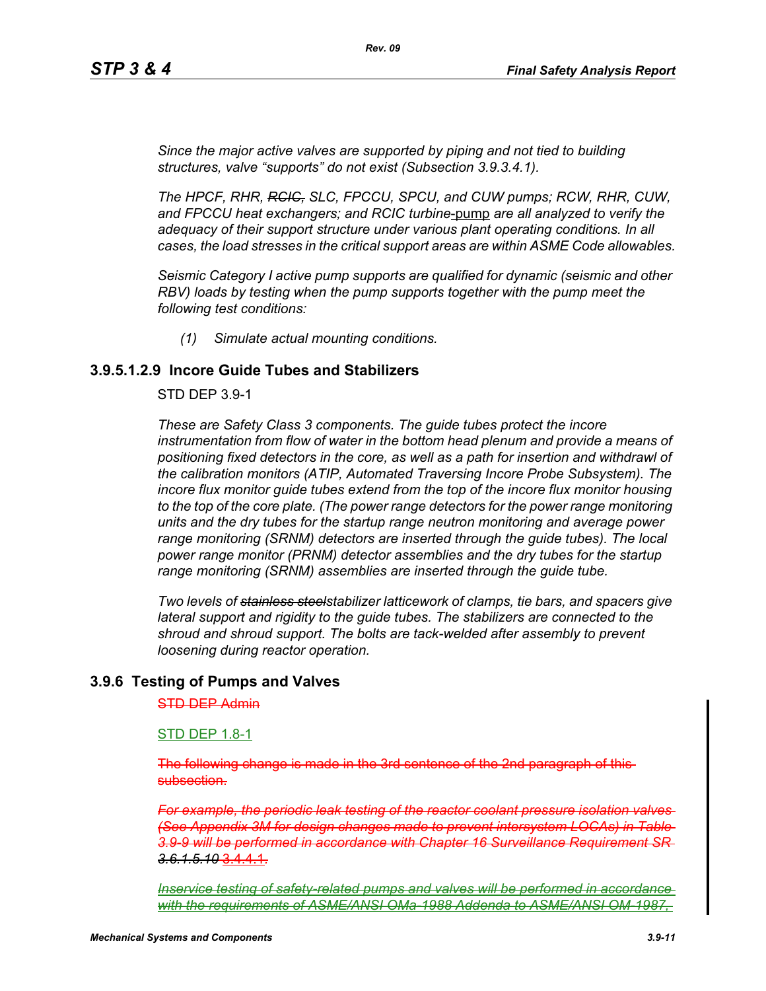*Since the major active valves are supported by piping and not tied to building structures, valve "supports" do not exist (Subsection 3.9.3.4.1).*

*The HPCF, RHR, RCIC, SLC, FPCCU, SPCU, and CUW pumps; RCW, RHR, CUW, and FPCCU heat exchangers; and RCIC turbine*-pump *are all analyzed to verify the adequacy of their support structure under various plant operating conditions. In all cases, the load stresses in the critical support areas are within ASME Code allowables.*

*Seismic Category I active pump supports are qualified for dynamic (seismic and other RBV) loads by testing when the pump supports together with the pump meet the following test conditions:*

*(1) Simulate actual mounting conditions.*

#### **3.9.5.1.2.9 Incore Guide Tubes and Stabilizers**

#### STD DEP 3.9-1

*These are Safety Class 3 components. The guide tubes protect the incore*  instrumentation from flow of water in the bottom head plenum and provide a means of *positioning fixed detectors in the core, as well as a path for insertion and withdrawl of the calibration monitors (ATIP, Automated Traversing Incore Probe Subsystem). The incore flux monitor guide tubes extend from the top of the incore flux monitor housing to the top of the core plate. (The power range detectors for the power range monitoring units and the dry tubes for the startup range neutron monitoring and average power range monitoring (SRNM) detectors are inserted through the guide tubes). The local power range monitor (PRNM) detector assemblies and the dry tubes for the startup range monitoring (SRNM) assemblies are inserted through the guide tube.*

*Two levels of stainless steelstabilizer latticework of clamps, tie bars, and spacers give lateral support and rigidity to the guide tubes. The stabilizers are connected to the shroud and shroud support. The bolts are tack-welded after assembly to prevent loosening during reactor operation.*

#### **3.9.6 Testing of Pumps and Valves**

#### STD DEP Admin

#### STD DEP 1.8-1

The following change is made in the 3rd sentence of the subsection.

*For example, the periodic leak testing of the reactor coolant pressure isolation valves (See Appendix 3M for design changes made to prevent intersystem LOCAs) in Table 3.9-9 will be performed in accordance with Chapter 16 Surveillance Requirement SR 3.6.1.5.10* 3.4.4.1*.*

*Inservice testing of safety-related pumps and valves will be performed in accordance*  with the requirements of ASME/ANSI OMa-1988 Addenda to ASME/ANSI OM-1987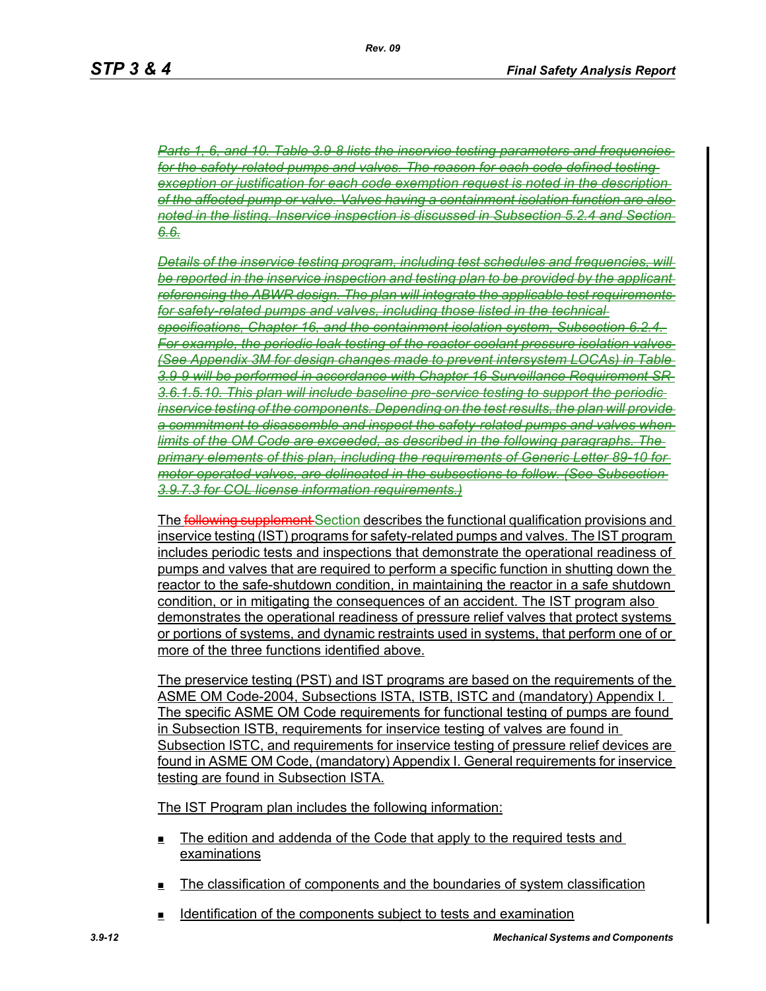*Parts 1, 6, and 10. Table 3.9-8 lists the inservice testing parameters and frequencies for the safety-related pumps and valves. The reason for each code defined testing exception or justification for each code exemption request is noted in the description of the affected pump or valve. Valves having a containment isolation function are also noted in the listing. Inservice inspection is discussed in Subsection 5.2.4 and Section 6.6.*

*Details of the inservice testing program, including test schedules and frequencies, will be reported in the inservice inspection and testing plan to be provided by the applicant referencing the ABWR design. The plan will integrate the applicable test requirements for safety-related pumps and valves, including those listed in the technical specifications, Chapter 16, and the containment isolation system, Subsection 6.2.4. For example, the periodic leak testing of the reactor coolant pressure isolation valves (See Appendix 3M for design changes made to prevent intersystem LOCAs) in Table 3.9-9 will be performed in accordance with Chapter 16 Surveillance Requirement SR*  3.6.1.5.10. This plan will include baseline pre-service testing to support the per *inservice testing of the components. Depending on the test results, the plan will provide a commitment to disassemble and inspect the safety-related pumps and valves when limits of the OM Code are exceeded, as described in the following paragraphs. The primary elements of this plan, including the requirements of Generic Letter 89-10 for motor operated valves, are delineated in the subsections to follow. (See Subsection 3.9.7.3 for COL license information requirements.)*

The **following supplement** Section describes the functional qualification provisions and inservice testing (IST) programs for safety-related pumps and valves. The IST program includes periodic tests and inspections that demonstrate the operational readiness of pumps and valves that are required to perform a specific function in shutting down the reactor to the safe-shutdown condition, in maintaining the reactor in a safe shutdown condition, or in mitigating the consequences of an accident. The IST program also demonstrates the operational readiness of pressure relief valves that protect systems or portions of systems, and dynamic restraints used in systems, that perform one of or more of the three functions identified above.

The preservice testing (PST) and IST programs are based on the requirements of the ASME OM Code-2004, Subsections ISTA, ISTB, ISTC and (mandatory) Appendix I. The specific ASME OM Code requirements for functional testing of pumps are found in Subsection ISTB, requirements for inservice testing of valves are found in Subsection ISTC, and requirements for inservice testing of pressure relief devices are found in ASME OM Code, (mandatory) Appendix I. General requirements for inservice testing are found in Subsection ISTA.

The IST Program plan includes the following information:

- The edition and addenda of the Code that apply to the required tests and examinations
- $\blacksquare$  The classification of components and the boundaries of system classification
- Identification of the components subject to tests and examination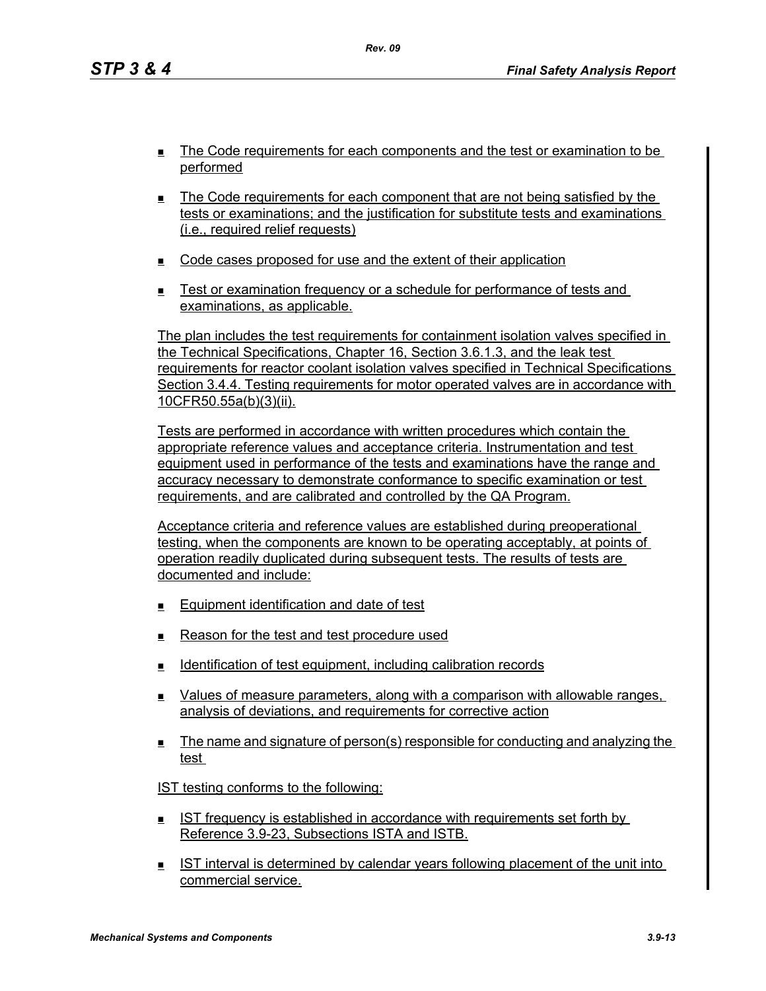- The Code requirements for each components and the test or examination to be performed
- The Code requirements for each component that are not being satisfied by the tests or examinations; and the justification for substitute tests and examinations (i.e., required relief requests)
- **EXECODE CODE CASES PROPOSED for use and the extent of their application**
- Test or examination frequency or a schedule for performance of tests and examinations, as applicable.

The plan includes the test requirements for containment isolation valves specified in the Technical Specifications, Chapter 16, Section 3.6.1.3, and the leak test requirements for reactor coolant isolation valves specified in Technical Specifications Section 3.4.4. Testing requirements for motor operated valves are in accordance with 10CFR50.55a(b)(3)(ii).

Tests are performed in accordance with written procedures which contain the appropriate reference values and acceptance criteria. Instrumentation and test equipment used in performance of the tests and examinations have the range and accuracy necessary to demonstrate conformance to specific examination or test requirements, and are calibrated and controlled by the QA Program.

Acceptance criteria and reference values are established during preoperational testing, when the components are known to be operating acceptably, at points of operation readily duplicated during subsequent tests. The results of tests are documented and include:

- **Equipment identification and date of test**
- Reason for the test and test procedure used
- **IDENTIFICATE:** Identification of test equipment, including calibration records
- **EXECT** Values of measure parameters, along with a comparison with allowable ranges, analysis of deviations, and requirements for corrective action
- The name and signature of person(s) responsible for conducting and analyzing the test

IST testing conforms to the following:

- IST frequency is established in accordance with requirements set forth by Reference 3.9-23, Subsections ISTA and ISTB.
- IST interval is determined by calendar years following placement of the unit into commercial service.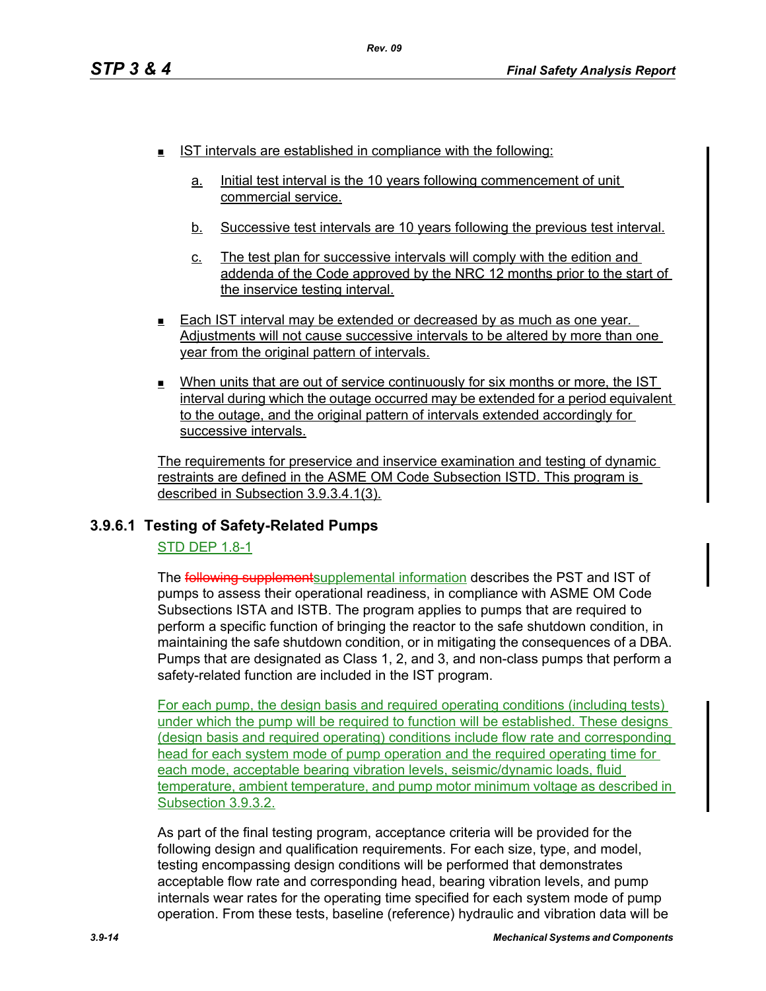- **IST intervals are established in compliance with the following:** 
	- a. Initial test interval is the 10 years following commencement of unit commercial service.
	- b. Successive test intervals are 10 years following the previous test interval.
	- c. The test plan for successive intervals will comply with the edition and addenda of the Code approved by the NRC 12 months prior to the start of the inservice testing interval.
- **Each IST interval may be extended or decreased by as much as one year.** Adjustments will not cause successive intervals to be altered by more than one year from the original pattern of intervals.
- When units that are out of service continuously for six months or more, the IST interval during which the outage occurred may be extended for a period equivalent to the outage, and the original pattern of intervals extended accordingly for successive intervals.

The requirements for preservice and inservice examination and testing of dynamic restraints are defined in the ASME OM Code Subsection ISTD. This program is described in Subsection 3.9.3.4.1(3).

# **3.9.6.1 Testing of Safety-Related Pumps**

# STD DEP 1.8-1

The **following supplement** supplemental information describes the PST and IST of pumps to assess their operational readiness, in compliance with ASME OM Code Subsections ISTA and ISTB. The program applies to pumps that are required to perform a specific function of bringing the reactor to the safe shutdown condition, in maintaining the safe shutdown condition, or in mitigating the consequences of a DBA. Pumps that are designated as Class 1, 2, and 3, and non-class pumps that perform a safety-related function are included in the IST program.

For each pump, the design basis and required operating conditions (including tests) under which the pump will be required to function will be established. These designs (design basis and required operating) conditions include flow rate and corresponding head for each system mode of pump operation and the required operating time for each mode, acceptable bearing vibration levels, seismic/dynamic loads, fluid temperature, ambient temperature, and pump motor minimum voltage as described in Subsection 3.9.3.2.

As part of the final testing program, acceptance criteria will be provided for the following design and qualification requirements. For each size, type, and model, testing encompassing design conditions will be performed that demonstrates acceptable flow rate and corresponding head, bearing vibration levels, and pump internals wear rates for the operating time specified for each system mode of pump operation. From these tests, baseline (reference) hydraulic and vibration data will be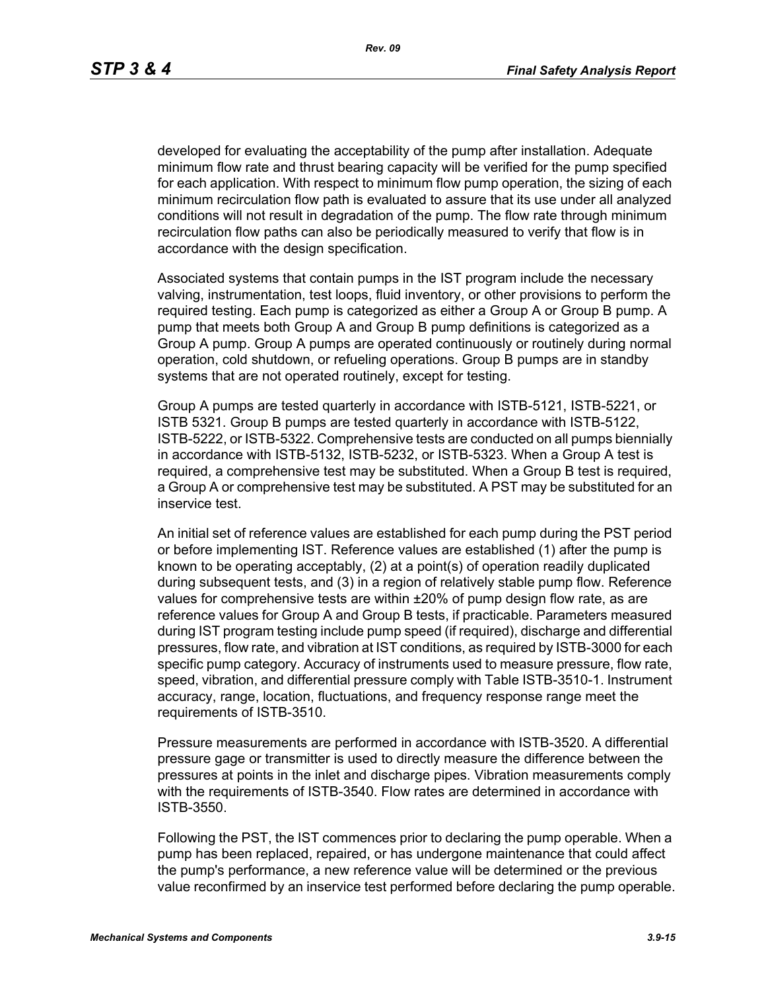developed for evaluating the acceptability of the pump after installation. Adequate minimum flow rate and thrust bearing capacity will be verified for the pump specified for each application. With respect to minimum flow pump operation, the sizing of each minimum recirculation flow path is evaluated to assure that its use under all analyzed conditions will not result in degradation of the pump. The flow rate through minimum recirculation flow paths can also be periodically measured to verify that flow is in accordance with the design specification.

Associated systems that contain pumps in the IST program include the necessary valving, instrumentation, test loops, fluid inventory, or other provisions to perform the required testing. Each pump is categorized as either a Group A or Group B pump. A pump that meets both Group A and Group B pump definitions is categorized as a Group A pump. Group A pumps are operated continuously or routinely during normal operation, cold shutdown, or refueling operations. Group B pumps are in standby systems that are not operated routinely, except for testing.

Group A pumps are tested quarterly in accordance with ISTB-5121, ISTB-5221, or ISTB 5321. Group B pumps are tested quarterly in accordance with ISTB-5122, ISTB-5222, or ISTB-5322. Comprehensive tests are conducted on all pumps biennially in accordance with ISTB-5132, ISTB-5232, or ISTB-5323. When a Group A test is required, a comprehensive test may be substituted. When a Group B test is required, a Group A or comprehensive test may be substituted. A PST may be substituted for an inservice test.

An initial set of reference values are established for each pump during the PST period or before implementing IST. Reference values are established (1) after the pump is known to be operating acceptably, (2) at a point(s) of operation readily duplicated during subsequent tests, and (3) in a region of relatively stable pump flow. Reference values for comprehensive tests are within ±20% of pump design flow rate, as are reference values for Group A and Group B tests, if practicable. Parameters measured during IST program testing include pump speed (if required), discharge and differential pressures, flow rate, and vibration at IST conditions, as required by ISTB-3000 for each specific pump category. Accuracy of instruments used to measure pressure, flow rate, speed, vibration, and differential pressure comply with Table ISTB-3510-1. Instrument accuracy, range, location, fluctuations, and frequency response range meet the requirements of ISTB-3510.

Pressure measurements are performed in accordance with ISTB-3520. A differential pressure gage or transmitter is used to directly measure the difference between the pressures at points in the inlet and discharge pipes. Vibration measurements comply with the requirements of ISTB-3540. Flow rates are determined in accordance with ISTB-3550.

Following the PST, the IST commences prior to declaring the pump operable. When a pump has been replaced, repaired, or has undergone maintenance that could affect the pump's performance, a new reference value will be determined or the previous value reconfirmed by an inservice test performed before declaring the pump operable.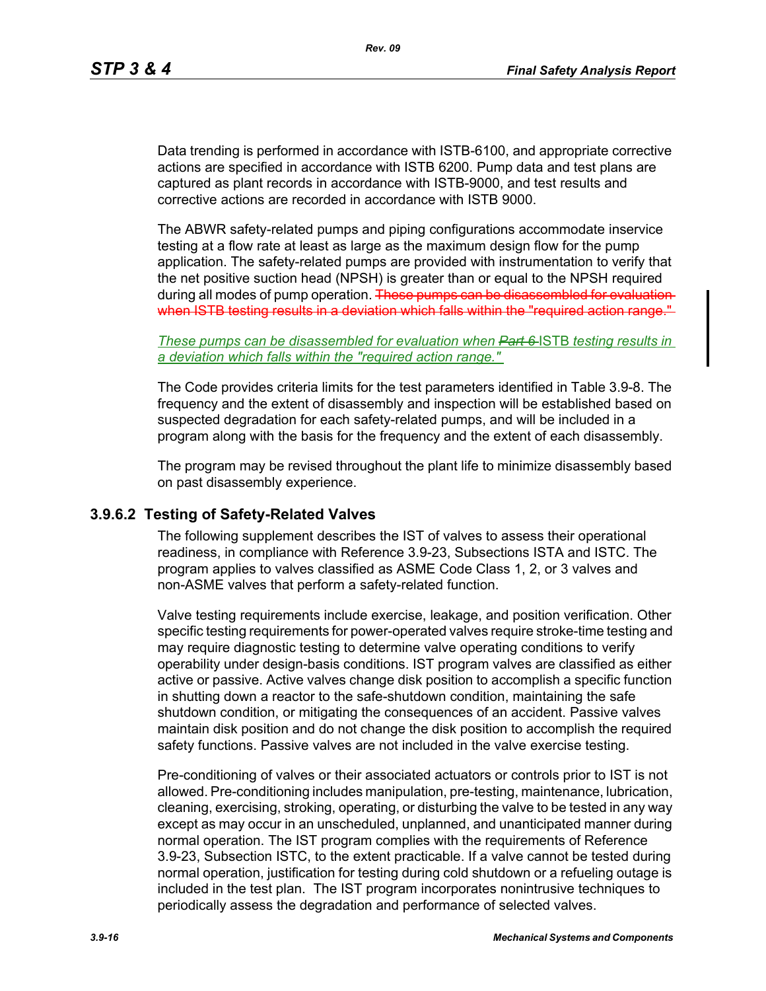Data trending is performed in accordance with ISTB-6100, and appropriate corrective actions are specified in accordance with ISTB 6200. Pump data and test plans are captured as plant records in accordance with ISTB-9000, and test results and corrective actions are recorded in accordance with ISTB 9000.

The ABWR safety-related pumps and piping configurations accommodate inservice testing at a flow rate at least as large as the maximum design flow for the pump application. The safety-related pumps are provided with instrumentation to verify that the net positive suction head (NPSH) is greater than or equal to the NPSH required during all modes of pump operation. These pumps can be disassembled for evaluation when ISTB testing results in a deviation which falls within the "required action range."

*These pumps can be disassembled for evaluation when Part 6* ISTB *testing results in a deviation which falls within the "required action range."*

The Code provides criteria limits for the test parameters identified in Table 3.9-8. The frequency and the extent of disassembly and inspection will be established based on suspected degradation for each safety-related pumps, and will be included in a program along with the basis for the frequency and the extent of each disassembly.

The program may be revised throughout the plant life to minimize disassembly based on past disassembly experience.

#### **3.9.6.2 Testing of Safety-Related Valves**

The following supplement describes the IST of valves to assess their operational readiness, in compliance with Reference 3.9-23, Subsections ISTA and ISTC. The program applies to valves classified as ASME Code Class 1, 2, or 3 valves and non-ASME valves that perform a safety-related function.

Valve testing requirements include exercise, leakage, and position verification. Other specific testing requirements for power-operated valves require stroke-time testing and may require diagnostic testing to determine valve operating conditions to verify operability under design-basis conditions. IST program valves are classified as either active or passive. Active valves change disk position to accomplish a specific function in shutting down a reactor to the safe-shutdown condition, maintaining the safe shutdown condition, or mitigating the consequences of an accident. Passive valves maintain disk position and do not change the disk position to accomplish the required safety functions. Passive valves are not included in the valve exercise testing.

Pre-conditioning of valves or their associated actuators or controls prior to IST is not allowed. Pre-conditioning includes manipulation, pre-testing, maintenance, lubrication, cleaning, exercising, stroking, operating, or disturbing the valve to be tested in any way except as may occur in an unscheduled, unplanned, and unanticipated manner during normal operation. The IST program complies with the requirements of Reference 3.9-23, Subsection ISTC, to the extent practicable. If a valve cannot be tested during normal operation, justification for testing during cold shutdown or a refueling outage is included in the test plan. The IST program incorporates nonintrusive techniques to periodically assess the degradation and performance of selected valves.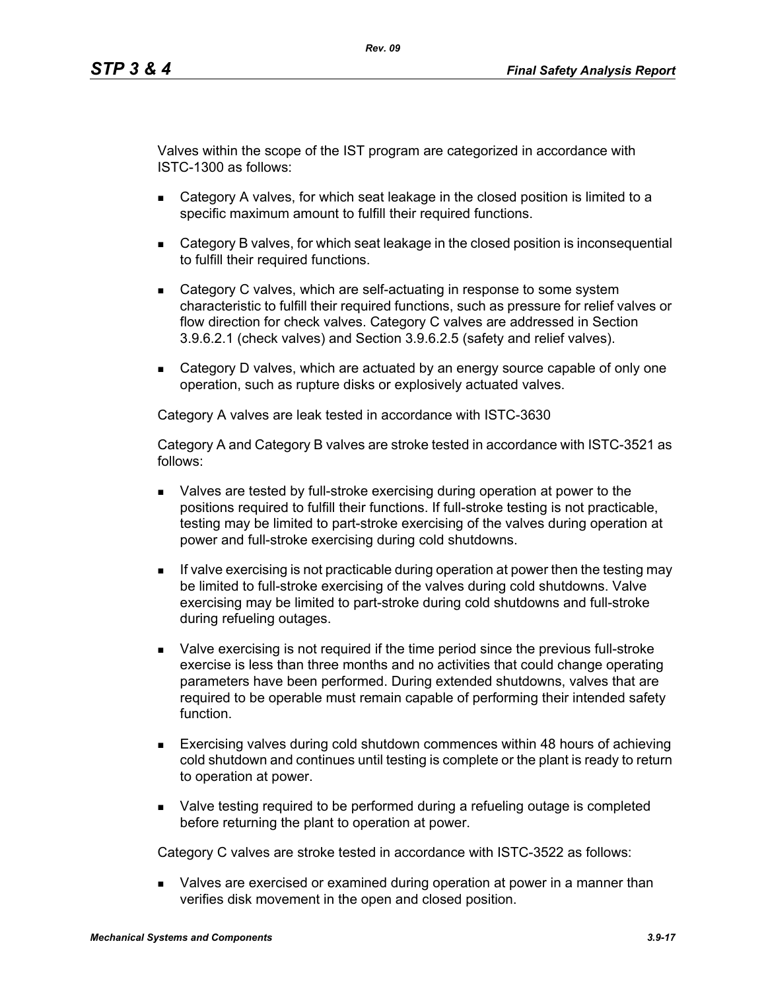Valves within the scope of the IST program are categorized in accordance with ISTC-1300 as follows:

- Category A valves, for which seat leakage in the closed position is limited to a specific maximum amount to fulfill their required functions.
- Category B valves, for which seat leakage in the closed position is inconsequential to fulfill their required functions.
- Category C valves, which are self-actuating in response to some system characteristic to fulfill their required functions, such as pressure for relief valves or flow direction for check valves. Category C valves are addressed in Section 3.9.6.2.1 (check valves) and Section 3.9.6.2.5 (safety and relief valves).
- **EXECTED** Category D valves, which are actuated by an energy source capable of only one operation, such as rupture disks or explosively actuated valves.

Category A valves are leak tested in accordance with ISTC-3630

Category A and Category B valves are stroke tested in accordance with ISTC-3521 as follows:

- Valves are tested by full-stroke exercising during operation at power to the positions required to fulfill their functions. If full-stroke testing is not practicable, testing may be limited to part-stroke exercising of the valves during operation at power and full-stroke exercising during cold shutdowns.
- If valve exercising is not practicable during operation at power then the testing may be limited to full-stroke exercising of the valves during cold shutdowns. Valve exercising may be limited to part-stroke during cold shutdowns and full-stroke during refueling outages.
- Valve exercising is not required if the time period since the previous full-stroke exercise is less than three months and no activities that could change operating parameters have been performed. During extended shutdowns, valves that are required to be operable must remain capable of performing their intended safety function.
- Exercising valves during cold shutdown commences within 48 hours of achieving cold shutdown and continues until testing is complete or the plant is ready to return to operation at power.
- Valve testing required to be performed during a refueling outage is completed before returning the plant to operation at power.

Category C valves are stroke tested in accordance with ISTC-3522 as follows:

 Valves are exercised or examined during operation at power in a manner than verifies disk movement in the open and closed position.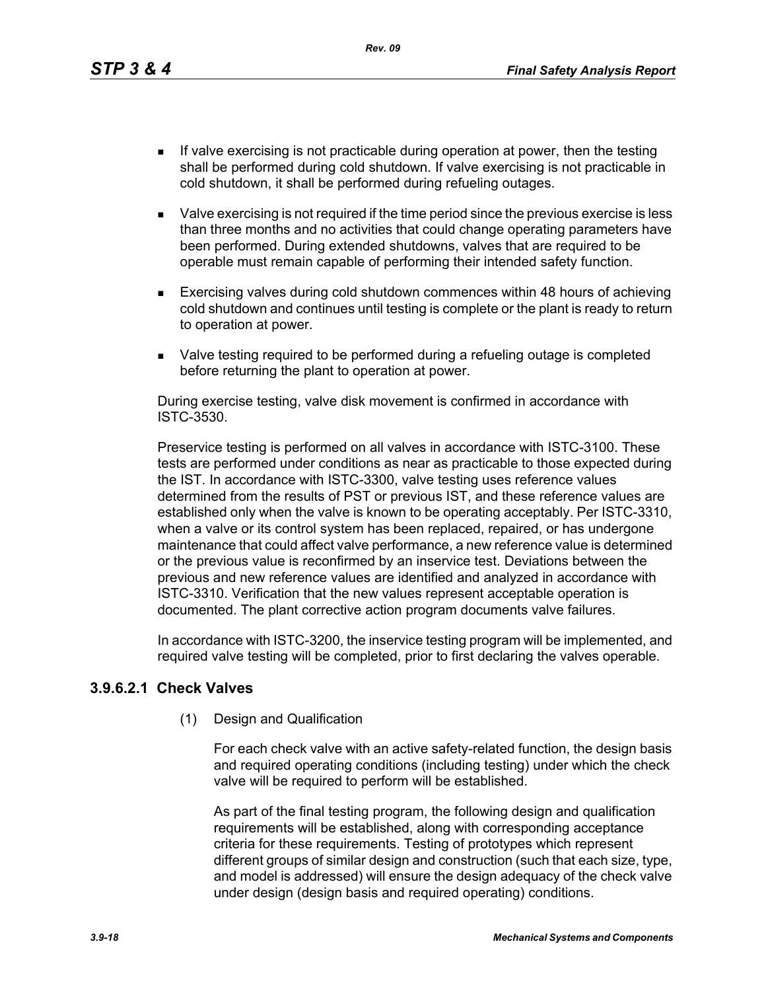*Rev. 09*

- If valve exercising is not practicable during operation at power, then the testing shall be performed during cold shutdown. If valve exercising is not practicable in cold shutdown, it shall be performed during refueling outages.
- Valve exercising is not required if the time period since the previous exercise is less than three months and no activities that could change operating parameters have been performed. During extended shutdowns, valves that are required to be operable must remain capable of performing their intended safety function.
- Exercising valves during cold shutdown commences within 48 hours of achieving cold shutdown and continues until testing is complete or the plant is ready to return to operation at power.
- Valve testing required to be performed during a refueling outage is completed before returning the plant to operation at power.

During exercise testing, valve disk movement is confirmed in accordance with ISTC-3530.

Preservice testing is performed on all valves in accordance with ISTC-3100. These tests are performed under conditions as near as practicable to those expected during the IST. In accordance with ISTC-3300, valve testing uses reference values determined from the results of PST or previous IST, and these reference values are established only when the valve is known to be operating acceptably. Per ISTC-3310, when a valve or its control system has been replaced, repaired, or has undergone maintenance that could affect valve performance, a new reference value is determined or the previous value is reconfirmed by an inservice test. Deviations between the previous and new reference values are identified and analyzed in accordance with ISTC-3310. Verification that the new values represent acceptable operation is documented. The plant corrective action program documents valve failures.

In accordance with ISTC-3200, the inservice testing program will be implemented, and required valve testing will be completed, prior to first declaring the valves operable.

# **3.9.6.2.1 Check Valves**

(1) Design and Qualification

For each check valve with an active safety-related function, the design basis and required operating conditions (including testing) under which the check valve will be required to perform will be established.

As part of the final testing program, the following design and qualification requirements will be established, along with corresponding acceptance criteria for these requirements. Testing of prototypes which represent different groups of similar design and construction (such that each size, type, and model is addressed) will ensure the design adequacy of the check valve under design (design basis and required operating) conditions.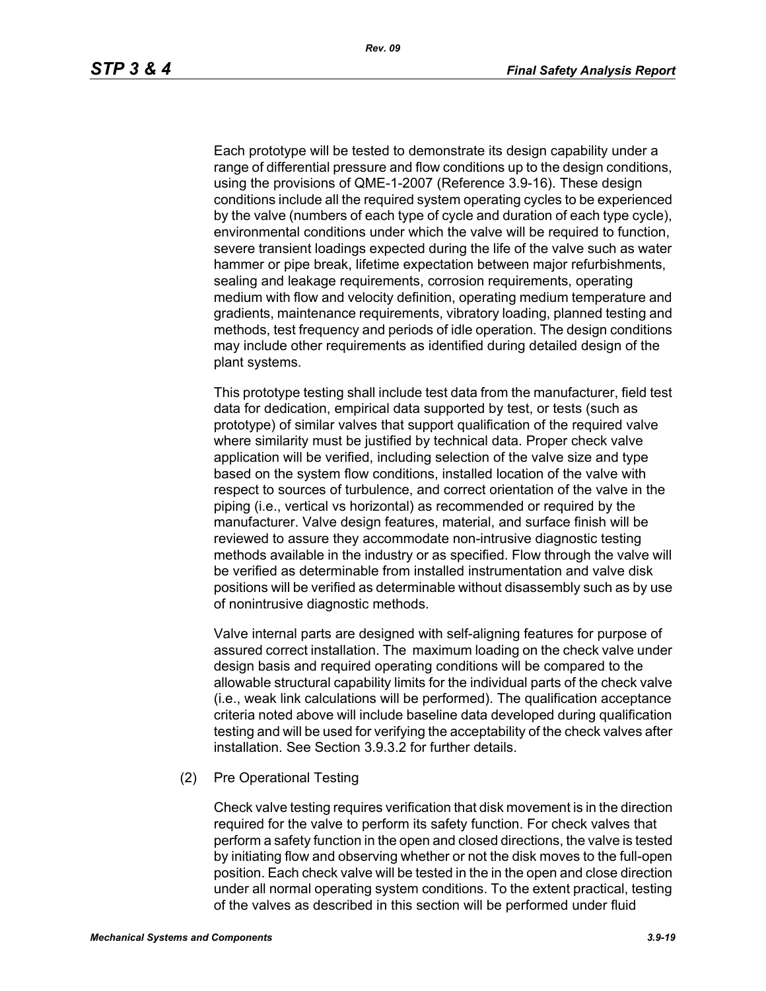Each prototype will be tested to demonstrate its design capability under a range of differential pressure and flow conditions up to the design conditions, using the provisions of QME-1-2007 (Reference 3.9-16). These design conditions include all the required system operating cycles to be experienced by the valve (numbers of each type of cycle and duration of each type cycle), environmental conditions under which the valve will be required to function, severe transient loadings expected during the life of the valve such as water hammer or pipe break, lifetime expectation between major refurbishments, sealing and leakage requirements, corrosion requirements, operating medium with flow and velocity definition, operating medium temperature and gradients, maintenance requirements, vibratory loading, planned testing and methods, test frequency and periods of idle operation. The design conditions may include other requirements as identified during detailed design of the plant systems.

This prototype testing shall include test data from the manufacturer, field test data for dedication, empirical data supported by test, or tests (such as prototype) of similar valves that support qualification of the required valve where similarity must be justified by technical data. Proper check valve application will be verified, including selection of the valve size and type based on the system flow conditions, installed location of the valve with respect to sources of turbulence, and correct orientation of the valve in the piping (i.e., vertical vs horizontal) as recommended or required by the manufacturer. Valve design features, material, and surface finish will be reviewed to assure they accommodate non-intrusive diagnostic testing methods available in the industry or as specified. Flow through the valve will be verified as determinable from installed instrumentation and valve disk positions will be verified as determinable without disassembly such as by use of nonintrusive diagnostic methods.

Valve internal parts are designed with self-aligning features for purpose of assured correct installation. The maximum loading on the check valve under design basis and required operating conditions will be compared to the allowable structural capability limits for the individual parts of the check valve (i.e., weak link calculations will be performed). The qualification acceptance criteria noted above will include baseline data developed during qualification testing and will be used for verifying the acceptability of the check valves after installation. See Section 3.9.3.2 for further details.

(2) Pre Operational Testing

Check valve testing requires verification that disk movement is in the direction required for the valve to perform its safety function. For check valves that perform a safety function in the open and closed directions, the valve is tested by initiating flow and observing whether or not the disk moves to the full-open position. Each check valve will be tested in the in the open and close direction under all normal operating system conditions. To the extent practical, testing of the valves as described in this section will be performed under fluid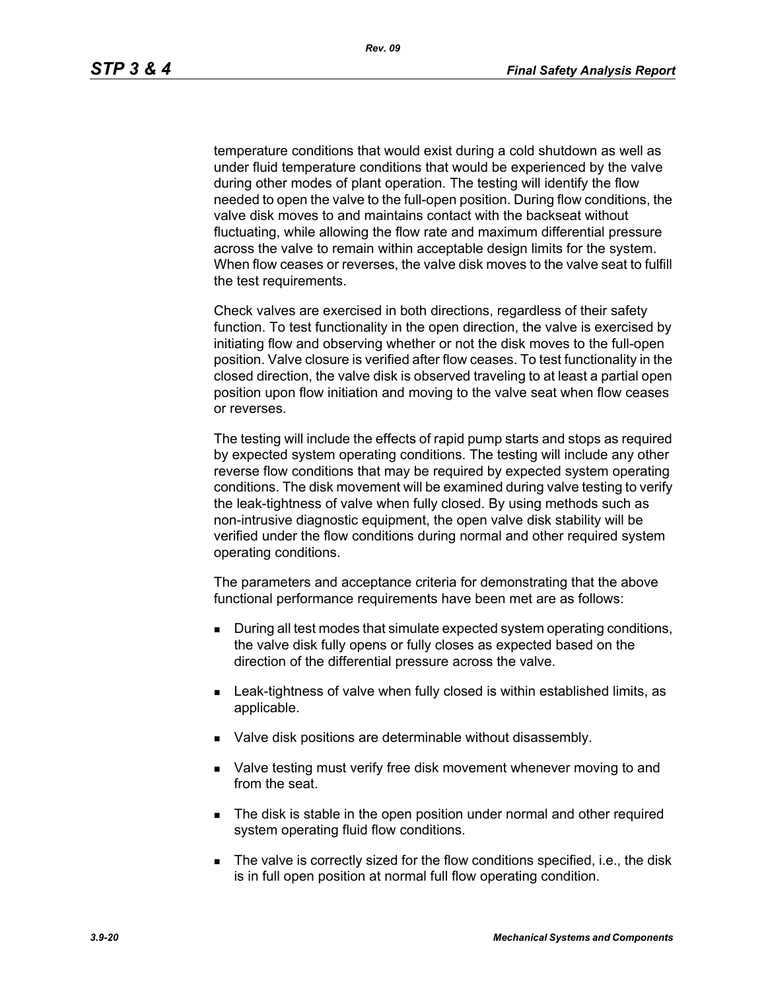temperature conditions that would exist during a cold shutdown as well as under fluid temperature conditions that would be experienced by the valve during other modes of plant operation. The testing will identify the flow needed to open the valve to the full-open position. During flow conditions, the valve disk moves to and maintains contact with the backseat without fluctuating, while allowing the flow rate and maximum differential pressure across the valve to remain within acceptable design limits for the system. When flow ceases or reverses, the valve disk moves to the valve seat to fulfill the test requirements.

Check valves are exercised in both directions, regardless of their safety function. To test functionality in the open direction, the valve is exercised by initiating flow and observing whether or not the disk moves to the full-open position. Valve closure is verified after flow ceases. To test functionality in the closed direction, the valve disk is observed traveling to at least a partial open position upon flow initiation and moving to the valve seat when flow ceases or reverses.

The testing will include the effects of rapid pump starts and stops as required by expected system operating conditions. The testing will include any other reverse flow conditions that may be required by expected system operating conditions. The disk movement will be examined during valve testing to verify the leak-tightness of valve when fully closed. By using methods such as non-intrusive diagnostic equipment, the open valve disk stability will be verified under the flow conditions during normal and other required system operating conditions.

The parameters and acceptance criteria for demonstrating that the above functional performance requirements have been met are as follows:

- During all test modes that simulate expected system operating conditions, the valve disk fully opens or fully closes as expected based on the direction of the differential pressure across the valve.
- **EXECT:** Leak-tightness of valve when fully closed is within established limits, as applicable.
- **Valve disk positions are determinable without disassembly.**
- Valve testing must verify free disk movement whenever moving to and from the seat.
- The disk is stable in the open position under normal and other required system operating fluid flow conditions.
- The valve is correctly sized for the flow conditions specified, i.e., the disk is in full open position at normal full flow operating condition.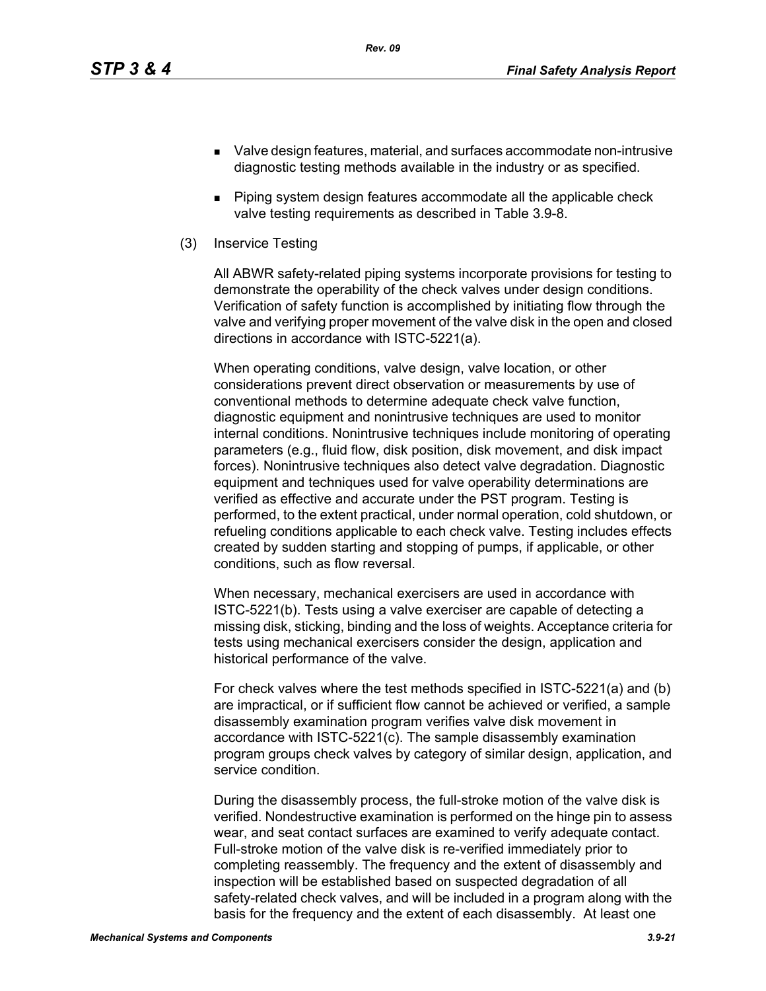- Valve design features, material, and surfaces accommodate non-intrusive diagnostic testing methods available in the industry or as specified.
- **Piping system design features accommodate all the applicable check** valve testing requirements as described in Table 3.9-8.
- (3) Inservice Testing

All ABWR safety-related piping systems incorporate provisions for testing to demonstrate the operability of the check valves under design conditions. Verification of safety function is accomplished by initiating flow through the valve and verifying proper movement of the valve disk in the open and closed directions in accordance with ISTC-5221(a).

When operating conditions, valve design, valve location, or other considerations prevent direct observation or measurements by use of conventional methods to determine adequate check valve function, diagnostic equipment and nonintrusive techniques are used to monitor internal conditions. Nonintrusive techniques include monitoring of operating parameters (e.g., fluid flow, disk position, disk movement, and disk impact forces). Nonintrusive techniques also detect valve degradation. Diagnostic equipment and techniques used for valve operability determinations are verified as effective and accurate under the PST program. Testing is performed, to the extent practical, under normal operation, cold shutdown, or refueling conditions applicable to each check valve. Testing includes effects created by sudden starting and stopping of pumps, if applicable, or other conditions, such as flow reversal.

When necessary, mechanical exercisers are used in accordance with ISTC-5221(b). Tests using a valve exerciser are capable of detecting a missing disk, sticking, binding and the loss of weights. Acceptance criteria for tests using mechanical exercisers consider the design, application and historical performance of the valve.

For check valves where the test methods specified in ISTC-5221(a) and (b) are impractical, or if sufficient flow cannot be achieved or verified, a sample disassembly examination program verifies valve disk movement in accordance with ISTC-5221(c). The sample disassembly examination program groups check valves by category of similar design, application, and service condition.

During the disassembly process, the full-stroke motion of the valve disk is verified. Nondestructive examination is performed on the hinge pin to assess wear, and seat contact surfaces are examined to verify adequate contact. Full-stroke motion of the valve disk is re-verified immediately prior to completing reassembly. The frequency and the extent of disassembly and inspection will be established based on suspected degradation of all safety-related check valves, and will be included in a program along with the basis for the frequency and the extent of each disassembly. At least one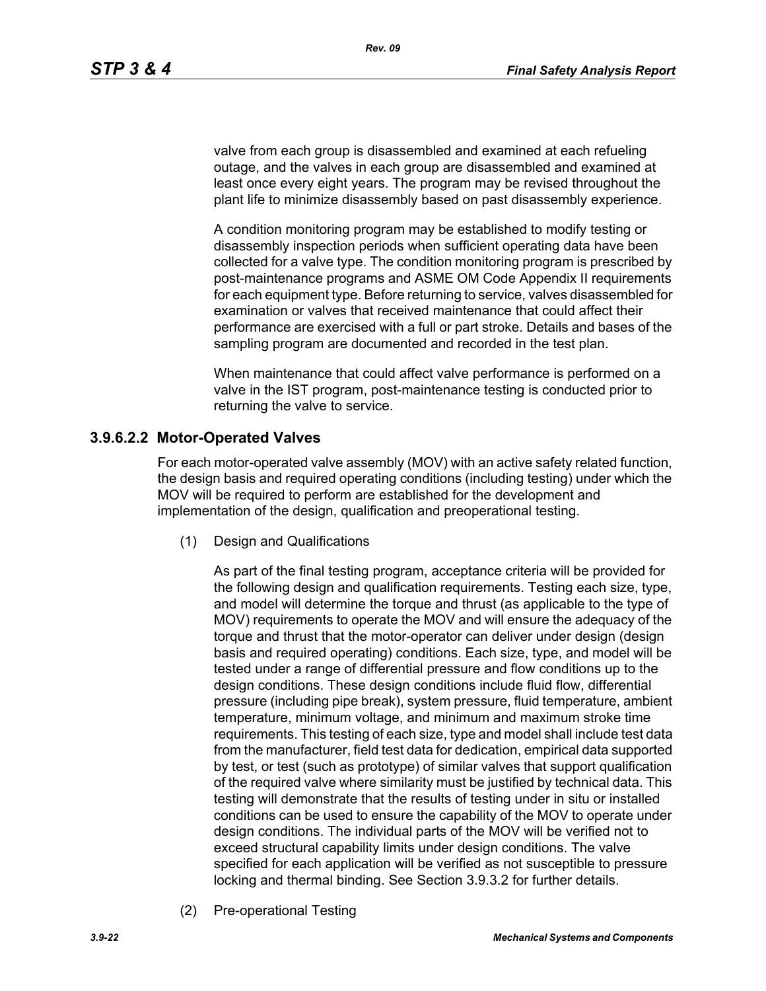valve from each group is disassembled and examined at each refueling outage, and the valves in each group are disassembled and examined at least once every eight years. The program may be revised throughout the plant life to minimize disassembly based on past disassembly experience.

A condition monitoring program may be established to modify testing or disassembly inspection periods when sufficient operating data have been collected for a valve type. The condition monitoring program is prescribed by post-maintenance programs and ASME OM Code Appendix II requirements for each equipment type. Before returning to service, valves disassembled for examination or valves that received maintenance that could affect their performance are exercised with a full or part stroke. Details and bases of the sampling program are documented and recorded in the test plan.

When maintenance that could affect valve performance is performed on a valve in the IST program, post-maintenance testing is conducted prior to returning the valve to service.

#### **3.9.6.2.2 Motor-Operated Valves**

For each motor-operated valve assembly (MOV) with an active safety related function, the design basis and required operating conditions (including testing) under which the MOV will be required to perform are established for the development and implementation of the design, qualification and preoperational testing.

(1) Design and Qualifications

As part of the final testing program, acceptance criteria will be provided for the following design and qualification requirements. Testing each size, type, and model will determine the torque and thrust (as applicable to the type of MOV) requirements to operate the MOV and will ensure the adequacy of the torque and thrust that the motor-operator can deliver under design (design basis and required operating) conditions. Each size, type, and model will be tested under a range of differential pressure and flow conditions up to the design conditions. These design conditions include fluid flow, differential pressure (including pipe break), system pressure, fluid temperature, ambient temperature, minimum voltage, and minimum and maximum stroke time requirements. This testing of each size, type and model shall include test data from the manufacturer, field test data for dedication, empirical data supported by test, or test (such as prototype) of similar valves that support qualification of the required valve where similarity must be justified by technical data. This testing will demonstrate that the results of testing under in situ or installed conditions can be used to ensure the capability of the MOV to operate under design conditions. The individual parts of the MOV will be verified not to exceed structural capability limits under design conditions. The valve specified for each application will be verified as not susceptible to pressure locking and thermal binding. See Section 3.9.3.2 for further details.

(2) Pre-operational Testing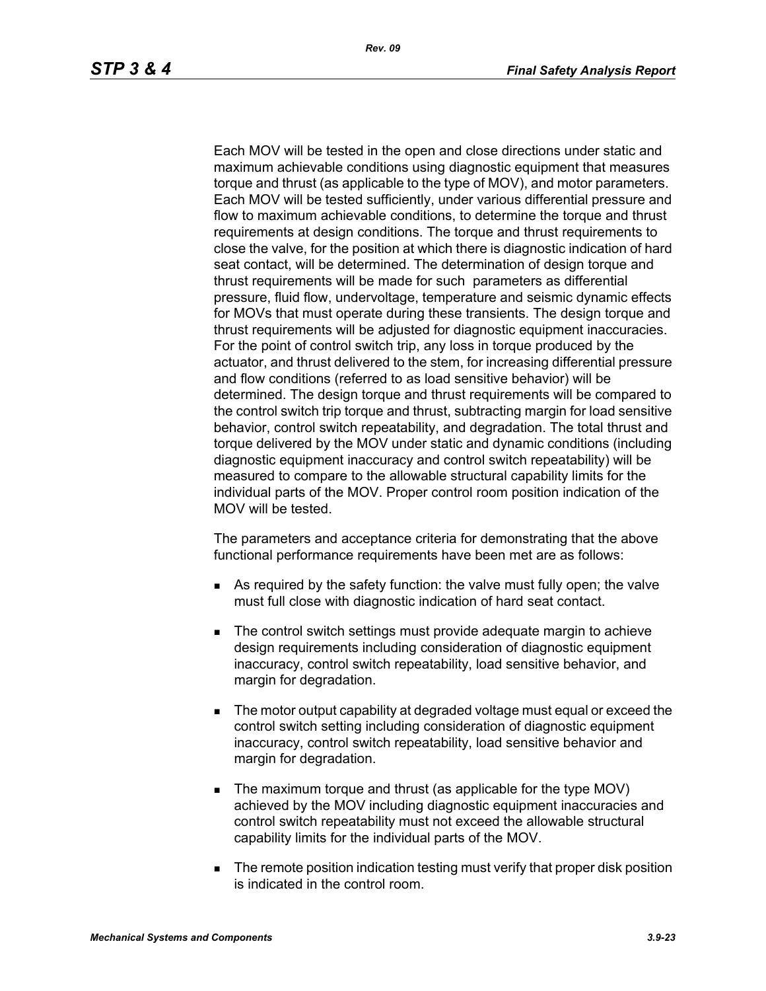Each MOV will be tested in the open and close directions under static and maximum achievable conditions using diagnostic equipment that measures torque and thrust (as applicable to the type of MOV), and motor parameters. Each MOV will be tested sufficiently, under various differential pressure and flow to maximum achievable conditions, to determine the torque and thrust requirements at design conditions. The torque and thrust requirements to close the valve, for the position at which there is diagnostic indication of hard seat contact, will be determined. The determination of design torque and thrust requirements will be made for such parameters as differential pressure, fluid flow, undervoltage, temperature and seismic dynamic effects for MOVs that must operate during these transients. The design torque and thrust requirements will be adjusted for diagnostic equipment inaccuracies. For the point of control switch trip, any loss in torque produced by the actuator, and thrust delivered to the stem, for increasing differential pressure and flow conditions (referred to as load sensitive behavior) will be determined. The design torque and thrust requirements will be compared to the control switch trip torque and thrust, subtracting margin for load sensitive behavior, control switch repeatability, and degradation. The total thrust and torque delivered by the MOV under static and dynamic conditions (including diagnostic equipment inaccuracy and control switch repeatability) will be measured to compare to the allowable structural capability limits for the individual parts of the MOV. Proper control room position indication of the MOV will be tested.

The parameters and acceptance criteria for demonstrating that the above functional performance requirements have been met are as follows:

- As required by the safety function: the valve must fully open; the valve must full close with diagnostic indication of hard seat contact.
- The control switch settings must provide adequate margin to achieve design requirements including consideration of diagnostic equipment inaccuracy, control switch repeatability, load sensitive behavior, and margin for degradation.
- The motor output capability at degraded voltage must equal or exceed the control switch setting including consideration of diagnostic equipment inaccuracy, control switch repeatability, load sensitive behavior and margin for degradation.
- The maximum torque and thrust (as applicable for the type MOV) achieved by the MOV including diagnostic equipment inaccuracies and control switch repeatability must not exceed the allowable structural capability limits for the individual parts of the MOV.
- **The remote position indication testing must verify that proper disk position** is indicated in the control room.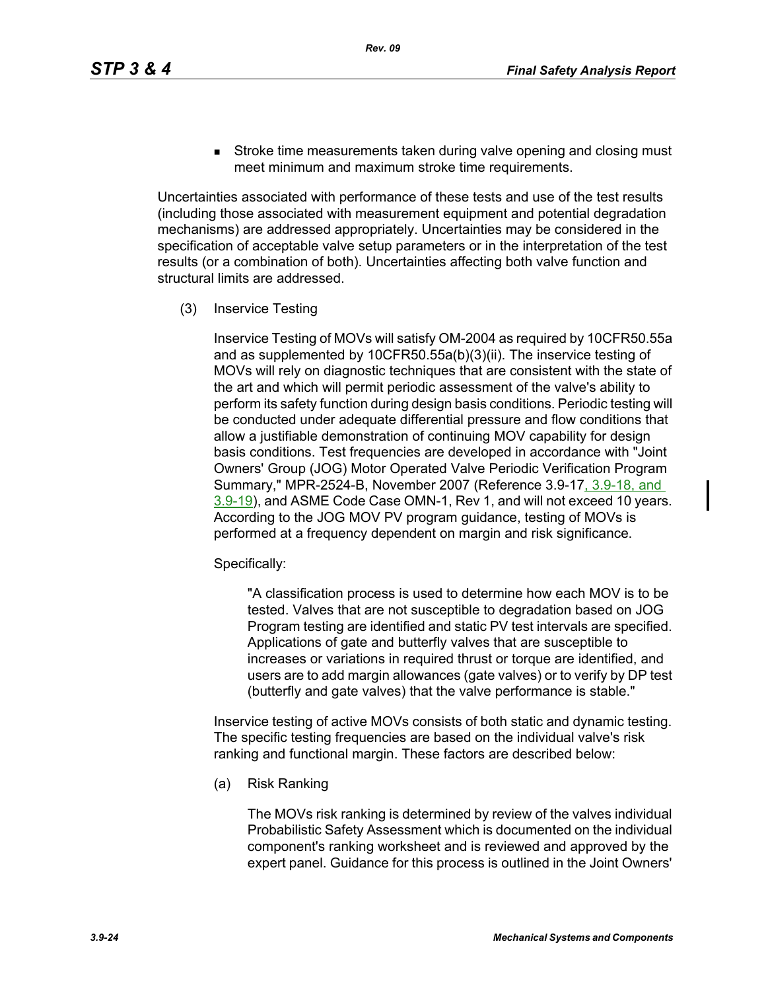**Stroke time measurements taken during valve opening and closing must** meet minimum and maximum stroke time requirements.

Uncertainties associated with performance of these tests and use of the test results (including those associated with measurement equipment and potential degradation mechanisms) are addressed appropriately. Uncertainties may be considered in the specification of acceptable valve setup parameters or in the interpretation of the test results (or a combination of both). Uncertainties affecting both valve function and structural limits are addressed.

(3) Inservice Testing

Inservice Testing of MOVs will satisfy OM-2004 as required by 10CFR50.55a and as supplemented by 10CFR50.55a(b)(3)(ii). The inservice testing of MOVs will rely on diagnostic techniques that are consistent with the state of the art and which will permit periodic assessment of the valve's ability to perform its safety function during design basis conditions. Periodic testing will be conducted under adequate differential pressure and flow conditions that allow a justifiable demonstration of continuing MOV capability for design basis conditions. Test frequencies are developed in accordance with "Joint Owners' Group (JOG) Motor Operated Valve Periodic Verification Program Summary," MPR-2524-B, November 2007 (Reference 3.9-17, 3.9-18, and 3.9-19), and ASME Code Case OMN-1, Rev 1, and will not exceed 10 years. According to the JOG MOV PV program guidance, testing of MOVs is performed at a frequency dependent on margin and risk significance.

Specifically:

"A classification process is used to determine how each MOV is to be tested. Valves that are not susceptible to degradation based on JOG Program testing are identified and static PV test intervals are specified. Applications of gate and butterfly valves that are susceptible to increases or variations in required thrust or torque are identified, and users are to add margin allowances (gate valves) or to verify by DP test (butterfly and gate valves) that the valve performance is stable."

Inservice testing of active MOVs consists of both static and dynamic testing. The specific testing frequencies are based on the individual valve's risk ranking and functional margin. These factors are described below:

(a) Risk Ranking

The MOVs risk ranking is determined by review of the valves individual Probabilistic Safety Assessment which is documented on the individual component's ranking worksheet and is reviewed and approved by the expert panel. Guidance for this process is outlined in the Joint Owners'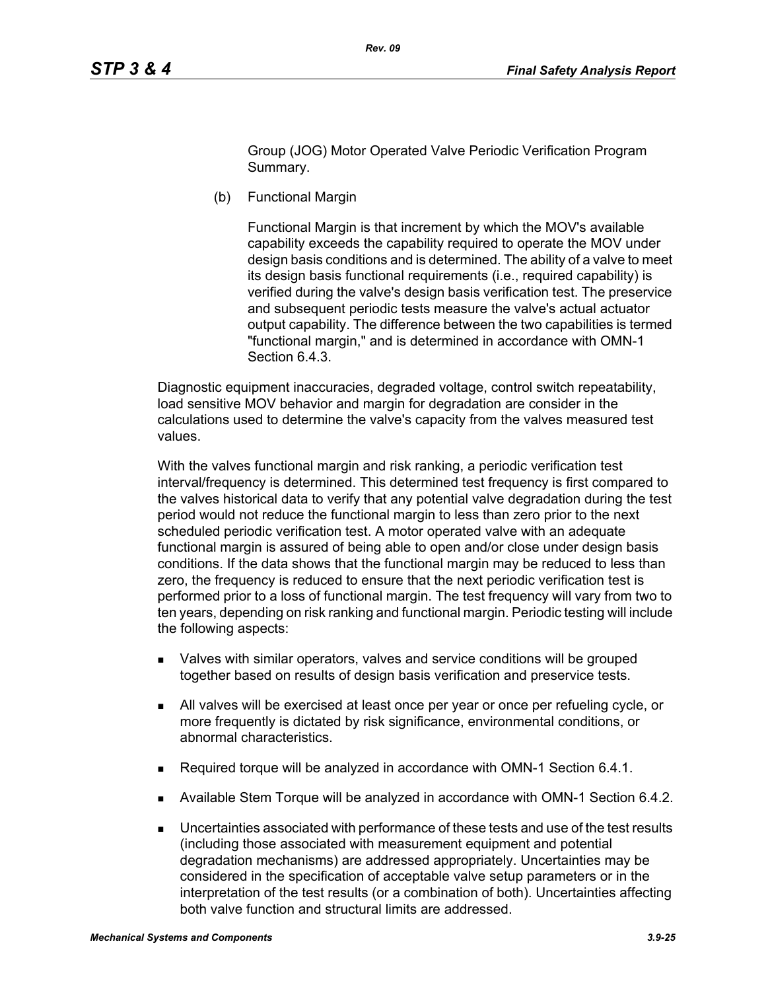Group (JOG) Motor Operated Valve Periodic Verification Program Summary.

(b) Functional Margin

Functional Margin is that increment by which the MOV's available capability exceeds the capability required to operate the MOV under design basis conditions and is determined. The ability of a valve to meet its design basis functional requirements (i.e., required capability) is verified during the valve's design basis verification test. The preservice and subsequent periodic tests measure the valve's actual actuator output capability. The difference between the two capabilities is termed "functional margin," and is determined in accordance with OMN-1 Section 6.4.3.

Diagnostic equipment inaccuracies, degraded voltage, control switch repeatability, load sensitive MOV behavior and margin for degradation are consider in the calculations used to determine the valve's capacity from the valves measured test values.

With the valves functional margin and risk ranking, a periodic verification test interval/frequency is determined. This determined test frequency is first compared to the valves historical data to verify that any potential valve degradation during the test period would not reduce the functional margin to less than zero prior to the next scheduled periodic verification test. A motor operated valve with an adequate functional margin is assured of being able to open and/or close under design basis conditions. If the data shows that the functional margin may be reduced to less than zero, the frequency is reduced to ensure that the next periodic verification test is performed prior to a loss of functional margin. The test frequency will vary from two to ten years, depending on risk ranking and functional margin. Periodic testing will include the following aspects:

- Valves with similar operators, valves and service conditions will be grouped together based on results of design basis verification and preservice tests.
- All valves will be exercised at least once per year or once per refueling cycle, or more frequently is dictated by risk significance, environmental conditions, or abnormal characteristics.
- Required torque will be analyzed in accordance with OMN-1 Section 6.4.1.
- Available Stem Torque will be analyzed in accordance with OMN-1 Section 6.4.2.
- Uncertainties associated with performance of these tests and use of the test results (including those associated with measurement equipment and potential degradation mechanisms) are addressed appropriately. Uncertainties may be considered in the specification of acceptable valve setup parameters or in the interpretation of the test results (or a combination of both). Uncertainties affecting both valve function and structural limits are addressed.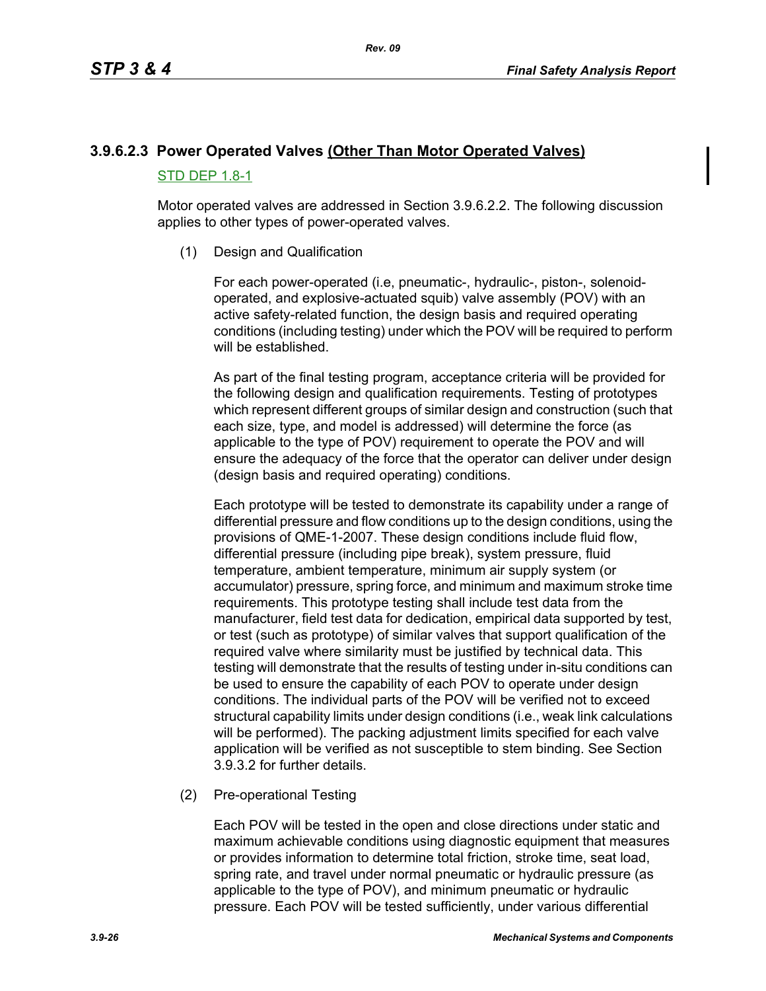# **3.9.6.2.3 Power Operated Valves (Other Than Motor Operated Valves)** STD DEP 1.8-1

Motor operated valves are addressed in Section 3.9.6.2.2. The following discussion applies to other types of power-operated valves.

(1) Design and Qualification

For each power-operated (i.e, pneumatic-, hydraulic-, piston-, solenoidoperated, and explosive-actuated squib) valve assembly (POV) with an active safety-related function, the design basis and required operating conditions (including testing) under which the POV will be required to perform will be established.

As part of the final testing program, acceptance criteria will be provided for the following design and qualification requirements. Testing of prototypes which represent different groups of similar design and construction (such that each size, type, and model is addressed) will determine the force (as applicable to the type of POV) requirement to operate the POV and will ensure the adequacy of the force that the operator can deliver under design (design basis and required operating) conditions.

Each prototype will be tested to demonstrate its capability under a range of differential pressure and flow conditions up to the design conditions, using the provisions of QME-1-2007. These design conditions include fluid flow, differential pressure (including pipe break), system pressure, fluid temperature, ambient temperature, minimum air supply system (or accumulator) pressure, spring force, and minimum and maximum stroke time requirements. This prototype testing shall include test data from the manufacturer, field test data for dedication, empirical data supported by test, or test (such as prototype) of similar valves that support qualification of the required valve where similarity must be justified by technical data. This testing will demonstrate that the results of testing under in-situ conditions can be used to ensure the capability of each POV to operate under design conditions. The individual parts of the POV will be verified not to exceed structural capability limits under design conditions (i.e., weak link calculations will be performed). The packing adjustment limits specified for each valve application will be verified as not susceptible to stem binding. See Section 3.9.3.2 for further details.

(2) Pre-operational Testing

Each POV will be tested in the open and close directions under static and maximum achievable conditions using diagnostic equipment that measures or provides information to determine total friction, stroke time, seat load, spring rate, and travel under normal pneumatic or hydraulic pressure (as applicable to the type of POV), and minimum pneumatic or hydraulic pressure. Each POV will be tested sufficiently, under various differential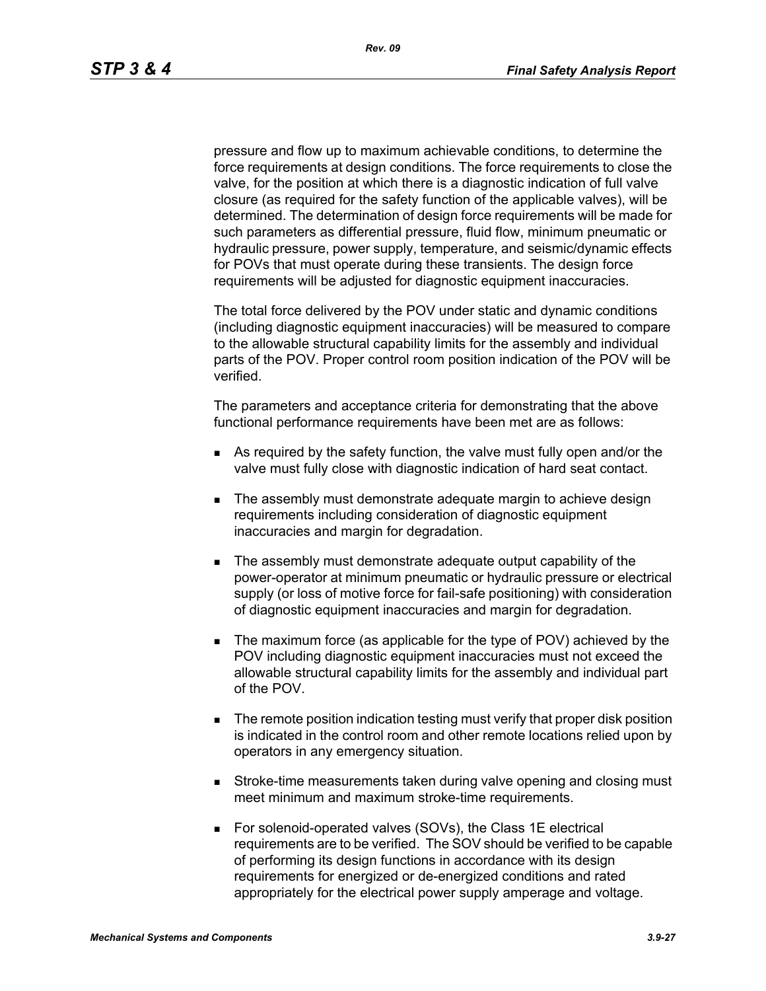pressure and flow up to maximum achievable conditions, to determine the force requirements at design conditions. The force requirements to close the valve, for the position at which there is a diagnostic indication of full valve closure (as required for the safety function of the applicable valves), will be determined. The determination of design force requirements will be made for such parameters as differential pressure, fluid flow, minimum pneumatic or hydraulic pressure, power supply, temperature, and seismic/dynamic effects for POVs that must operate during these transients. The design force requirements will be adjusted for diagnostic equipment inaccuracies.

The total force delivered by the POV under static and dynamic conditions (including diagnostic equipment inaccuracies) will be measured to compare to the allowable structural capability limits for the assembly and individual parts of the POV. Proper control room position indication of the POV will be verified.

The parameters and acceptance criteria for demonstrating that the above functional performance requirements have been met are as follows:

- As required by the safety function, the valve must fully open and/or the valve must fully close with diagnostic indication of hard seat contact.
- **The assembly must demonstrate adequate margin to achieve design** requirements including consideration of diagnostic equipment inaccuracies and margin for degradation.
- The assembly must demonstrate adequate output capability of the power-operator at minimum pneumatic or hydraulic pressure or electrical supply (or loss of motive force for fail-safe positioning) with consideration of diagnostic equipment inaccuracies and margin for degradation.
- The maximum force (as applicable for the type of POV) achieved by the POV including diagnostic equipment inaccuracies must not exceed the allowable structural capability limits for the assembly and individual part of the POV.
- **The remote position indication testing must verify that proper disk position** is indicated in the control room and other remote locations relied upon by operators in any emergency situation.
- **Stroke-time measurements taken during valve opening and closing must** meet minimum and maximum stroke-time requirements.
- For solenoid-operated valves (SOVs), the Class 1E electrical requirements are to be verified. The SOV should be verified to be capable of performing its design functions in accordance with its design requirements for energized or de-energized conditions and rated appropriately for the electrical power supply amperage and voltage.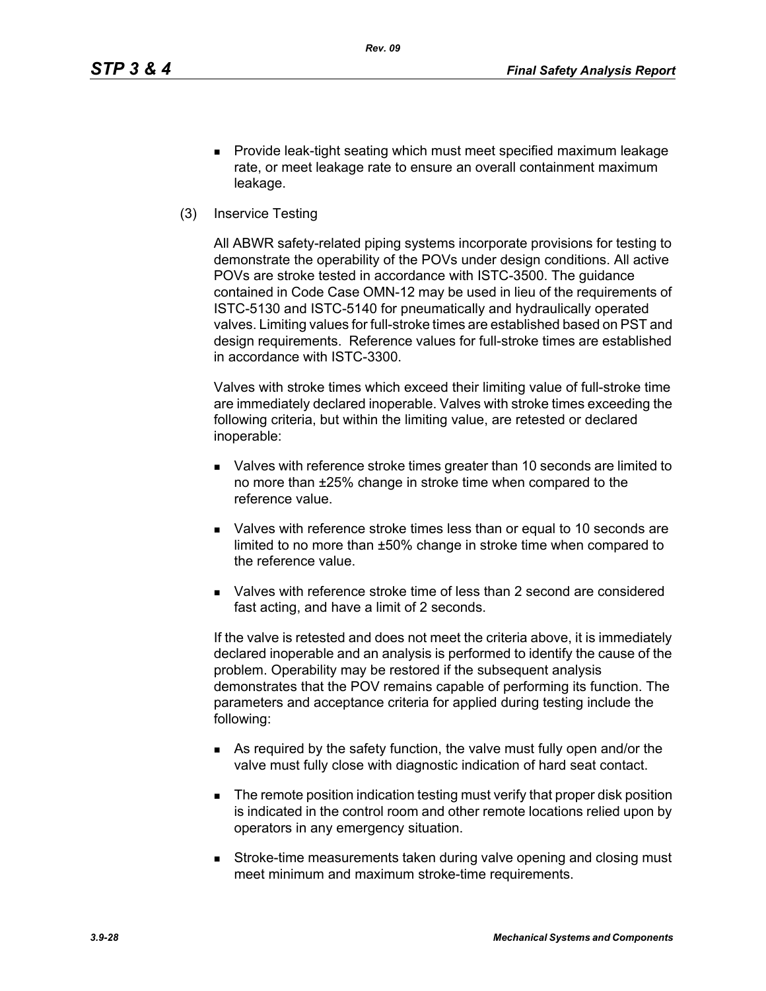- **Provide leak-tight seating which must meet specified maximum leakage** rate, or meet leakage rate to ensure an overall containment maximum leakage.
- (3) Inservice Testing

All ABWR safety-related piping systems incorporate provisions for testing to demonstrate the operability of the POVs under design conditions. All active POVs are stroke tested in accordance with ISTC-3500. The guidance contained in Code Case OMN-12 may be used in lieu of the requirements of ISTC-5130 and ISTC-5140 for pneumatically and hydraulically operated valves. Limiting values for full-stroke times are established based on PST and design requirements. Reference values for full-stroke times are established in accordance with ISTC-3300.

Valves with stroke times which exceed their limiting value of full-stroke time are immediately declared inoperable. Valves with stroke times exceeding the following criteria, but within the limiting value, are retested or declared inoperable:

- Valves with reference stroke times greater than 10 seconds are limited to no more than ±25% change in stroke time when compared to the reference value.
- Valves with reference stroke times less than or equal to 10 seconds are limited to no more than ±50% change in stroke time when compared to the reference value.
- Valves with reference stroke time of less than 2 second are considered fast acting, and have a limit of 2 seconds.

If the valve is retested and does not meet the criteria above, it is immediately declared inoperable and an analysis is performed to identify the cause of the problem. Operability may be restored if the subsequent analysis demonstrates that the POV remains capable of performing its function. The parameters and acceptance criteria for applied during testing include the following:

- As required by the safety function, the valve must fully open and/or the valve must fully close with diagnostic indication of hard seat contact.
- **The remote position indication testing must verify that proper disk position** is indicated in the control room and other remote locations relied upon by operators in any emergency situation.
- **Stroke-time measurements taken during valve opening and closing must** meet minimum and maximum stroke-time requirements.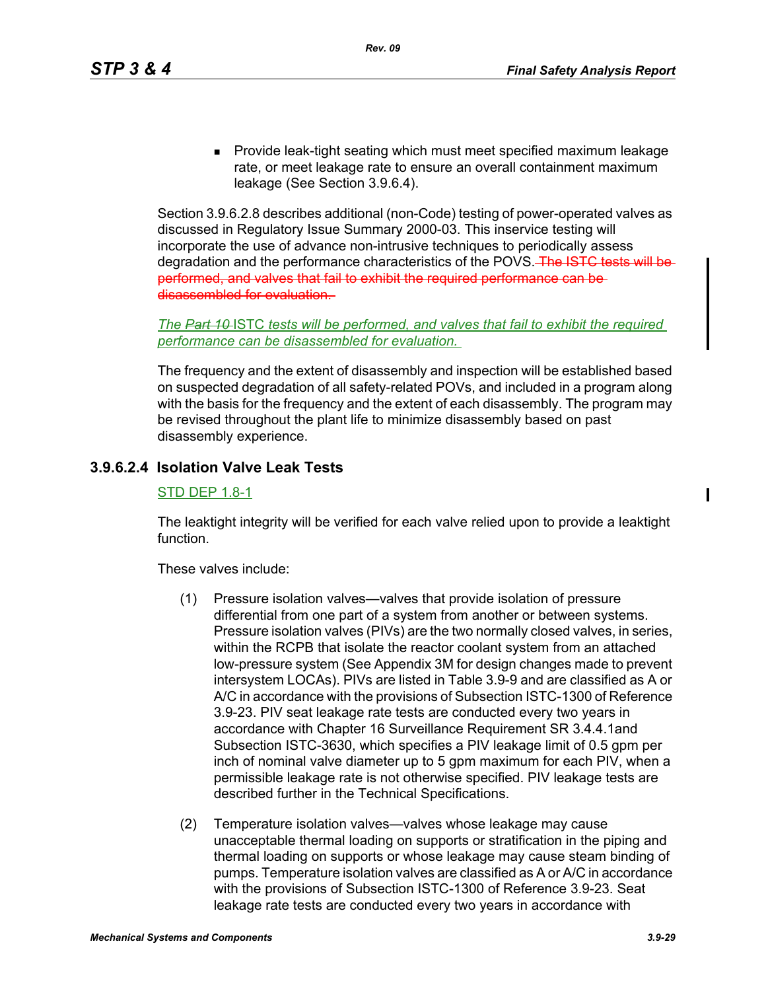**Provide leak-tight seating which must meet specified maximum leakage** rate, or meet leakage rate to ensure an overall containment maximum leakage (See Section 3.9.6.4).

Section 3.9.6.2.8 describes additional (non-Code) testing of power-operated valves as discussed in Regulatory Issue Summary 2000-03. This inservice testing will incorporate the use of advance non-intrusive techniques to periodically assess degradation and the performance characteristics of the POVS. The ISTC tests will be performed, and valves that fail to exhibit the required performance can be disassembled for evaluation.

*The Part 10* ISTC *tests will be performed, and valves that fail to exhibit the required performance can be disassembled for evaluation.* 

The frequency and the extent of disassembly and inspection will be established based on suspected degradation of all safety-related POVs, and included in a program along with the basis for the frequency and the extent of each disassembly. The program may be revised throughout the plant life to minimize disassembly based on past disassembly experience.

# **3.9.6.2.4 Isolation Valve Leak Tests**

#### STD DEP 1.8-1

The leaktight integrity will be verified for each valve relied upon to provide a leaktight function.

These valves include:

- (1) Pressure isolation valves—valves that provide isolation of pressure differential from one part of a system from another or between systems. Pressure isolation valves (PIVs) are the two normally closed valves, in series, within the RCPB that isolate the reactor coolant system from an attached low-pressure system (See Appendix 3M for design changes made to prevent intersystem LOCAs). PIVs are listed in Table 3.9-9 and are classified as A or A/C in accordance with the provisions of Subsection ISTC-1300 of Reference 3.9-23. PIV seat leakage rate tests are conducted every two years in accordance with Chapter 16 Surveillance Requirement SR 3.4.4.1and Subsection ISTC-3630, which specifies a PIV leakage limit of 0.5 gpm per inch of nominal valve diameter up to 5 gpm maximum for each PIV, when a permissible leakage rate is not otherwise specified. PIV leakage tests are described further in the Technical Specifications.
- (2) Temperature isolation valves—valves whose leakage may cause unacceptable thermal loading on supports or stratification in the piping and thermal loading on supports or whose leakage may cause steam binding of pumps. Temperature isolation valves are classified as A or A/C in accordance with the provisions of Subsection ISTC-1300 of Reference 3.9-23. Seat leakage rate tests are conducted every two years in accordance with

ı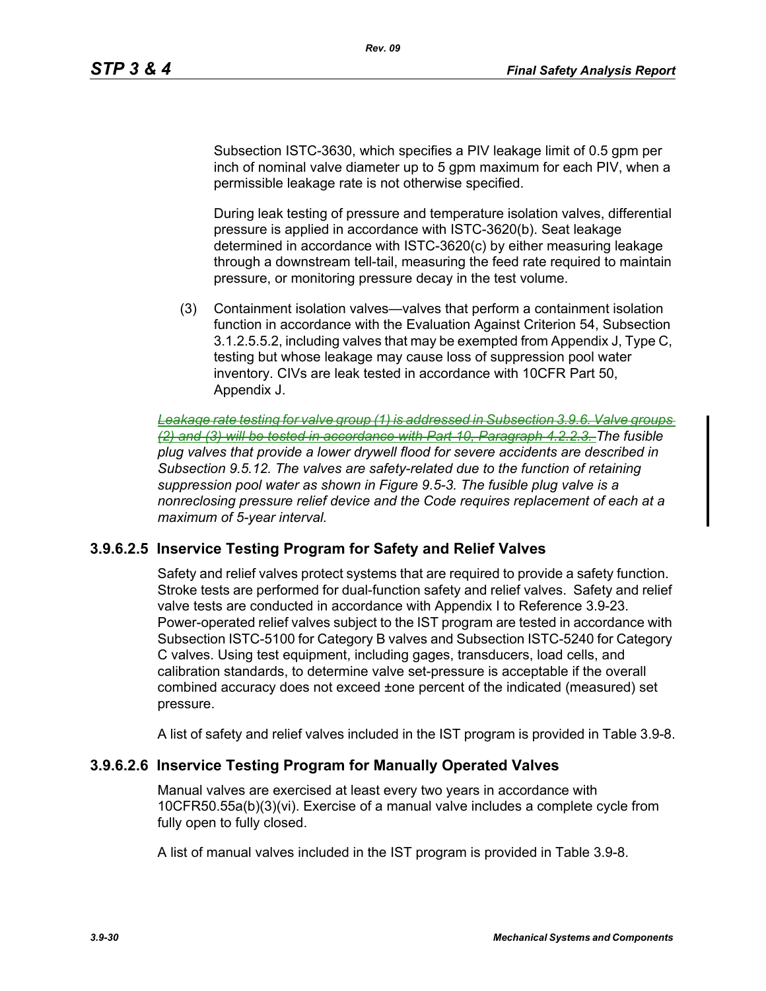Subsection ISTC-3630, which specifies a PIV leakage limit of 0.5 gpm per inch of nominal valve diameter up to 5 gpm maximum for each PIV, when a permissible leakage rate is not otherwise specified.

*Rev. 09*

During leak testing of pressure and temperature isolation valves, differential pressure is applied in accordance with ISTC-3620(b). Seat leakage determined in accordance with ISTC-3620(c) by either measuring leakage through a downstream tell-tail, measuring the feed rate required to maintain pressure, or monitoring pressure decay in the test volume.

(3) Containment isolation valves—valves that perform a containment isolation function in accordance with the Evaluation Against Criterion 54, Subsection 3.1.2.5.5.2, including valves that may be exempted from Appendix J, Type C, testing but whose leakage may cause loss of suppression pool water inventory. CIVs are leak tested in accordance with 10CFR Part 50, Appendix J.

*Leakage rate testing for valve group (1) is addressed in Subsection 3.9.6. Valve groups (2) and (3) will be tested in accordance with Part 10, Paragraph 4.2.2.3. The fusible plug valves that provide a lower drywell flood for severe accidents are described in Subsection 9.5.12. The valves are safety-related due to the function of retaining suppression pool water as shown in Figure 9.5-3. The fusible plug valve is a nonreclosing pressure relief device and the Code requires replacement of each at a maximum of 5-year interval.*

# **3.9.6.2.5 Inservice Testing Program for Safety and Relief Valves**

Safety and relief valves protect systems that are required to provide a safety function. Stroke tests are performed for dual-function safety and relief valves. Safety and relief valve tests are conducted in accordance with Appendix I to Reference 3.9-23. Power-operated relief valves subject to the IST program are tested in accordance with Subsection ISTC-5100 for Category B valves and Subsection ISTC-5240 for Category C valves. Using test equipment, including gages, transducers, load cells, and calibration standards, to determine valve set-pressure is acceptable if the overall combined accuracy does not exceed ±one percent of the indicated (measured) set pressure.

A list of safety and relief valves included in the IST program is provided in Table 3.9-8.

#### **3.9.6.2.6 Inservice Testing Program for Manually Operated Valves**

Manual valves are exercised at least every two years in accordance with 10CFR50.55a(b)(3)(vi). Exercise of a manual valve includes a complete cycle from fully open to fully closed.

A list of manual valves included in the IST program is provided in Table 3.9-8.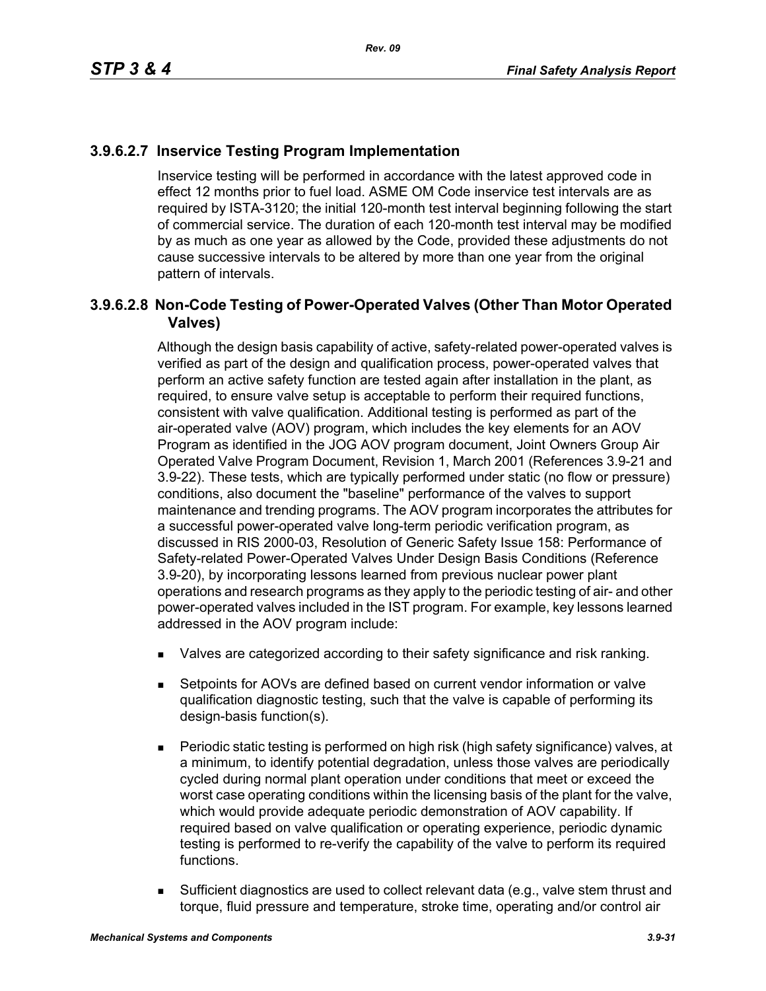# **3.9.6.2.7 Inservice Testing Program Implementation**

Inservice testing will be performed in accordance with the latest approved code in effect 12 months prior to fuel load. ASME OM Code inservice test intervals are as required by ISTA-3120; the initial 120-month test interval beginning following the start of commercial service. The duration of each 120-month test interval may be modified by as much as one year as allowed by the Code, provided these adjustments do not cause successive intervals to be altered by more than one year from the original pattern of intervals.

# **3.9.6.2.8 Non-Code Testing of Power-Operated Valves (Other Than Motor Operated Valves)**

Although the design basis capability of active, safety-related power-operated valves is verified as part of the design and qualification process, power-operated valves that perform an active safety function are tested again after installation in the plant, as required, to ensure valve setup is acceptable to perform their required functions, consistent with valve qualification. Additional testing is performed as part of the air-operated valve (AOV) program, which includes the key elements for an AOV Program as identified in the JOG AOV program document, Joint Owners Group Air Operated Valve Program Document, Revision 1, March 2001 (References 3.9-21 and 3.9-22). These tests, which are typically performed under static (no flow or pressure) conditions, also document the "baseline" performance of the valves to support maintenance and trending programs. The AOV program incorporates the attributes for a successful power-operated valve long-term periodic verification program, as discussed in RIS 2000-03, Resolution of Generic Safety Issue 158: Performance of Safety-related Power-Operated Valves Under Design Basis Conditions (Reference 3.9-20), by incorporating lessons learned from previous nuclear power plant operations and research programs as they apply to the periodic testing of air- and other power-operated valves included in the IST program. For example, key lessons learned addressed in the AOV program include:

- **Nalves are categorized according to their safety significance and risk ranking.**
- Setpoints for AOVs are defined based on current vendor information or valve qualification diagnostic testing, such that the valve is capable of performing its design-basis function(s).
- Periodic static testing is performed on high risk (high safety significance) valves, at a minimum, to identify potential degradation, unless those valves are periodically cycled during normal plant operation under conditions that meet or exceed the worst case operating conditions within the licensing basis of the plant for the valve, which would provide adequate periodic demonstration of AOV capability. If required based on valve qualification or operating experience, periodic dynamic testing is performed to re-verify the capability of the valve to perform its required functions.
- **Sufficient diagnostics are used to collect relevant data (e.g., valve stem thrust and** torque, fluid pressure and temperature, stroke time, operating and/or control air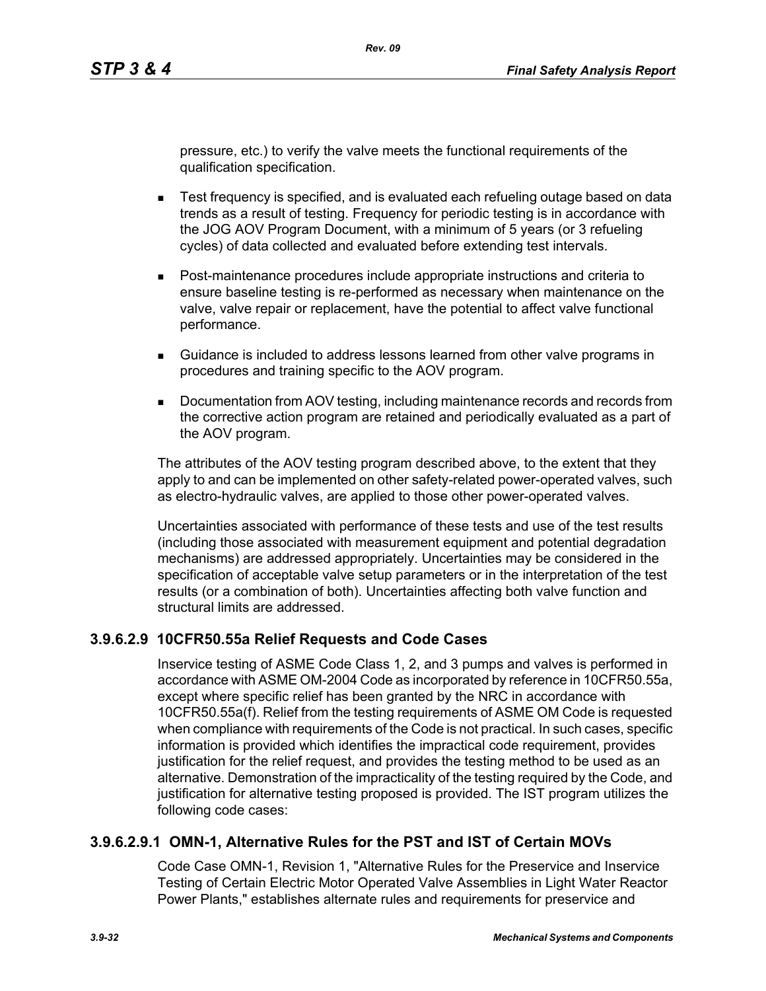pressure, etc.) to verify the valve meets the functional requirements of the qualification specification.

- **EXECT** FREE TEST frequency is specified, and is evaluated each refueling outage based on data trends as a result of testing. Frequency for periodic testing is in accordance with the JOG AOV Program Document, with a minimum of 5 years (or 3 refueling cycles) of data collected and evaluated before extending test intervals.
- Post-maintenance procedures include appropriate instructions and criteria to ensure baseline testing is re-performed as necessary when maintenance on the valve, valve repair or replacement, have the potential to affect valve functional performance.
- Guidance is included to address lessons learned from other valve programs in procedures and training specific to the AOV program.
- Documentation from AOV testing, including maintenance records and records from the corrective action program are retained and periodically evaluated as a part of the AOV program.

The attributes of the AOV testing program described above, to the extent that they apply to and can be implemented on other safety-related power-operated valves, such as electro-hydraulic valves, are applied to those other power-operated valves.

Uncertainties associated with performance of these tests and use of the test results (including those associated with measurement equipment and potential degradation mechanisms) are addressed appropriately. Uncertainties may be considered in the specification of acceptable valve setup parameters or in the interpretation of the test results (or a combination of both). Uncertainties affecting both valve function and structural limits are addressed.

# **3.9.6.2.9 10CFR50.55a Relief Requests and Code Cases**

Inservice testing of ASME Code Class 1, 2, and 3 pumps and valves is performed in accordance with ASME OM-2004 Code as incorporated by reference in 10CFR50.55a, except where specific relief has been granted by the NRC in accordance with 10CFR50.55a(f). Relief from the testing requirements of ASME OM Code is requested when compliance with requirements of the Code is not practical. In such cases, specific information is provided which identifies the impractical code requirement, provides justification for the relief request, and provides the testing method to be used as an alternative. Demonstration of the impracticality of the testing required by the Code, and justification for alternative testing proposed is provided. The IST program utilizes the following code cases:

# **3.9.6.2.9.1 OMN-1, Alternative Rules for the PST and IST of Certain MOVs**

Code Case OMN-1, Revision 1, "Alternative Rules for the Preservice and Inservice Testing of Certain Electric Motor Operated Valve Assemblies in Light Water Reactor Power Plants," establishes alternate rules and requirements for preservice and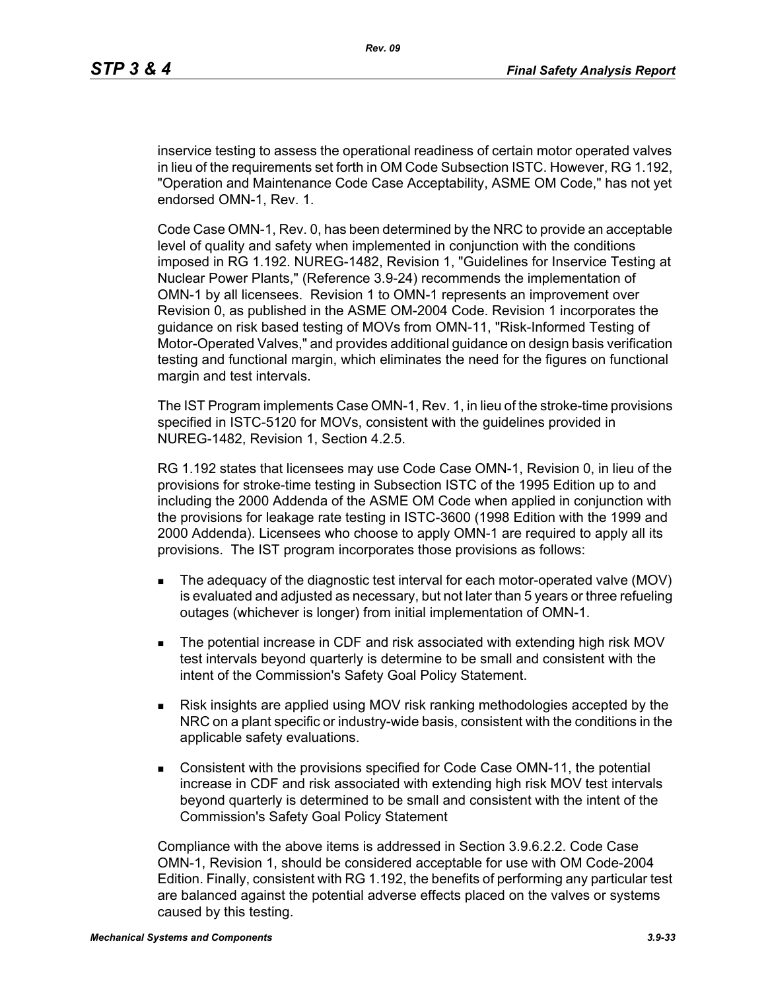inservice testing to assess the operational readiness of certain motor operated valves in lieu of the requirements set forth in OM Code Subsection ISTC. However, RG 1.192, "Operation and Maintenance Code Case Acceptability, ASME OM Code," has not yet endorsed OMN-1, Rev. 1.

Code Case OMN-1, Rev. 0, has been determined by the NRC to provide an acceptable level of quality and safety when implemented in conjunction with the conditions imposed in RG 1.192. NUREG-1482, Revision 1, "Guidelines for Inservice Testing at Nuclear Power Plants," (Reference 3.9-24) recommends the implementation of OMN-1 by all licensees. Revision 1 to OMN-1 represents an improvement over Revision 0, as published in the ASME OM-2004 Code. Revision 1 incorporates the guidance on risk based testing of MOVs from OMN-11, "Risk-Informed Testing of Motor-Operated Valves," and provides additional guidance on design basis verification testing and functional margin, which eliminates the need for the figures on functional margin and test intervals.

The IST Program implements Case OMN-1, Rev. 1, in lieu of the stroke-time provisions specified in ISTC-5120 for MOVs, consistent with the guidelines provided in NUREG-1482, Revision 1, Section 4.2.5.

RG 1.192 states that licensees may use Code Case OMN-1, Revision 0, in lieu of the provisions for stroke-time testing in Subsection ISTC of the 1995 Edition up to and including the 2000 Addenda of the ASME OM Code when applied in conjunction with the provisions for leakage rate testing in ISTC-3600 (1998 Edition with the 1999 and 2000 Addenda). Licensees who choose to apply OMN-1 are required to apply all its provisions. The IST program incorporates those provisions as follows:

- The adequacy of the diagnostic test interval for each motor-operated valve (MOV) is evaluated and adjusted as necessary, but not later than 5 years or three refueling outages (whichever is longer) from initial implementation of OMN-1.
- The potential increase in CDF and risk associated with extending high risk MOV test intervals beyond quarterly is determine to be small and consistent with the intent of the Commission's Safety Goal Policy Statement.
- Risk insights are applied using MOV risk ranking methodologies accepted by the NRC on a plant specific or industry-wide basis, consistent with the conditions in the applicable safety evaluations.
- Consistent with the provisions specified for Code Case OMN-11, the potential increase in CDF and risk associated with extending high risk MOV test intervals beyond quarterly is determined to be small and consistent with the intent of the Commission's Safety Goal Policy Statement

Compliance with the above items is addressed in Section 3.9.6.2.2. Code Case OMN-1, Revision 1, should be considered acceptable for use with OM Code-2004 Edition. Finally, consistent with RG 1.192, the benefits of performing any particular test are balanced against the potential adverse effects placed on the valves or systems caused by this testing.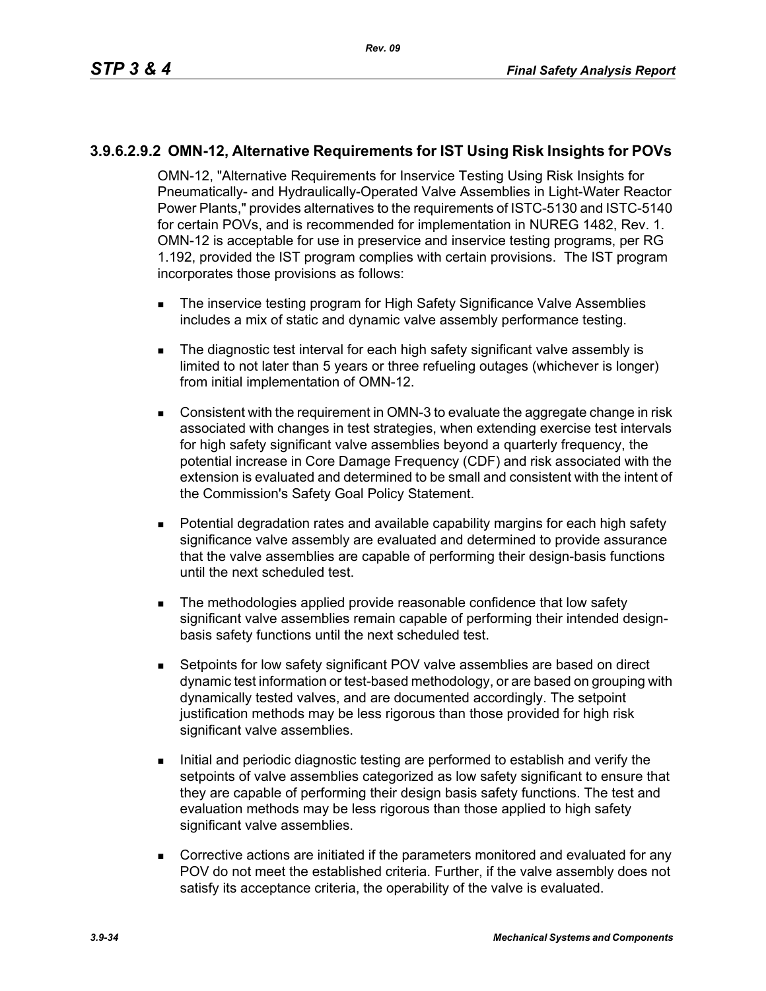#### **3.9.6.2.9.2 OMN-12, Alternative Requirements for IST Using Risk Insights for POVs**

OMN-12, "Alternative Requirements for Inservice Testing Using Risk Insights for Pneumatically- and Hydraulically-Operated Valve Assemblies in Light-Water Reactor Power Plants," provides alternatives to the requirements of ISTC-5130 and ISTC-5140 for certain POVs, and is recommended for implementation in NUREG 1482, Rev. 1. OMN-12 is acceptable for use in preservice and inservice testing programs, per RG 1.192, provided the IST program complies with certain provisions. The IST program incorporates those provisions as follows:

- The inservice testing program for High Safety Significance Valve Assemblies includes a mix of static and dynamic valve assembly performance testing.
- The diagnostic test interval for each high safety significant valve assembly is limited to not later than 5 years or three refueling outages (whichever is longer) from initial implementation of OMN-12.
- **Consistent with the requirement in OMN-3 to evaluate the aggregate change in risk** associated with changes in test strategies, when extending exercise test intervals for high safety significant valve assemblies beyond a quarterly frequency, the potential increase in Core Damage Frequency (CDF) and risk associated with the extension is evaluated and determined to be small and consistent with the intent of the Commission's Safety Goal Policy Statement.
- **Potential degradation rates and available capability margins for each high safety** significance valve assembly are evaluated and determined to provide assurance that the valve assemblies are capable of performing their design-basis functions until the next scheduled test.
- The methodologies applied provide reasonable confidence that low safety significant valve assemblies remain capable of performing their intended designbasis safety functions until the next scheduled test.
- Setpoints for low safety significant POV valve assemblies are based on direct dynamic test information or test-based methodology, or are based on grouping with dynamically tested valves, and are documented accordingly. The setpoint justification methods may be less rigorous than those provided for high risk significant valve assemblies.
- Initial and periodic diagnostic testing are performed to establish and verify the setpoints of valve assemblies categorized as low safety significant to ensure that they are capable of performing their design basis safety functions. The test and evaluation methods may be less rigorous than those applied to high safety significant valve assemblies.
- Corrective actions are initiated if the parameters monitored and evaluated for any POV do not meet the established criteria. Further, if the valve assembly does not satisfy its acceptance criteria, the operability of the valve is evaluated.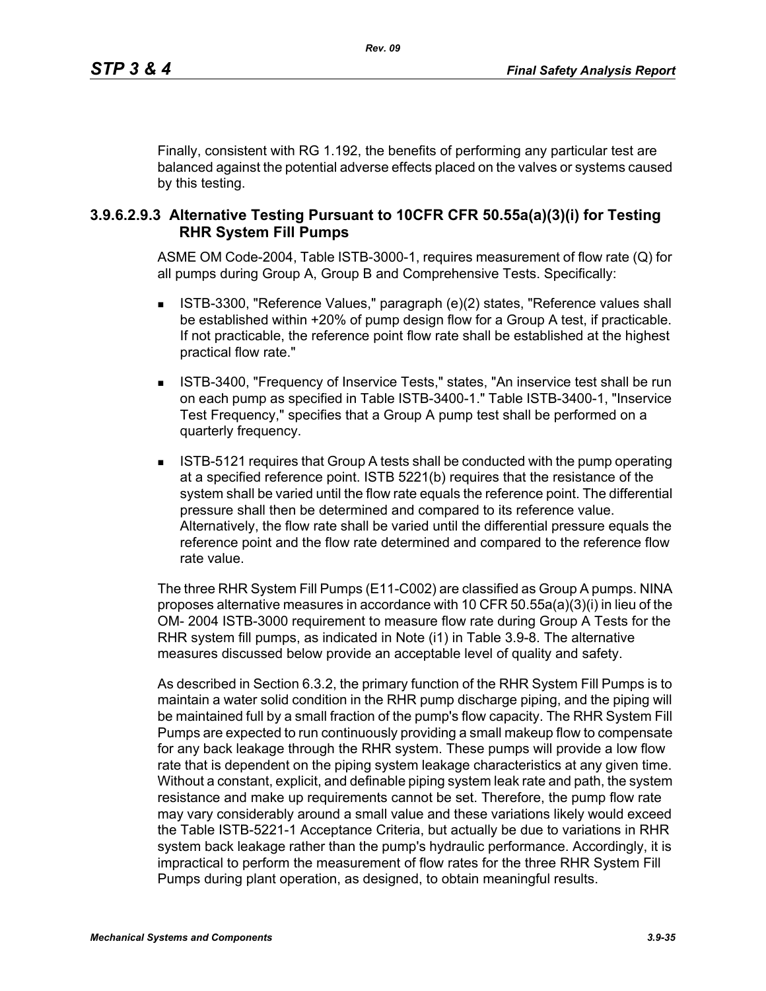Finally, consistent with RG 1.192, the benefits of performing any particular test are balanced against the potential adverse effects placed on the valves or systems caused by this testing.

#### **3.9.6.2.9.3 Alternative Testing Pursuant to 10CFR CFR 50.55a(a)(3)(i) for Testing RHR System Fill Pumps**

ASME OM Code-2004, Table ISTB-3000-1, requires measurement of flow rate (Q) for all pumps during Group A, Group B and Comprehensive Tests. Specifically:

- ISTB-3300, "Reference Values," paragraph (e)(2) states, "Reference values shall be established within +20% of pump design flow for a Group A test, if practicable. If not practicable, the reference point flow rate shall be established at the highest practical flow rate."
- ISTB-3400, "Frequency of Inservice Tests," states, "An inservice test shall be run on each pump as specified in Table ISTB-3400-1." Table ISTB-3400-1, "Inservice Test Frequency," specifies that a Group A pump test shall be performed on a quarterly frequency.
- ISTB-5121 requires that Group A tests shall be conducted with the pump operating at a specified reference point. ISTB 5221(b) requires that the resistance of the system shall be varied until the flow rate equals the reference point. The differential pressure shall then be determined and compared to its reference value. Alternatively, the flow rate shall be varied until the differential pressure equals the reference point and the flow rate determined and compared to the reference flow rate value.

The three RHR System Fill Pumps (E11-C002) are classified as Group A pumps. NINA proposes alternative measures in accordance with 10 CFR 50.55a(a)(3)(i) in lieu of the OM- 2004 ISTB-3000 requirement to measure flow rate during Group A Tests for the RHR system fill pumps, as indicated in Note (i1) in Table 3.9-8. The alternative measures discussed below provide an acceptable level of quality and safety.

As described in Section 6.3.2, the primary function of the RHR System Fill Pumps is to maintain a water solid condition in the RHR pump discharge piping, and the piping will be maintained full by a small fraction of the pump's flow capacity. The RHR System Fill Pumps are expected to run continuously providing a small makeup flow to compensate for any back leakage through the RHR system. These pumps will provide a low flow rate that is dependent on the piping system leakage characteristics at any given time. Without a constant, explicit, and definable piping system leak rate and path, the system resistance and make up requirements cannot be set. Therefore, the pump flow rate may vary considerably around a small value and these variations likely would exceed the Table ISTB-5221-1 Acceptance Criteria, but actually be due to variations in RHR system back leakage rather than the pump's hydraulic performance. Accordingly, it is impractical to perform the measurement of flow rates for the three RHR System Fill Pumps during plant operation, as designed, to obtain meaningful results.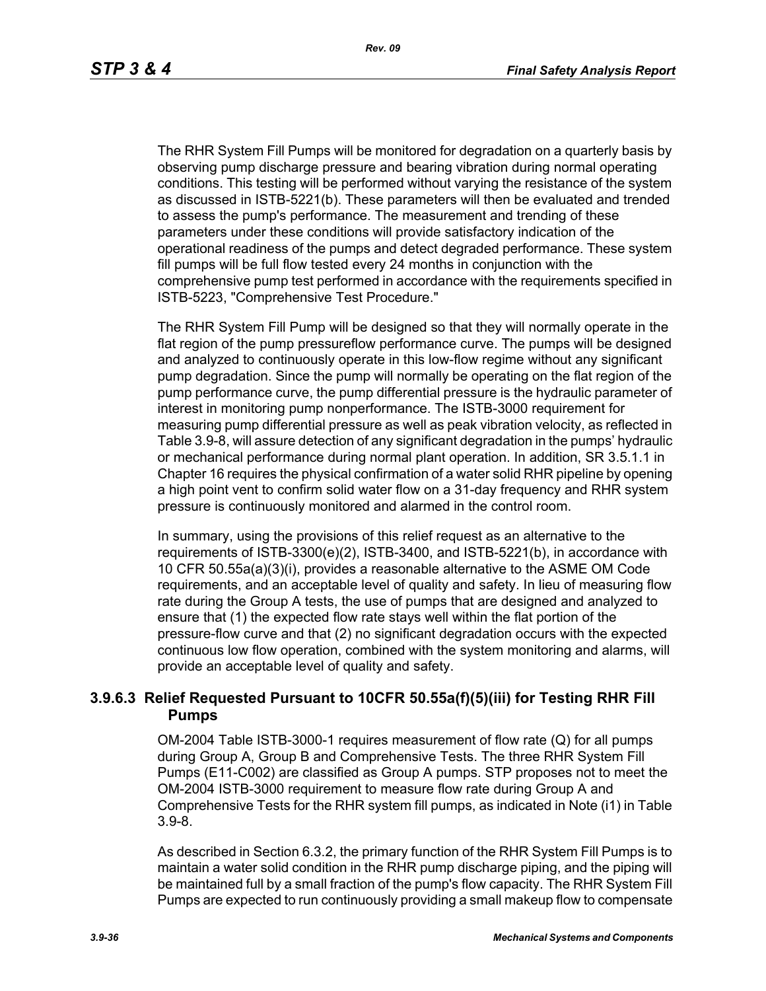The RHR System Fill Pumps will be monitored for degradation on a quarterly basis by observing pump discharge pressure and bearing vibration during normal operating conditions. This testing will be performed without varying the resistance of the system as discussed in ISTB-5221(b). These parameters will then be evaluated and trended to assess the pump's performance. The measurement and trending of these parameters under these conditions will provide satisfactory indication of the operational readiness of the pumps and detect degraded performance. These system fill pumps will be full flow tested every 24 months in conjunction with the comprehensive pump test performed in accordance with the requirements specified in ISTB-5223, "Comprehensive Test Procedure."

The RHR System Fill Pump will be designed so that they will normally operate in the flat region of the pump pressureflow performance curve. The pumps will be designed and analyzed to continuously operate in this low-flow regime without any significant pump degradation. Since the pump will normally be operating on the flat region of the pump performance curve, the pump differential pressure is the hydraulic parameter of interest in monitoring pump nonperformance. The ISTB-3000 requirement for measuring pump differential pressure as well as peak vibration velocity, as reflected in Table 3.9-8, will assure detection of any significant degradation in the pumps' hydraulic or mechanical performance during normal plant operation. In addition, SR 3.5.1.1 in Chapter 16 requires the physical confirmation of a water solid RHR pipeline by opening a high point vent to confirm solid water flow on a 31-day frequency and RHR system pressure is continuously monitored and alarmed in the control room.

In summary, using the provisions of this relief request as an alternative to the requirements of ISTB-3300(e)(2), ISTB-3400, and ISTB-5221(b), in accordance with 10 CFR 50.55a(a)(3)(i), provides a reasonable alternative to the ASME OM Code requirements, and an acceptable level of quality and safety. In lieu of measuring flow rate during the Group A tests, the use of pumps that are designed and analyzed to ensure that (1) the expected flow rate stays well within the flat portion of the pressure-flow curve and that (2) no significant degradation occurs with the expected continuous low flow operation, combined with the system monitoring and alarms, will provide an acceptable level of quality and safety.

# **3.9.6.3 Relief Requested Pursuant to 10CFR 50.55a(f)(5)(iii) for Testing RHR Fill Pumps**

OM-2004 Table ISTB-3000-1 requires measurement of flow rate (Q) for all pumps during Group A, Group B and Comprehensive Tests. The three RHR System Fill Pumps (E11-C002) are classified as Group A pumps. STP proposes not to meet the OM-2004 ISTB-3000 requirement to measure flow rate during Group A and Comprehensive Tests for the RHR system fill pumps, as indicated in Note (i1) in Table 3.9-8.

As described in Section 6.3.2, the primary function of the RHR System Fill Pumps is to maintain a water solid condition in the RHR pump discharge piping, and the piping will be maintained full by a small fraction of the pump's flow capacity. The RHR System Fill Pumps are expected to run continuously providing a small makeup flow to compensate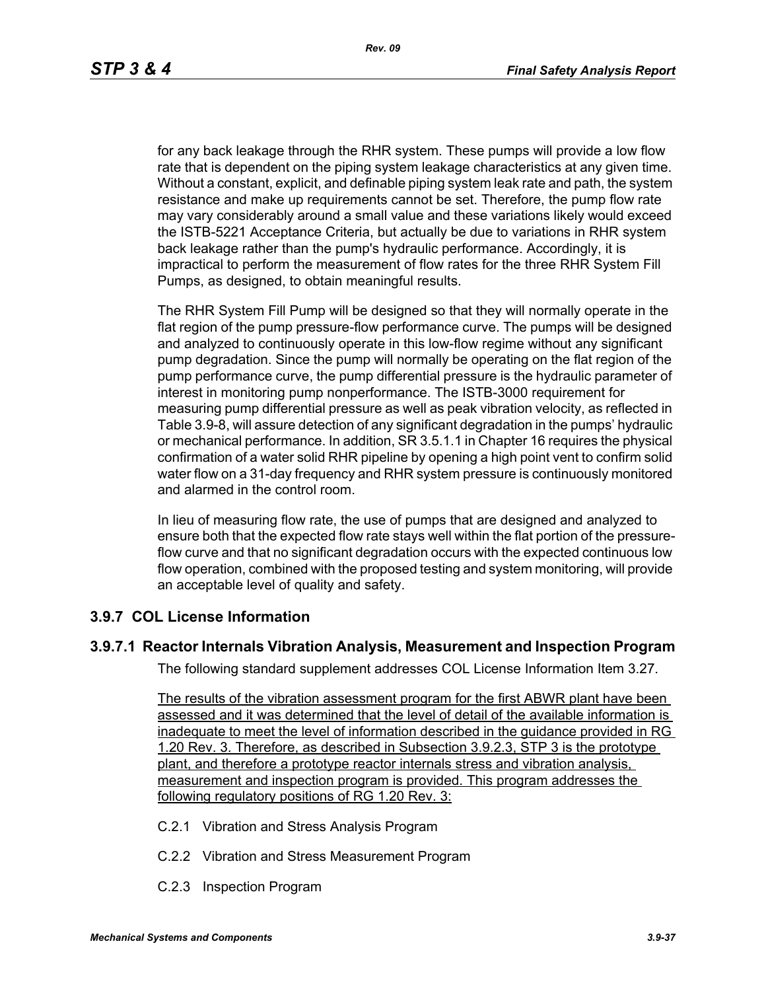for any back leakage through the RHR system. These pumps will provide a low flow rate that is dependent on the piping system leakage characteristics at any given time. Without a constant, explicit, and definable piping system leak rate and path, the system resistance and make up requirements cannot be set. Therefore, the pump flow rate may vary considerably around a small value and these variations likely would exceed the ISTB-5221 Acceptance Criteria, but actually be due to variations in RHR system back leakage rather than the pump's hydraulic performance. Accordingly, it is impractical to perform the measurement of flow rates for the three RHR System Fill Pumps, as designed, to obtain meaningful results.

The RHR System Fill Pump will be designed so that they will normally operate in the flat region of the pump pressure-flow performance curve. The pumps will be designed and analyzed to continuously operate in this low-flow regime without any significant pump degradation. Since the pump will normally be operating on the flat region of the pump performance curve, the pump differential pressure is the hydraulic parameter of interest in monitoring pump nonperformance. The ISTB-3000 requirement for measuring pump differential pressure as well as peak vibration velocity, as reflected in Table 3.9-8, will assure detection of any significant degradation in the pumps' hydraulic or mechanical performance. In addition, SR 3.5.1.1 in Chapter 16 requires the physical confirmation of a water solid RHR pipeline by opening a high point vent to confirm solid water flow on a 31-day frequency and RHR system pressure is continuously monitored and alarmed in the control room.

In lieu of measuring flow rate, the use of pumps that are designed and analyzed to ensure both that the expected flow rate stays well within the flat portion of the pressureflow curve and that no significant degradation occurs with the expected continuous low flow operation, combined with the proposed testing and system monitoring, will provide an acceptable level of quality and safety.

#### **3.9.7 COL License Information**

#### **3.9.7.1 Reactor Internals Vibration Analysis, Measurement and Inspection Program**

The following standard supplement addresses COL License Information Item 3.27.

The results of the vibration assessment program for the first ABWR plant have been assessed and it was determined that the level of detail of the available information is inadequate to meet the level of information described in the guidance provided in RG 1.20 Rev. 3. Therefore, as described in Subsection 3.9.2.3, STP 3 is the prototype plant, and therefore a prototype reactor internals stress and vibration analysis, measurement and inspection program is provided. This program addresses the following regulatory positions of RG 1.20 Rev. 3:

- C.2.1 Vibration and Stress Analysis Program
- C.2.2 Vibration and Stress Measurement Program
- C.2.3 Inspection Program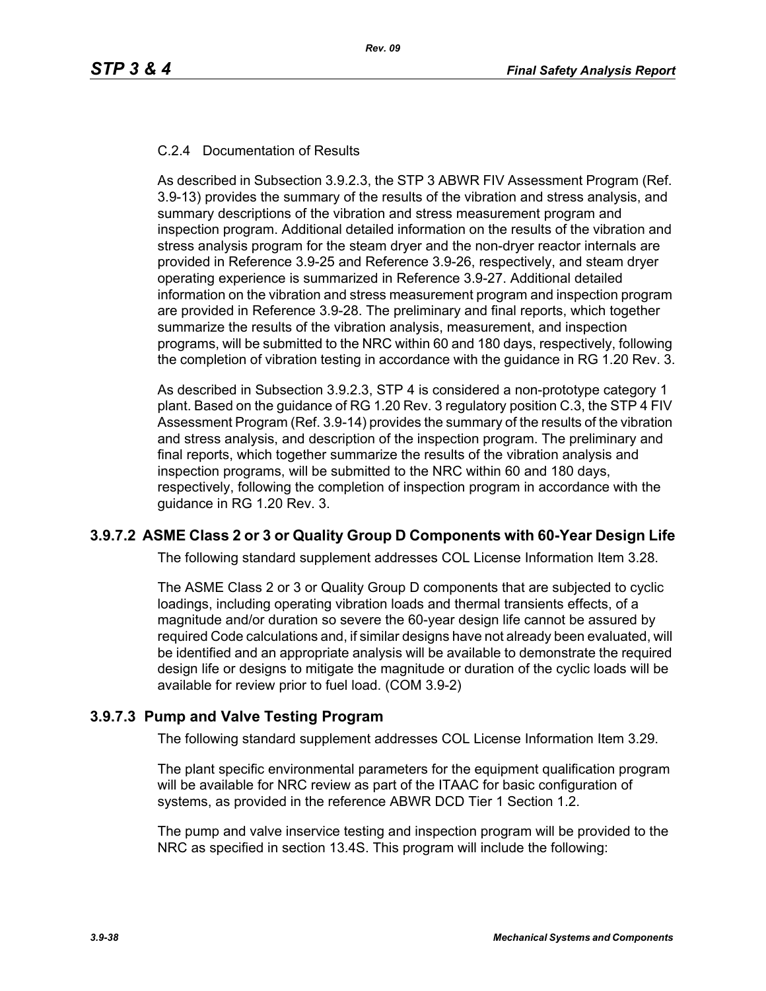#### C.2.4 Documentation of Results

As described in Subsection 3.9.2.3, the STP 3 ABWR FIV Assessment Program (Ref. 3.9-13) provides the summary of the results of the vibration and stress analysis, and summary descriptions of the vibration and stress measurement program and inspection program. Additional detailed information on the results of the vibration and stress analysis program for the steam dryer and the non-dryer reactor internals are provided in Reference 3.9-25 and Reference 3.9-26, respectively, and steam dryer operating experience is summarized in Reference 3.9-27. Additional detailed information on the vibration and stress measurement program and inspection program are provided in Reference 3.9-28. The preliminary and final reports, which together summarize the results of the vibration analysis, measurement, and inspection programs, will be submitted to the NRC within 60 and 180 days, respectively, following the completion of vibration testing in accordance with the guidance in RG 1.20 Rev. 3.

As described in Subsection 3.9.2.3, STP 4 is considered a non-prototype category 1 plant. Based on the guidance of RG 1.20 Rev. 3 regulatory position C.3, the STP 4 FIV Assessment Program (Ref. 3.9-14) provides the summary of the results of the vibration and stress analysis, and description of the inspection program. The preliminary and final reports, which together summarize the results of the vibration analysis and inspection programs, will be submitted to the NRC within 60 and 180 days, respectively, following the completion of inspection program in accordance with the guidance in RG 1.20 Rev. 3.

# **3.9.7.2 ASME Class 2 or 3 or Quality Group D Components with 60-Year Design Life**

The following standard supplement addresses COL License Information Item 3.28.

The ASME Class 2 or 3 or Quality Group D components that are subjected to cyclic loadings, including operating vibration loads and thermal transients effects, of a magnitude and/or duration so severe the 60-year design life cannot be assured by required Code calculations and, if similar designs have not already been evaluated, will be identified and an appropriate analysis will be available to demonstrate the required design life or designs to mitigate the magnitude or duration of the cyclic loads will be available for review prior to fuel load. (COM 3.9-2)

# **3.9.7.3 Pump and Valve Testing Program**

The following standard supplement addresses COL License Information Item 3.29.

The plant specific environmental parameters for the equipment qualification program will be available for NRC review as part of the ITAAC for basic configuration of systems, as provided in the reference ABWR DCD Tier 1 Section 1.2.

The pump and valve inservice testing and inspection program will be provided to the NRC as specified in section 13.4S. This program will include the following: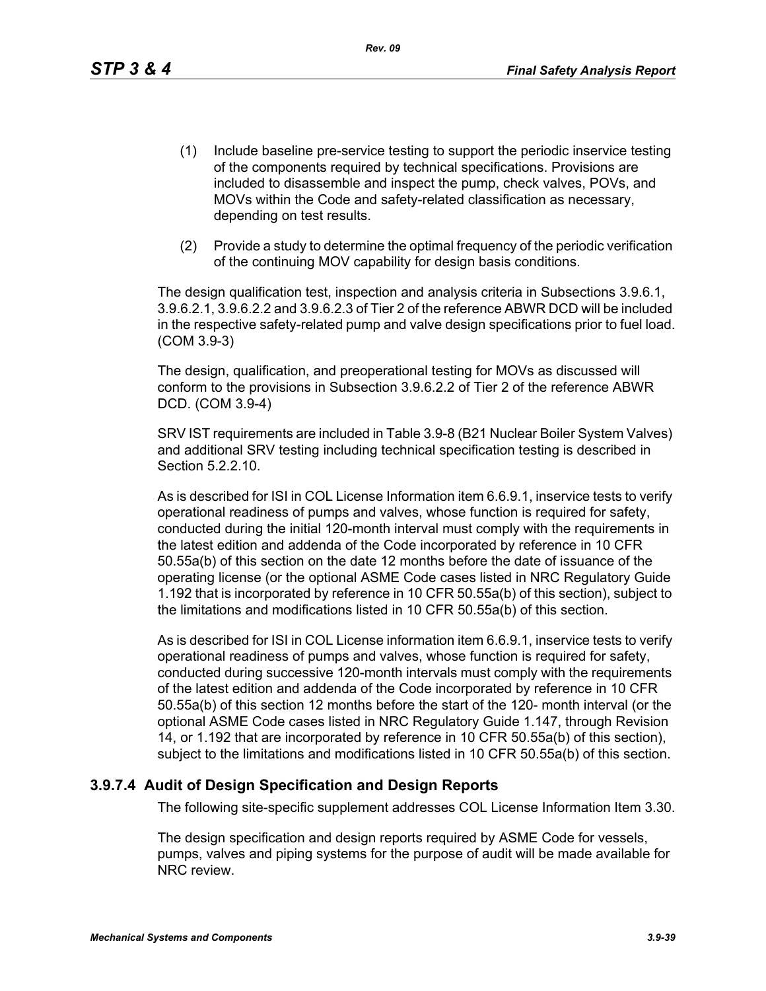*Rev. 09*

- (1) Include baseline pre-service testing to support the periodic inservice testing of the components required by technical specifications. Provisions are included to disassemble and inspect the pump, check valves, POVs, and MOVs within the Code and safety-related classification as necessary, depending on test results.
- (2) Provide a study to determine the optimal frequency of the periodic verification of the continuing MOV capability for design basis conditions.

The design qualification test, inspection and analysis criteria in Subsections 3.9.6.1, 3.9.6.2.1, 3.9.6.2.2 and 3.9.6.2.3 of Tier 2 of the reference ABWR DCD will be included in the respective safety-related pump and valve design specifications prior to fuel load. (COM 3.9-3)

The design, qualification, and preoperational testing for MOVs as discussed will conform to the provisions in Subsection 3.9.6.2.2 of Tier 2 of the reference ABWR DCD. (COM 3.9-4)

SRV IST requirements are included in Table 3.9-8 (B21 Nuclear Boiler System Valves) and additional SRV testing including technical specification testing is described in Section 5.2.2.10.

As is described for ISI in COL License Information item 6.6.9.1, inservice tests to verify operational readiness of pumps and valves, whose function is required for safety, conducted during the initial 120-month interval must comply with the requirements in the latest edition and addenda of the Code incorporated by reference in 10 CFR 50.55a(b) of this section on the date 12 months before the date of issuance of the operating license (or the optional ASME Code cases listed in NRC Regulatory Guide 1.192 that is incorporated by reference in 10 CFR 50.55a(b) of this section), subject to the limitations and modifications listed in 10 CFR 50.55a(b) of this section.

As is described for ISI in COL License information item 6.6.9.1, inservice tests to verify operational readiness of pumps and valves, whose function is required for safety, conducted during successive 120-month intervals must comply with the requirements of the latest edition and addenda of the Code incorporated by reference in 10 CFR 50.55a(b) of this section 12 months before the start of the 120- month interval (or the optional ASME Code cases listed in NRC Regulatory Guide 1.147, through Revision 14, or 1.192 that are incorporated by reference in 10 CFR 50.55a(b) of this section), subject to the limitations and modifications listed in 10 CFR 50.55a(b) of this section.

# **3.9.7.4 Audit of Design Specification and Design Reports**

The following site-specific supplement addresses COL License Information Item 3.30.

The design specification and design reports required by ASME Code for vessels, pumps, valves and piping systems for the purpose of audit will be made available for NRC review.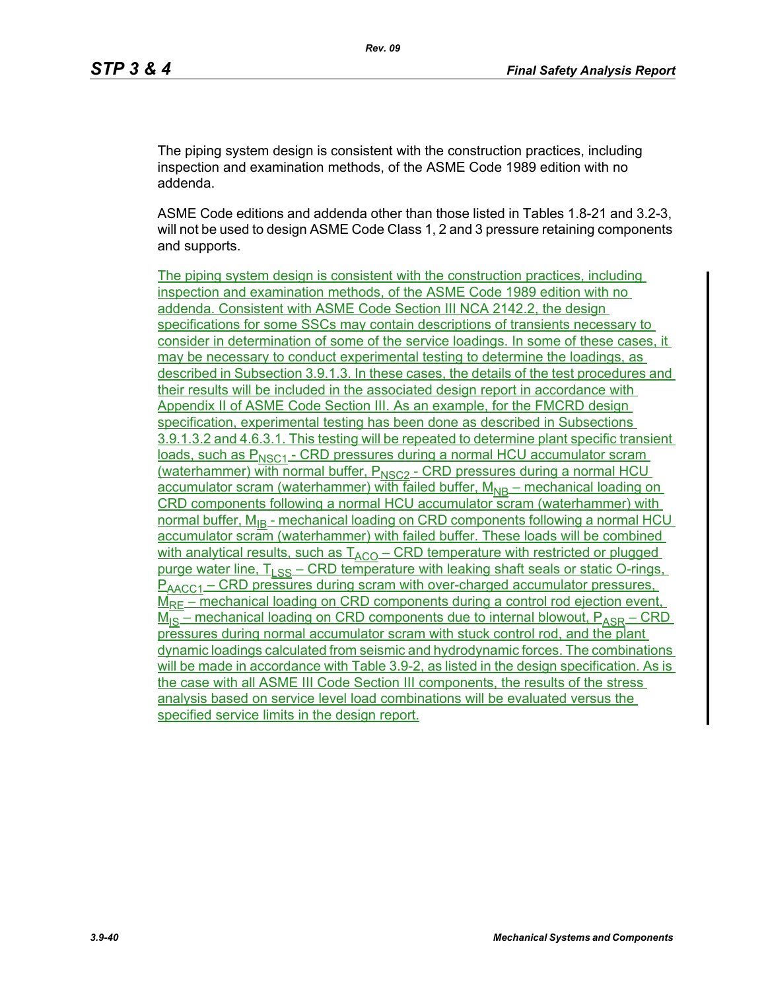The piping system design is consistent with the construction practices, including inspection and examination methods, of the ASME Code 1989 edition with no addenda.

ASME Code editions and addenda other than those listed in Tables 1.8-21 and 3.2-3, will not be used to design ASME Code Class 1, 2 and 3 pressure retaining components and supports.

The piping system design is consistent with the construction practices, including inspection and examination methods, of the ASME Code 1989 edition with no addenda. Consistent with ASME Code Section III NCA 2142.2, the design specifications for some SSCs may contain descriptions of transients necessary to consider in determination of some of the service loadings. In some of these cases, it may be necessary to conduct experimental testing to determine the loadings, as described in Subsection 3.9.1.3. In these cases, the details of the test procedures and their results will be included in the associated design report in accordance with Appendix II of ASME Code Section III. As an example, for the FMCRD design specification, experimental testing has been done as described in Subsections 3.9.1.3.2 and 4.6.3.1. This testing will be repeated to determine plant specific transient  $loads$ , such as  $P_{NSC1}$  - CRD pressures during a normal HCU accumulator scram (waterhammer) with normal buffer, P<sub>NSC2</sub> - CRD pressures during a normal HCU accumulator scram (waterhammer) with failed buffer,  $M_{NR}$  – mechanical loading on CRD components following a normal HCU accumulator scram (waterhammer) with normal buffer, M<sub>IB</sub> - mechanical loading on CRD components following a normal HCU accumulator scram (waterhammer) with failed buffer. These loads will be combined with analytical results, such as  $T_{ACO}$  – CRD temperature with restricted or plugged purge water line,  $T_{\text{S}}$   $\leq$  CRD temperature with leaking shaft seals or static O-rings,  $P_{\text{AACC1}}$  – CRD pressures during scram with over-charged accumulator pressures,  $M_{RF}$  – mechanical loading on CRD components during a control rod ejection event,  $M_{IS}$  – mechanical loading on CRD components due to internal blowout,  $P_{ASR}$  – CRD pressures during normal accumulator scram with stuck control rod, and the plant dynamic loadings calculated from seismic and hydrodynamic forces. The combinations will be made in accordance with Table 3.9-2, as listed in the design specification. As is the case with all ASME III Code Section III components, the results of the stress analysis based on service level load combinations will be evaluated versus the specified service limits in the design report.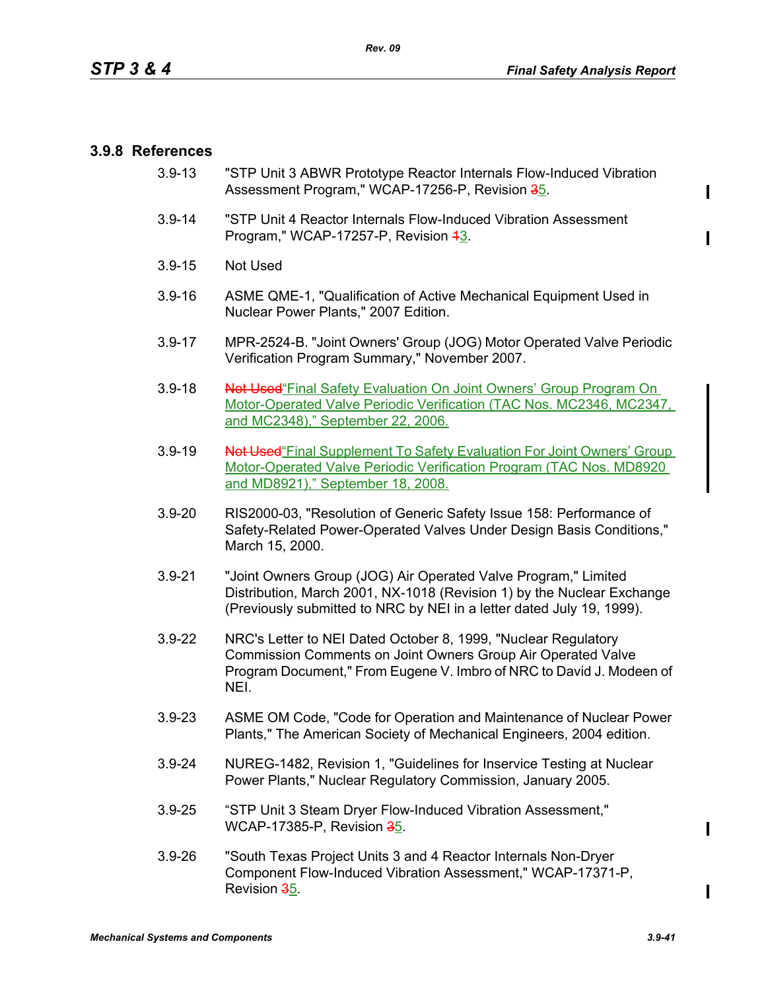#### **3.9.8 References**

- 3.9-13 "STP Unit 3 ABWR Prototype Reactor Internals Flow-Induced Vibration Assessment Program," WCAP-17256-P, Revision 35.
- 3.9-14 "STP Unit 4 Reactor Internals Flow-Induced Vibration Assessment Program," WCAP-17257-P, Revision 43.
- 3.9-15 Not Used
- 3.9-16 ASME QME-1, "Qualification of Active Mechanical Equipment Used in Nuclear Power Plants," 2007 Edition.
- 3.9-17 MPR-2524-B. "Joint Owners' Group (JOG) Motor Operated Valve Periodic Verification Program Summary," November 2007.
- 3.9-18 Not Used Final Safety Evaluation On Joint Owners' Group Program On Motor-Operated Valve Periodic Verification (TAC Nos. MC2346, MC2347, and MC2348)," September 22, 2006.
- 3.9-19 Not Used "Final Supplement To Safety Evaluation For Joint Owners' Group Motor-Operated Valve Periodic Verification Program (TAC Nos. MD8920 and MD8921)," September 18, 2008.
- 3.9-20 RIS2000-03, "Resolution of Generic Safety Issue 158: Performance of Safety-Related Power-Operated Valves Under Design Basis Conditions," March 15, 2000.
- 3.9-21 "Joint Owners Group (JOG) Air Operated Valve Program," Limited Distribution, March 2001, NX-1018 (Revision 1) by the Nuclear Exchange (Previously submitted to NRC by NEI in a letter dated July 19, 1999).
- 3.9-22 NRC's Letter to NEI Dated October 8, 1999, "Nuclear Regulatory Commission Comments on Joint Owners Group Air Operated Valve Program Document," From Eugene V. Imbro of NRC to David J. Modeen of NEI.
- 3.9-23 ASME OM Code, "Code for Operation and Maintenance of Nuclear Power Plants," The American Society of Mechanical Engineers, 2004 edition.
- 3.9-24 NUREG-1482, Revision 1, "Guidelines for Inservice Testing at Nuclear Power Plants," Nuclear Regulatory Commission, January 2005.
- 3.9-25 "STP Unit 3 Steam Dryer Flow-Induced Vibration Assessment," WCAP-17385-P, Revision 35.
- 3.9-26 "South Texas Project Units 3 and 4 Reactor Internals Non-Dryer Component Flow-Induced Vibration Assessment," WCAP-17371-P, Revision 35.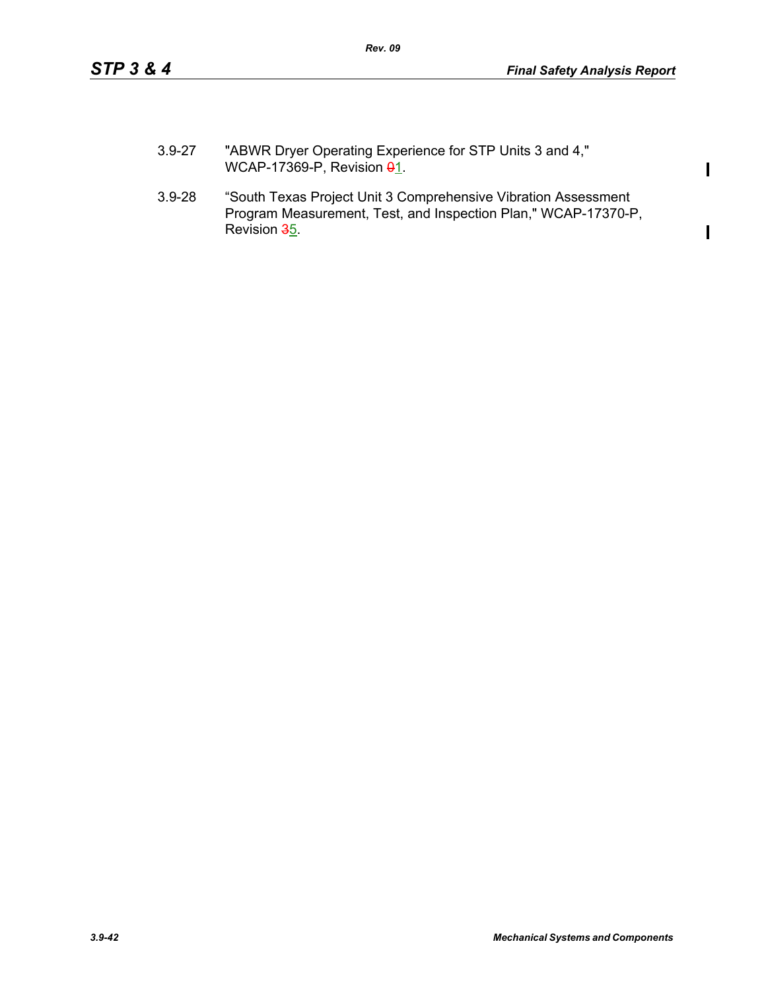$\mathbf{I}$ 

 $\mathbf I$ 

- 3.9-27 "ABWR Dryer Operating Experience for STP Units 3 and 4," WCAP-17369-P, Revision  $\theta$ 1.
- 3.9-28 "South Texas Project Unit 3 Comprehensive Vibration Assessment Program Measurement, Test, and Inspection Plan," WCAP-17370-P, Revision 35.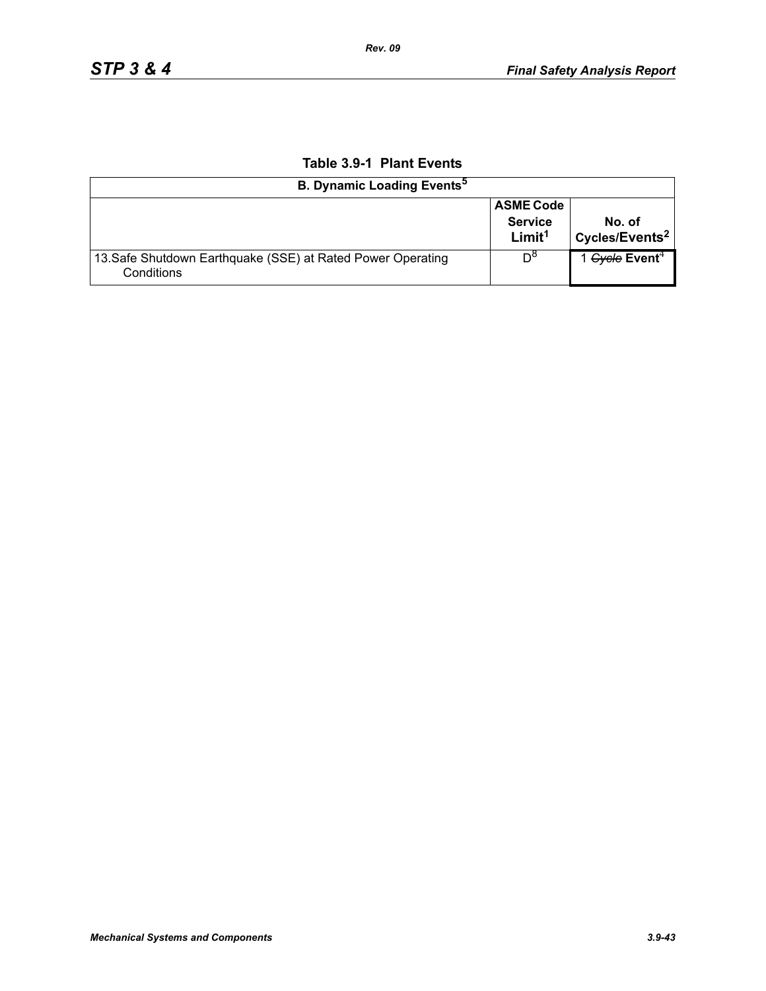| <b>B. Dynamic Loading Events<sup>5</sup></b>                              |                                                          |                                      |  |  |  |
|---------------------------------------------------------------------------|----------------------------------------------------------|--------------------------------------|--|--|--|
|                                                                           | <b>ASME Code</b><br><b>Service</b><br>Limit <sup>1</sup> | No. of<br>Cycles/Events <sup>2</sup> |  |  |  |
| 13. Safe Shutdown Earthquake (SSE) at Rated Power Operating<br>Conditions | $D^{\circ}$                                              | 1 Gycle Event <sup>4</sup>           |  |  |  |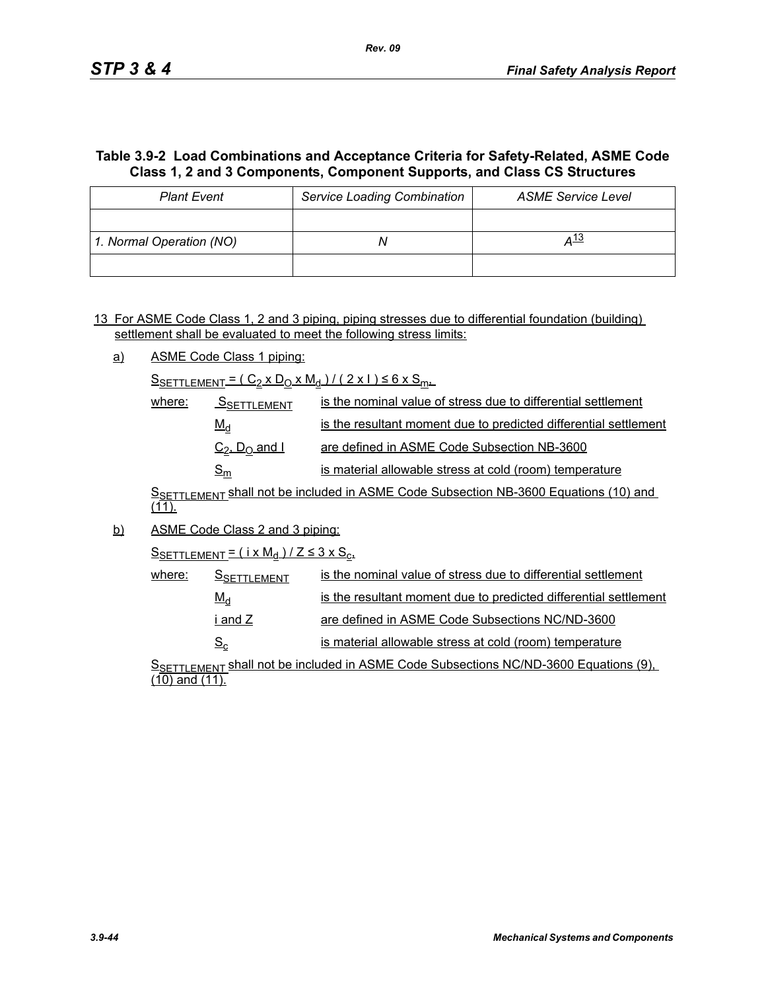# **Table 3.9-2 Load Combinations and Acceptance Criteria for Safety-Related, ASME Code Class 1, 2 and 3 Components, Component Supports, and Class CS Structures**

| <b>Plant Event</b>       | <b>Service Loading Combination</b> | <b>ASME Service Level</b> |
|--------------------------|------------------------------------|---------------------------|
|                          |                                    |                           |
| 1. Normal Operation (NO) |                                    | <u>д 13</u>               |
|                          |                                    |                           |

13 For ASME Code Class 1, 2 and 3 piping, piping stresses due to differential foundation (building) settlement shall be evaluated to meet the following stress limits:

a) ASME Code Class 1 piping:

 $S_{SETTLEMENT} = (C_2 \times D_0 \times M_d) / (2 \times 1) \le 6 \times S_{m+1}$ 

| where: | <b>SSETTLEMENT</b>                    | is the nominal value of stress due to differential settlement    |
|--------|---------------------------------------|------------------------------------------------------------------|
|        | $M_d$                                 | is the resultant moment due to predicted differential settlement |
|        | $C_2$ , $D_0$ and I                   | are defined in ASME Code Subsection NB-3600                      |
|        | $\mathsf{\underline{S}}_{\mathsf{m}}$ | is material allowable stress at cold (room) temperature          |

SSETTLEMENT Shall not be included in ASME Code Subsection NB-3600 Equations (10) and  $(11)$ .

b) ASME Code Class 2 and 3 piping:

 $S$ SETTLEMENT =  $(i \times M_d)/Z \leq 3 \times S_c$ 

| where: | <b>SSETTLEMENT</b> | is the nominal value of stress due to differential settlement    |
|--------|--------------------|------------------------------------------------------------------|
|        | $M_d$              | is the resultant moment due to predicted differential settlement |
|        | i and Z l          | are defined in ASME Code Subsections NC/ND-3600                  |
|        | $S_{\rm c}$        | is material allowable stress at cold (room) temperature          |

S<sub>SETTLEMENT</sub> shall not be included in ASME Code Subsections NC/ND-3600 Equations (9), (10) and (11).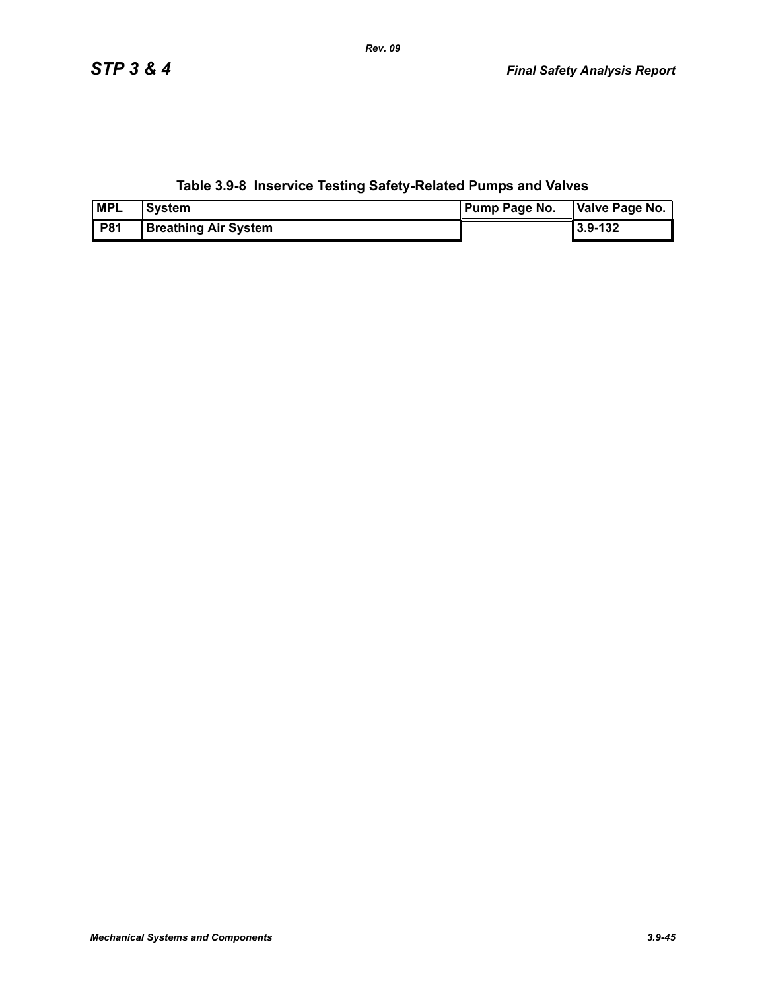# **Table 3.9-8 Inservice Testing Safety-Related Pumps and Valves**

| <b>MPL</b> | <b>System</b>               | <b>Pump Page No.</b> | Valve Page No. |
|------------|-----------------------------|----------------------|----------------|
| <b>P81</b> | <b>Breathing Air System</b> |                      | Ⅰ3.9-132       |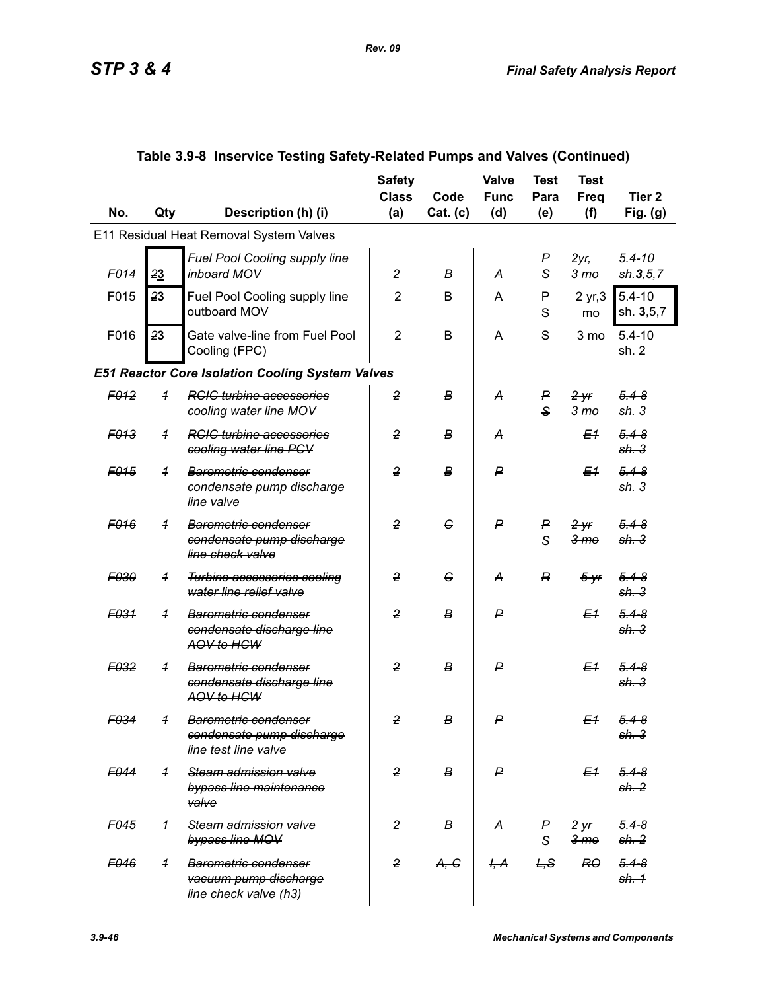|                  |                |                                                                                             | <b>Safety</b><br><b>Class</b> | Code             | <b>Valve</b><br><b>Func</b> | <b>Test</b><br>Para   | <b>Test</b><br>Freq        | Tier <sub>2</sub>             |
|------------------|----------------|---------------------------------------------------------------------------------------------|-------------------------------|------------------|-----------------------------|-----------------------|----------------------------|-------------------------------|
| No.              | Qty            | Description (h) (i)                                                                         | (a)                           | Cat. (c)         | (d)                         | (e)                   | (f)                        | Fig. $(g)$                    |
|                  |                | E11 Residual Heat Removal System Valves                                                     |                               |                  |                             |                       |                            |                               |
| F014             | 23             | Fuel Pool Cooling supply line<br>inboard MOV                                                | $\overline{c}$                | В                | A                           | $\boldsymbol{P}$<br>S | $2yr$ ,<br>3 <sub>mo</sub> | $5.4 - 10$<br>sh.3, 5, 7      |
| F015             | 23             | Fuel Pool Cooling supply line<br>outboard MOV                                               | $\overline{2}$                | B                | A                           | P<br>S                | 2 yr, 3<br>mo              | $5.4 - 10$<br>sh. 3,5,7       |
| F016             | 23             | Gate valve-line from Fuel Pool<br>Cooling (FPC)                                             | $\overline{2}$                | B                | A                           | S                     | 3 mo                       | $5.4 - 10$<br>sh. 2           |
|                  |                | <b>E51 Reactor Core Isolation Cooling System Valves</b>                                     |                               |                  |                             |                       |                            |                               |
| F <sub>012</sub> | $\overline{1}$ | <b>RCIC turbine accessories</b><br>cooling water line MOV                                   | $\overline{2}$                | В                | А                           | P<br>$\mathbf{s}$     | 2yr<br>3 <sub>mo</sub>     | $5.4 - 8$<br>sh.3             |
| F <sub>013</sub> | $\overline{1}$ | <b>RGIG</b> turbine accessories<br>cooling water line PCV                                   | $\overline{2}$                | в                | A                           |                       | E <sub>1</sub>             | $5.4 - 8$<br>sh.3             |
| F <sub>015</sub> | $\overline{1}$ | Barometric condenser<br>condensate pump discharge<br>line valve                             | $\overline{2}$                | $\boldsymbol{B}$ | ₽                           |                       | E <sub>1</sub>             | $5.4 - 8$<br>sh.3             |
| F <sub>016</sub> | $\overline{1}$ | Barometric condenser<br>condensate pump discharge<br>line check valve                       | $\overline{2}$                | G                | $\mathsf{P}$                | P<br>$\mathbf{s}$     | 2yr<br>3 <sub>mo</sub>     | $5.4 - 8$<br>sh.3             |
| F030             | $\overline{1}$ | <b>Turbine accessories cooling</b><br>water line relief valve                               | $\overline{2}$                | G                | A                           | R                     | $5 - yr$                   | $5.4 - 8$<br>sh.3             |
| F <sub>031</sub> | $\overline{1}$ | Barometric condenser<br>condensate discharge line<br>AOV to HCW                             | $\overline{2}$                | $\boldsymbol{B}$ | ₽                           |                       | E <sub>1</sub>             | $5.4 - 8$<br>sh.3             |
| F <sub>032</sub> | $\overline{1}$ | <b>Barometric condenser</b><br>condensate discharge line<br>AOV to HCW                      | $\overline{2}$                | в                | ₽                           |                       | E <sub>1</sub>             | $5.4 - 8$<br>sh.3             |
| F034             | $\overline{1}$ | <b>Barometric condenser</b><br><del>condensate pump discharge</del><br>line test line valve | $\overline{2}$                | в                | $\mathsf{P}$                |                       | E <sub>1</sub>             | $5.4 - 8$<br><del>sh. 3</del> |
| F044             | $\overline{1}$ | Steam admission valve<br>bypass line maintenance<br>valve                                   | $\overline{2}$                | B                | $\mathsf{P}$                |                       | E <sub>1</sub>             | $5.4 - 8$<br>sh.2             |
| F <sub>045</sub> | $\overline{1}$ | Steam admission valve<br>bypass line MOV                                                    | $\overline{2}$                | в                | A                           | P<br>$\mathsf{s}$     | 2yr<br>3 <sub>mo</sub>     | $5.4 - 8$<br>sh. 2            |
| F046             | $\overline{1}$ | <b>Barometric condenser</b><br>vacuum pump discharge<br>line check valve (h3)               | $\overline{2}$                | A, G             | H, A                        | L, S                  | RO                         | $5.4 - 8$<br>sh. 1            |

# **Table 3.9-8 Inservice Testing Safety-Related Pumps and Valves (Continued)**

*Rev. 09*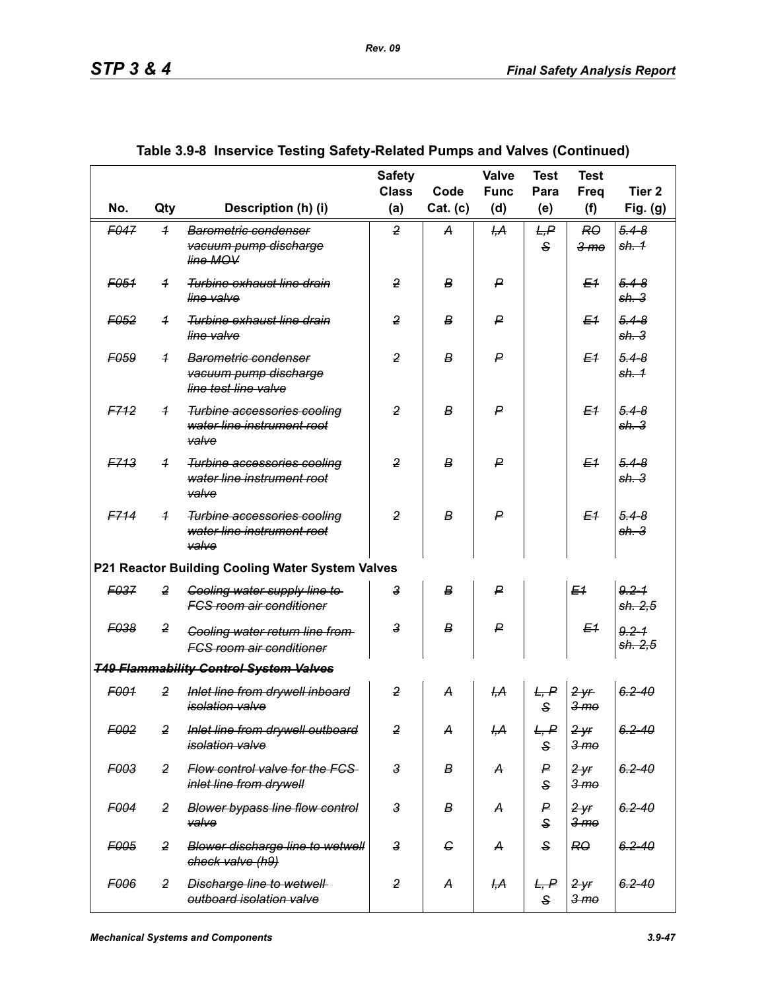| No.              | Qty            | Description (h) (i)                                                       | <b>Safety</b><br><b>Class</b><br>(a) | Code<br>Cat. (c) | <b>Valve</b><br><b>Func</b><br>(d) | <b>Test</b><br>Para<br>(e) | <b>Test</b><br><b>Freq</b><br>(f) | Tier <sub>2</sub><br>Fig. $(g)$ |
|------------------|----------------|---------------------------------------------------------------------------|--------------------------------------|------------------|------------------------------------|----------------------------|-----------------------------------|---------------------------------|
|                  |                |                                                                           |                                      |                  |                                    |                            |                                   |                                 |
| F047             | $\overline{1}$ | Barometric condenser<br>vacuum pump discharge<br>line MOV                 | $\overline{2}$                       | A                | H <sub>2</sub>                     | L, P<br>$\mathbf{s}$       | RO<br>3 <sub>mo</sub>             | $5.4 - 8$<br><del>sh. 1</del>   |
| F <sub>051</sub> | $\overline{1}$ | Turbine exhaust line drain<br>line valve                                  | 2                                    | В                | P                                  |                            | E <sub>1</sub>                    | $5.4 - 8$<br>sh.3               |
| E052             | $\overline{1}$ | Turbine exhaust line drain<br>line valve                                  | $\overline{2}$                       | В                | P                                  |                            | E <sub>1</sub>                    | $5.4 - 8$<br>sh.3               |
| F059             | $\overline{1}$ | Barometric condenser<br>vacuum pump discharge<br>line test line valve     | $\overline{2}$                       | B                | P                                  |                            | E <sub>1</sub>                    | $5.4 - 8$<br>sh. 1              |
| F712             | $\overline{1}$ | Turbine accessories cooling<br>water line instrument root<br>valve        | $\overline{2}$                       | B                | P                                  |                            | E <sub>1</sub>                    | $5.4 - 8$<br>sh.3               |
| F713             | $\overline{1}$ | Turbine accessories cooling<br>water line instrument root<br>valve        | $\overline{2}$                       | B                | P                                  |                            | E <sub>1</sub>                    | $5.4 - 8$<br>sh.3               |
| F714             | $\overline{1}$ | Turbine accessories cooling<br>water line instrument root<br>valve        | 2                                    | B                | ₽                                  |                            | E <sub>1</sub>                    | $5.4 - 8$<br>sh.3               |
|                  |                | P21 Reactor Building Cooling Water System Valves                          |                                      |                  |                                    |                            |                                   |                                 |
| <b>F037</b>      | $\overline{2}$ | Cooling water supply line to<br><b>FCS room air conditioner</b>           | 3                                    | B                | P                                  |                            | E <sub>1</sub>                    | $9.2 - 1$<br>sh. 2,5            |
| <b>F038</b>      | 2              | <b>Cooling water return line from-</b><br><b>FCS room air conditioner</b> | $\mathsf{a}$                         | B                | P                                  |                            | E <sub>1</sub>                    | $9.2 - 1$<br><del>sh. 2,5</del> |
|                  |                | <b>T49 Flammability Control System Valves</b>                             |                                      |                  |                                    |                            |                                   |                                 |
| F001             | $\overline{2}$ | Inlet line from drywell inboard<br><i>isolation valve</i>                 | $\overline{2}$                       | A                | H <sub>1</sub> A                   | L, P<br>S                  | 2yr<br><del>3 mo</del>            | $6.2 - 40$                      |
| F002             | $\overline{2}$ | Inlet line from drywell outboard<br>isolation valve                       | $\overline{2}$                       | A                | I <del>,A</del>                    | L, P<br>S                  | $2 - yr$<br>3 <sub>mo</sub>       | $6.2 - 40$                      |
| F003             | $\overline{2}$ | Flow control valve for the FCS-<br>inlet line from drywell                | $\overline{3}$                       | В                | A                                  | P<br>S                     | $2 - yr$<br>3 <sub>mo</sub>       | $6.2 - 40$                      |
| F004             | $\overline{2}$ | <b>Blower bypass line flow control</b><br>valve                           | $\mathsf 3$                          | В                | A                                  | P<br>S                     | $2$ yr<br>3 <sub>me</sub>         | $6.2 - 40$                      |
| F005             | $\overline{2}$ | <b>Blower discharge line to wetwell</b><br>check valve (h9)               | $\overline{3}$                       | $\epsilon$       | A                                  | S                          | RO                                | $6.2 - 40$                      |
| F006             | $\overline{2}$ | <b>Discharge line to wetwell</b><br>outboard isolation valve              | $\overline{2}$                       | $\boldsymbol{A}$ | <del>І,А</del>                     | L, P<br>S                  | $2 - yr$<br>3 <sub>mo</sub>       | $6.2 - 40$                      |

#### **Table 3.9-8 Inservice Testing Safety-Related Pumps and Valves (Continued)**

*Rev. 09*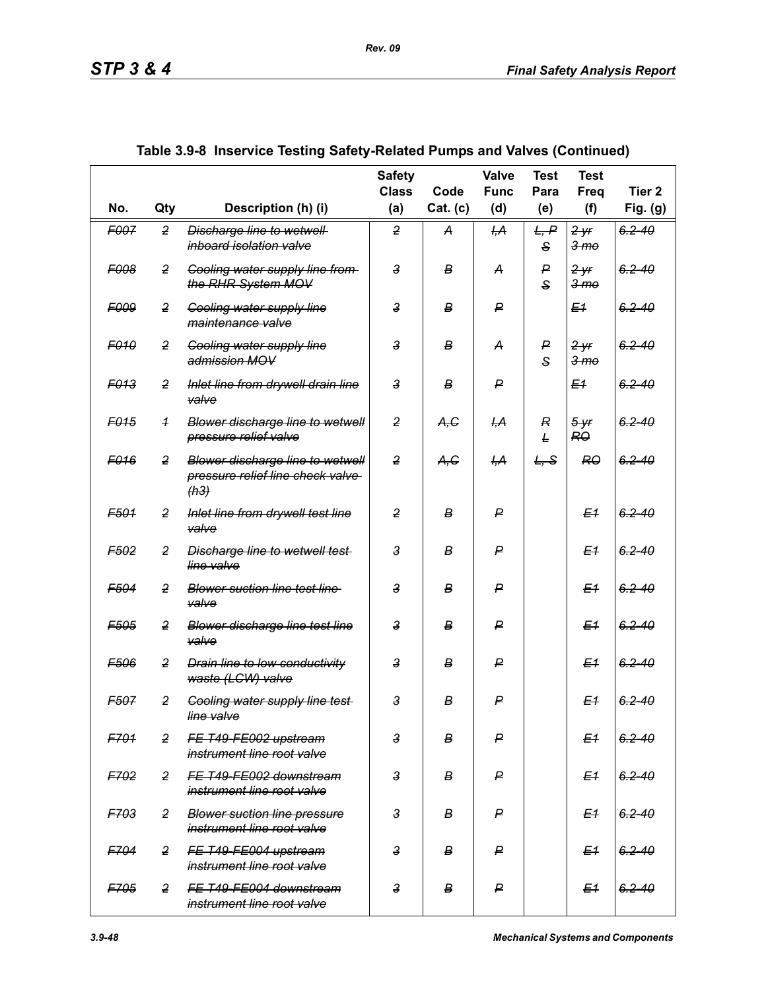|                  |                |                                                                              | <b>Safety</b><br><b>Class</b> | Code             | Valve<br><b>Func</b> | <b>Test</b><br>Para          | <b>Test</b><br>Freq                | Tier <sub>2</sub> |
|------------------|----------------|------------------------------------------------------------------------------|-------------------------------|------------------|----------------------|------------------------------|------------------------------------|-------------------|
| No.              | Qty            | Description (h) (i)                                                          | (a)                           | Cat. (c)         | (d)                  | (e)                          | (f)                                | Fig. (g)          |
| F007             | $\overline{2}$ | Discharge line to wetwell<br>inboard isolation valve                         | $\overline{2}$                | A                | ĻА                   | L, P<br>S                    | 2yr<br>3 <sub>mo</sub>             | $6.2 - 40$        |
| <b>F008</b>      | $\overline{2}$ | <b>Cooling water supply line from-</b><br>the RHR System MOV                 | $\mathbf{3}$                  | В                | A                    | P<br>$\mathbf{s}$            | <del>2 yr</del><br>3 <sub>mo</sub> | $6.2 - 40$        |
| <b>F009</b>      | $\overline{2}$ | <b>Cooling water supply line</b><br>maintenance valve                        | $\mathbf{3}$                  | B                | ₽                    |                              | E <sub>1</sub>                     | $6.2 - 40$        |
| <b>F010</b>      | $\overline{2}$ | <b>Cooling water supply line</b><br>admission MOV                            | $\mathbf{3}$                  | В                | A                    | $\mathsf{P}$<br>$\mathbf{s}$ | 2yr<br>3 <sub>mo</sub>             | $6.2 - 40$        |
| <b>F013</b>      | 2              | Inlet line from drywell drain line<br>valve                                  | 3                             | B                | P                    |                              | E <sub>1</sub>                     | $6, 2 - 40$       |
| F <sub>015</sub> | $\overline{1}$ | Blower discharge line to wetwell<br>pressure relief valve                    | $\overline{2}$                | A,C              | ĻА                   | $\overline{R}$<br>L          | $5 - yr$<br>RO                     | $6.2 - 40$        |
| F <sub>016</sub> | $\overline{2}$ | Blower discharge line to wetwell<br>pressure relief line check valve<br>(h3) | $\overline{2}$                | A, G             | <del>І,А</del>       | L, S                         | <b>RO</b>                          | $6.2 - 40$        |
| F501             | $\overline{2}$ | Inlet line from drywell test line<br>valve                                   | $\overline{2}$                | $\boldsymbol{B}$ | P                    |                              | E <sub>1</sub>                     | $6.2 - 40$        |
| F <sub>502</sub> | $\overline{2}$ | <b>Discharge line to wetwell test-</b><br>line valve                         | $\mathbf{3}$                  | в                | ₽                    |                              | E <sub>1</sub>                     | $6.2 - 40$        |
| F <sub>504</sub> | $\overline{2}$ | <b>Blower suction line test line</b><br>valve                                | $\mathbf{3}$                  | в                | ₽                    |                              | E <sub>4</sub>                     | $6.2 - 40$        |
| F <sub>505</sub> | $\overline{2}$ | <b>Blower discharge line test line</b><br>valve                              | $\mathbf{3}$                  | в                | P                    |                              | E <sub>1</sub>                     | $6.2 - 40$        |
| F506             | $\overline{2}$ | <b>Drain line to low conductivity</b><br>waste (LCW) valve                   | $\mathbf{3}$                  | В                | ₽                    |                              | E <sub>1</sub>                     | $6.2 - 40$        |
| <b>F507</b>      | $\overline{2}$ | <b>Cooling water supply line test-</b><br>line valve                         | $\mathbf{3}$                  | B                | P                    |                              | E <sub>1</sub>                     | $6.2 - 40$        |
| F701             | $\overline{2}$ | FE T49-FE002 upstream<br>instrument line root valve                          | $\mathbf{3}$                  | В                | P                    |                              | E <sub>1</sub>                     | $6.2 - 40$        |
| F702             | $\overline{2}$ | FE T49-FE002 downstream<br>instrument line root valve                        | $\mathbf{3}$                  | B                | ₽                    |                              | E <sub>1</sub>                     | $6.2 - 40$        |
| <b>F703</b>      | $\overline{2}$ | <b>Blower suction line pressure</b><br>instrument line root valve            | $\mathbf{3}$                  | B                | ₽                    |                              | E <sub>1</sub>                     | $6.2 - 40$        |
| F704             | $\overline{2}$ | FE T49-FE004 upstream<br>instrument line root valve                          | $\mathbf{3}$                  | B                | ₽                    |                              | E <sub>1</sub>                     | $6.2 - 40$        |
| F705             | $\overline{2}$ | FE T49-FE004 downstream<br>instrument line root valve                        | $\overline{3}$                | B                | ₽                    |                              | E <sub>1</sub>                     | $6.2 - 40$        |

|  | Table 3.9-8  Inservice Testing Safety-Related Pumps and Valves (Continued) |  |
|--|----------------------------------------------------------------------------|--|
|  |                                                                            |  |